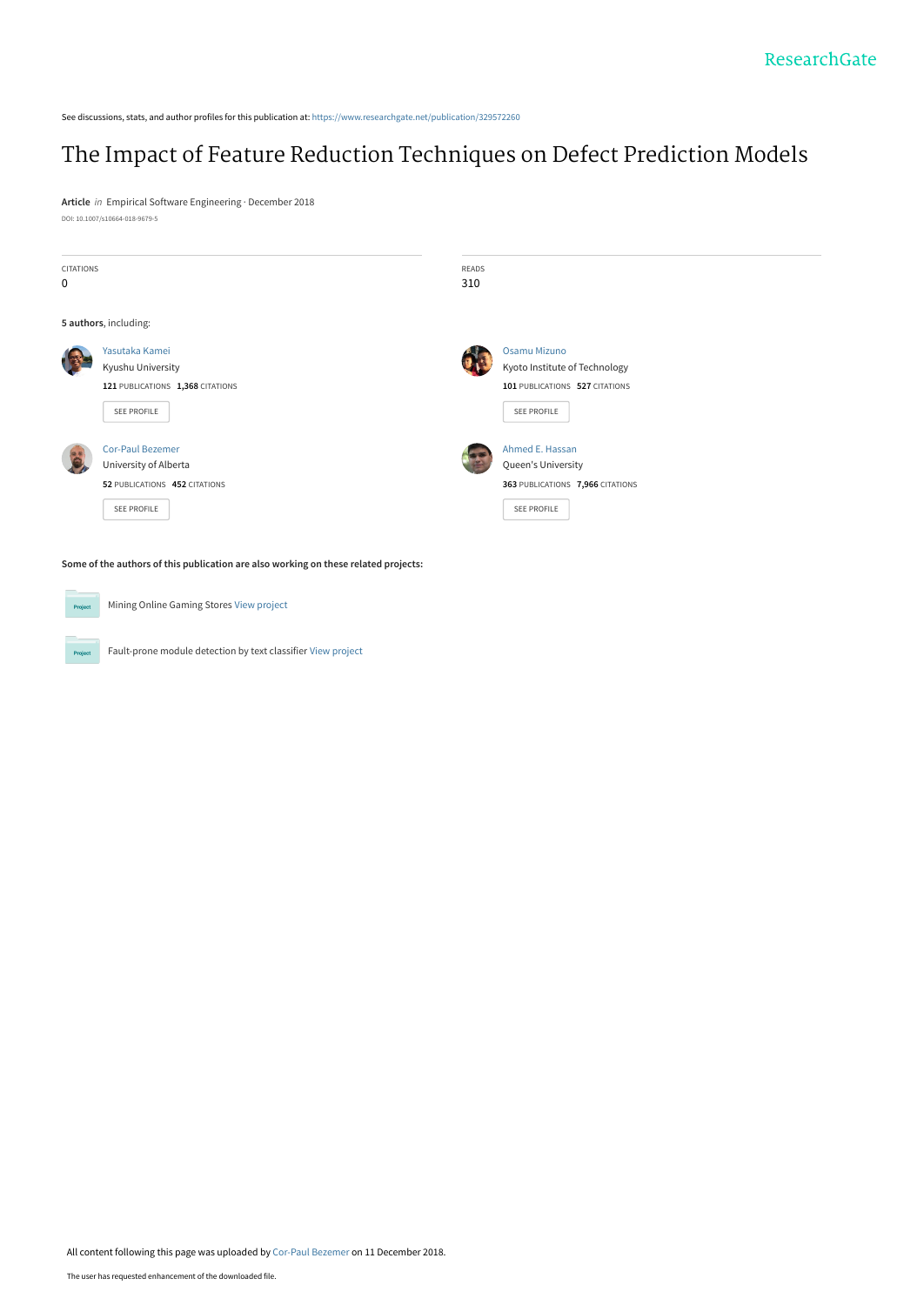See discussions, stats, and author profiles for this publication at: [https://www.researchgate.net/publication/329572260](https://www.researchgate.net/publication/329572260_The_Impact_of_Feature_Reduction_Techniques_on_Defect_Prediction_Models?enrichId=rgreq-084c0948745f235eec905a7c07b304c3-XXX&enrichSource=Y292ZXJQYWdlOzMyOTU3MjI2MDtBUzo3MDI3MjUzMTA0MTA3NTNAMTU0NDU1NDE3ODU2OA%3D%3D&el=1_x_2&_esc=publicationCoverPdf)

# [The Impact of Feature Reduction Techniques on Defect Prediction Models](https://www.researchgate.net/publication/329572260_The_Impact_of_Feature_Reduction_Techniques_on_Defect_Prediction_Models?enrichId=rgreq-084c0948745f235eec905a7c07b304c3-XXX&enrichSource=Y292ZXJQYWdlOzMyOTU3MjI2MDtBUzo3MDI3MjUzMTA0MTA3NTNAMTU0NDU1NDE3ODU2OA%3D%3D&el=1_x_3&_esc=publicationCoverPdf)

**Article** in Empirical Software Engineering · December 2018 DOI: 10.1007/s10664-018-9679-5

Mining Online Gaming Stores [View project](https://www.researchgate.net/project/Mining-Online-Gaming-Stores?enrichId=rgreq-084c0948745f235eec905a7c07b304c3-XXX&enrichSource=Y292ZXJQYWdlOzMyOTU3MjI2MDtBUzo3MDI3MjUzMTA0MTA3NTNAMTU0NDU1NDE3ODU2OA%3D%3D&el=1_x_9&_esc=publicationCoverPdf)

**Project** 

Project

Fault-prone module detection by text classifier [View project](https://www.researchgate.net/project/Fault-prone-module-detection-by-text-classifier?enrichId=rgreq-084c0948745f235eec905a7c07b304c3-XXX&enrichSource=Y292ZXJQYWdlOzMyOTU3MjI2MDtBUzo3MDI3MjUzMTA0MTA3NTNAMTU0NDU1NDE3ODU2OA%3D%3D&el=1_x_9&_esc=publicationCoverPdf)

| <b>CITATIONS</b><br>0 |                                                                                                         | <b>READS</b><br>310 |                                                                                                       |
|-----------------------|---------------------------------------------------------------------------------------------------------|---------------------|-------------------------------------------------------------------------------------------------------|
|                       | 5 authors, including:                                                                                   |                     |                                                                                                       |
|                       | Yasutaka Kamei<br>Kyushu University<br>121 PUBLICATIONS 1,368 CITATIONS<br>SEE PROFILE                  |                     | <b>Osamu Mizuno</b><br>Kyoto Institute of Technology<br>101 PUBLICATIONS 527 CITATIONS<br>SEE PROFILE |
|                       | <b>Cor-Paul Bezemer</b><br>University of Alberta<br>52 PUBLICATIONS 452 CITATIONS<br><b>SEE PROFILE</b> |                     | Ahmed E. Hassan<br>Queen's University<br>363 PUBLICATIONS 7,966 CITATIONS<br>SEE PROFILE              |

All content following this page was uploaded by [Cor-Paul Bezemer](https://www.researchgate.net/profile/Cor_Paul_Bezemer2?enrichId=rgreq-084c0948745f235eec905a7c07b304c3-XXX&enrichSource=Y292ZXJQYWdlOzMyOTU3MjI2MDtBUzo3MDI3MjUzMTA0MTA3NTNAMTU0NDU1NDE3ODU2OA%3D%3D&el=1_x_10&_esc=publicationCoverPdf) on 11 December 2018.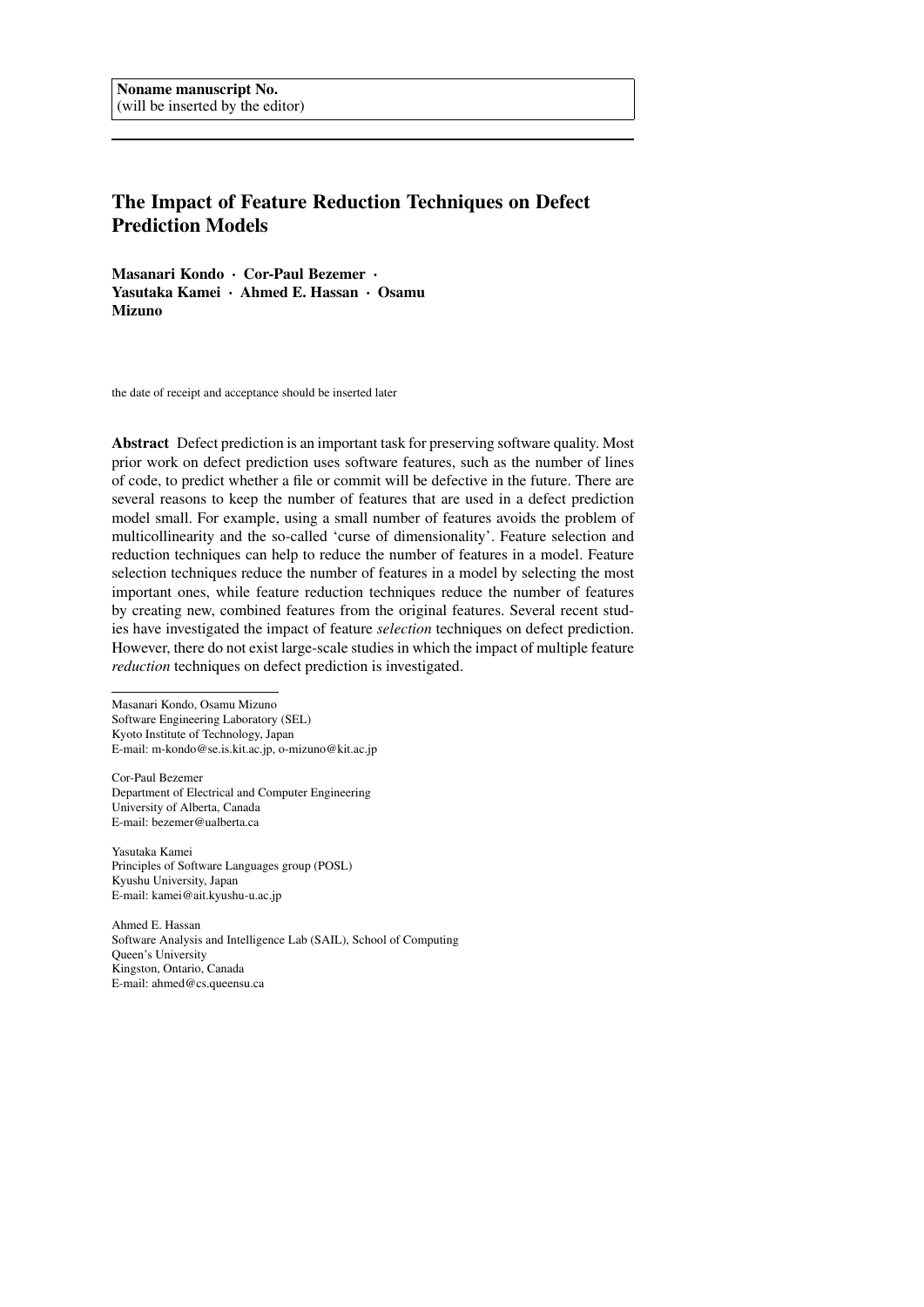# The Impact of Feature Reduction Techniques on Defect Prediction Models

Masanari Kondo · Cor-Paul Bezemer · Yasutaka Kamei · Ahmed E. Hassan · Osamu Mizuno

the date of receipt and acceptance should be inserted later

Abstract Defect prediction is an important task for preserving software quality. Most prior work on defect prediction uses software features, such as the number of lines of code, to predict whether a file or commit will be defective in the future. There are several reasons to keep the number of features that are used in a defect prediction model small. For example, using a small number of features avoids the problem of multicollinearity and the so-called 'curse of dimensionality'. Feature selection and reduction techniques can help to reduce the number of features in a model. Feature selection techniques reduce the number of features in a model by selecting the most important ones, while feature reduction techniques reduce the number of features by creating new, combined features from the original features. Several recent studies have investigated the impact of feature *selection* techniques on defect prediction. However, there do not exist large-scale studies in which the impact of multiple feature *reduction* techniques on defect prediction is investigated.

Masanari Kondo, Osamu Mizuno Software Engineering Laboratory (SEL) Kyoto Institute of Technology, Japan E-mail: m-kondo@se.is.kit.ac.jp, o-mizuno@kit.ac.jp

Cor-Paul Bezemer Department of Electrical and Computer Engineering University of Alberta, Canada E-mail: bezemer@ualberta.ca

Yasutaka Kamei Principles of Software Languages group (POSL) Kyushu University, Japan E-mail: kamei@ait.kyushu-u.ac.jp

Ahmed E. Hassan Software Analysis and Intelligence Lab (SAIL), School of Computing Queen's University Kingston, Ontario, Canada E-mail: ahmed@cs.queensu.ca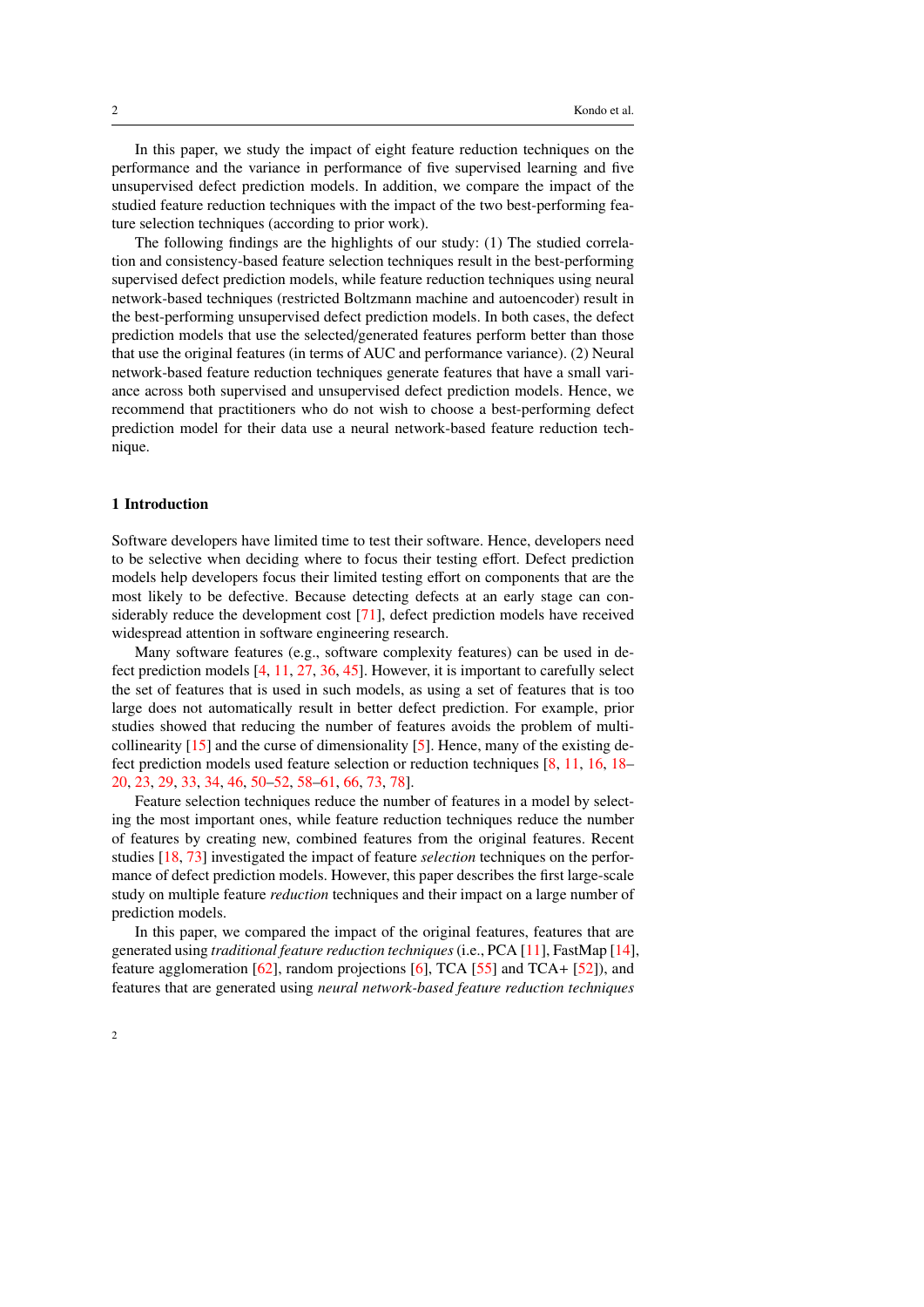In this paper, we study the impact of eight feature reduction techniques on the performance and the variance in performance of five supervised learning and five unsupervised defect prediction models. In addition, we compare the impact of the studied feature reduction techniques with the impact of the two best-performing feature selection techniques (according to prior work).

The following findings are the highlights of our study: (1) The studied correlation and consistency-based feature selection techniques result in the best-performing supervised defect prediction models, while feature reduction techniques using neural network-based techniques (restricted Boltzmann machine and autoencoder) result in the best-performing unsupervised defect prediction models. In both cases, the defect prediction models that use the selected/generated features perform better than those that use the original features (in terms of AUC and performance variance). (2) Neural network-based feature reduction techniques generate features that have a small variance across both supervised and unsupervised defect prediction models. Hence, we recommend that practitioners who do not wish to choose a best-performing defect prediction model for their data use a neural network-based feature reduction technique.

# 1 Introduction

Software developers have limited time to test their software. Hence, developers need to be selective when deciding where to focus their testing effort. Defect prediction models help developers focus their limited testing effort on components that are the most likely to be defective. Because detecting defects at an early stage can considerably reduce the development cost [\[71\]](#page-39-0), defect prediction models have received widespread attention in software engineering research.

Many software features (e.g., software complexity features) can be used in defect prediction models [\[4,](#page-35-0) [11,](#page-35-1) [27,](#page-36-0) [36,](#page-37-0) [45\]](#page-37-1). However, it is important to carefully select the set of features that is used in such models, as using a set of features that is too large does not automatically result in better defect prediction. For example, prior studies showed that reducing the number of features avoids the problem of multicollinearity [\[15\]](#page-35-2) and the curse of dimensionality [\[5\]](#page-35-3). Hence, many of the existing defect prediction models used feature selection or reduction techniques [\[8,](#page-35-4) [11,](#page-35-1) [16,](#page-35-5) [18–](#page-36-1) [20,](#page-36-2) [23,](#page-36-3) [29,](#page-36-4) [33,](#page-36-5) [34,](#page-36-6) [46,](#page-37-2) [50–](#page-37-3)[52,](#page-37-4) [58](#page-38-0)[–61,](#page-38-1) [66,](#page-38-2) [73,](#page-39-1) [78\]](#page-39-2).

Feature selection techniques reduce the number of features in a model by selecting the most important ones, while feature reduction techniques reduce the number of features by creating new, combined features from the original features. Recent studies [\[18,](#page-36-1) [73\]](#page-39-1) investigated the impact of feature *selection* techniques on the performance of defect prediction models. However, this paper describes the first large-scale study on multiple feature *reduction* techniques and their impact on a large number of prediction models.

In this paper, we compared the impact of the original features, features that are generated using *traditional feature reduction techniques*(i.e., PCA [\[11\]](#page-35-1), FastMap [\[14\]](#page-35-6), feature agglomeration  $[62]$ , random projections  $[6]$ , TCA  $[55]$  and TCA+  $[52]$ ), and features that are generated using *neural network-based feature reduction techniques*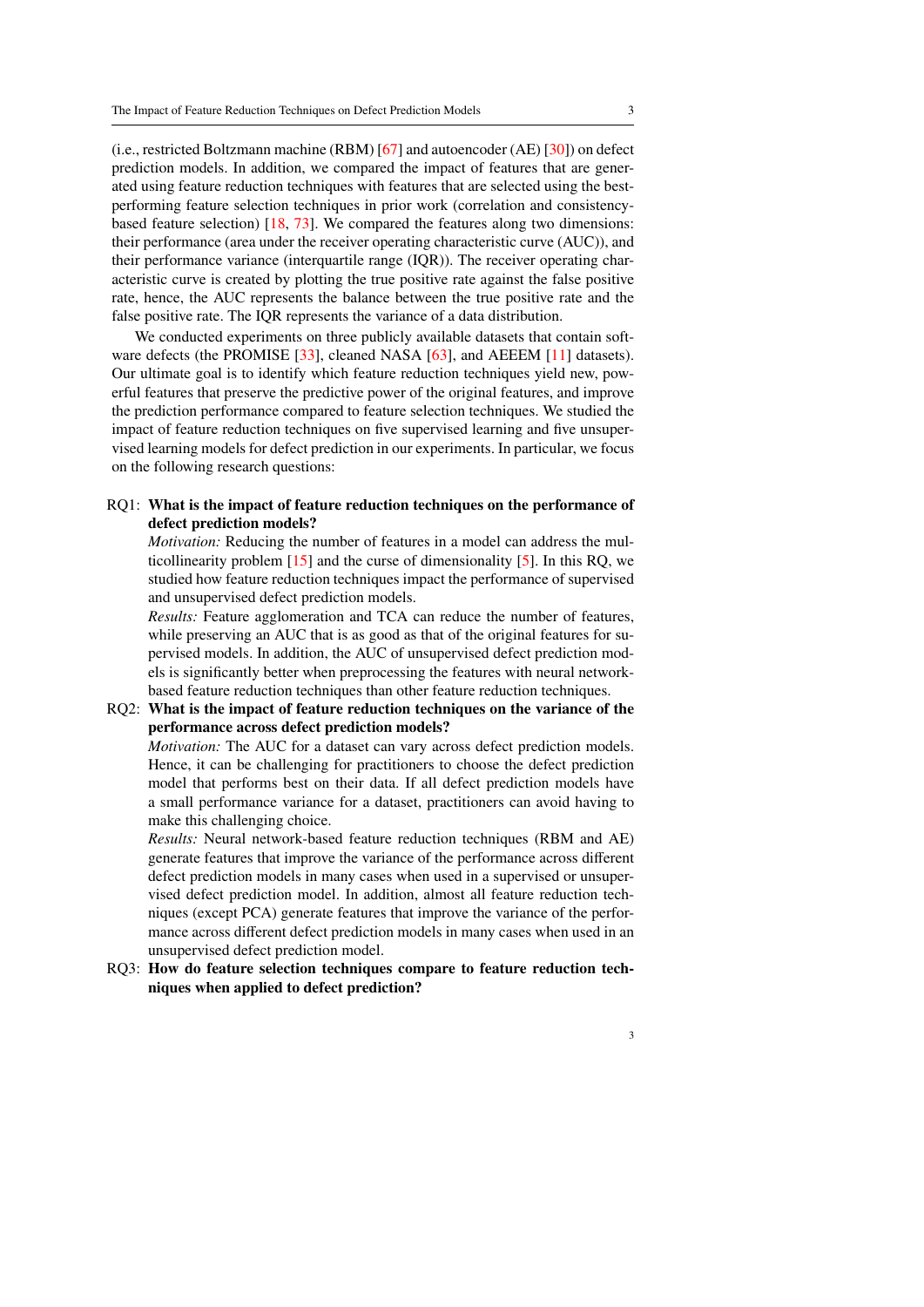(i.e., restricted Boltzmann machine (RBM) [\[67\]](#page-38-5) and autoencoder (AE) [\[30\]](#page-36-7)) on defect prediction models. In addition, we compared the impact of features that are generated using feature reduction techniques with features that are selected using the bestperforming feature selection techniques in prior work (correlation and consistencybased feature selection) [\[18,](#page-36-1) [73\]](#page-39-1). We compared the features along two dimensions: their performance (area under the receiver operating characteristic curve (AUC)), and their performance variance (interquartile range (IQR)). The receiver operating characteristic curve is created by plotting the true positive rate against the false positive rate, hence, the AUC represents the balance between the true positive rate and the false positive rate. The IQR represents the variance of a data distribution.

We conducted experiments on three publicly available datasets that contain soft-ware defects (the PROMISE [\[33\]](#page-36-5), cleaned NASA [\[63\]](#page-38-6), and AEEEM [\[11\]](#page-35-1) datasets). Our ultimate goal is to identify which feature reduction techniques yield new, powerful features that preserve the predictive power of the original features, and improve the prediction performance compared to feature selection techniques. We studied the impact of feature reduction techniques on five supervised learning and five unsupervised learning models for defect prediction in our experiments. In particular, we focus on the following research questions:

# RQ1: What is the impact of feature reduction techniques on the performance of defect prediction models?

*Motivation:* Reducing the number of features in a model can address the multicollinearity problem [\[15\]](#page-35-2) and the curse of dimensionality [\[5\]](#page-35-3). In this RQ, we studied how feature reduction techniques impact the performance of supervised and unsupervised defect prediction models.

*Results:* Feature agglomeration and TCA can reduce the number of features, while preserving an AUC that is as good as that of the original features for supervised models. In addition, the AUC of unsupervised defect prediction models is significantly better when preprocessing the features with neural networkbased feature reduction techniques than other feature reduction techniques.

# RQ2: What is the impact of feature reduction techniques on the variance of the performance across defect prediction models?

*Motivation:* The AUC for a dataset can vary across defect prediction models. Hence, it can be challenging for practitioners to choose the defect prediction model that performs best on their data. If all defect prediction models have a small performance variance for a dataset, practitioners can avoid having to make this challenging choice.

*Results:* Neural network-based feature reduction techniques (RBM and AE) generate features that improve the variance of the performance across different defect prediction models in many cases when used in a supervised or unsupervised defect prediction model. In addition, almost all feature reduction techniques (except PCA) generate features that improve the variance of the performance across different defect prediction models in many cases when used in an unsupervised defect prediction model.

RQ3: How do feature selection techniques compare to feature reduction techniques when applied to defect prediction?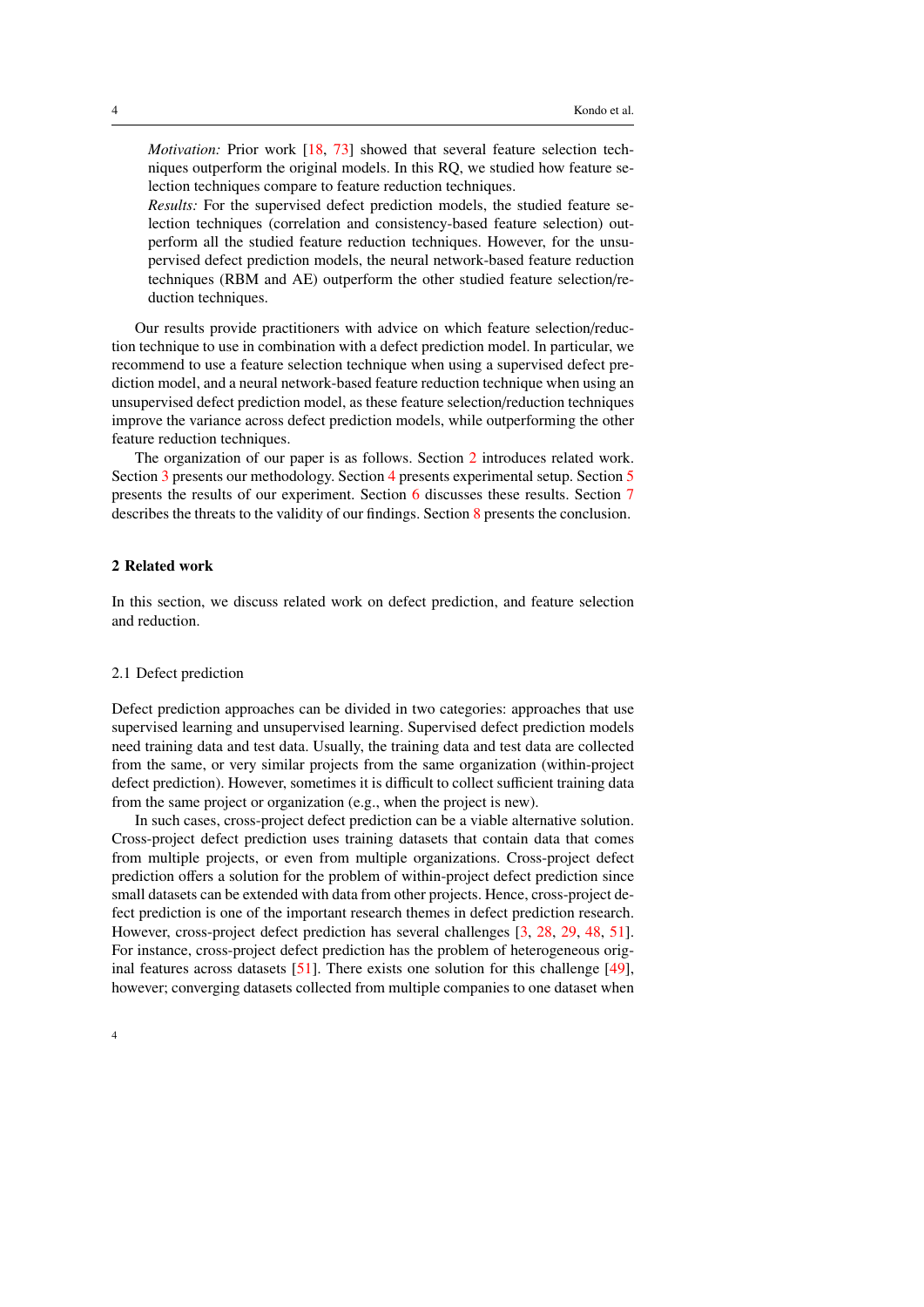*Motivation:* Prior work [\[18,](#page-36-1) [73\]](#page-39-1) showed that several feature selection techniques outperform the original models. In this RQ, we studied how feature selection techniques compare to feature reduction techniques.

*Results:* For the supervised defect prediction models, the studied feature selection techniques (correlation and consistency-based feature selection) outperform all the studied feature reduction techniques. However, for the unsupervised defect prediction models, the neural network-based feature reduction techniques (RBM and AE) outperform the other studied feature selection/reduction techniques.

Our results provide practitioners with advice on which feature selection/reduction technique to use in combination with a defect prediction model. In particular, we recommend to use a feature selection technique when using a supervised defect prediction model, and a neural network-based feature reduction technique when using an unsupervised defect prediction model, as these feature selection/reduction techniques improve the variance across defect prediction models, while outperforming the other feature reduction techniques.

The organization of our paper is as follows. Section [2](#page-4-0) introduces related work. Section [3](#page-7-0) presents our methodology. Section [4](#page-14-0) presents experimental setup. Section [5](#page-14-1) presents the results of our experiment. Section [6](#page-28-0) discusses these results. Section [7](#page-32-0) describes the threats to the validity of our findings. Section [8](#page-33-0) presents the conclusion.

#### <span id="page-4-0"></span>2 Related work

In this section, we discuss related work on defect prediction, and feature selection and reduction.

#### 2.1 Defect prediction

Defect prediction approaches can be divided in two categories: approaches that use supervised learning and unsupervised learning. Supervised defect prediction models need training data and test data. Usually, the training data and test data are collected from the same, or very similar projects from the same organization (within-project defect prediction). However, sometimes it is difficult to collect sufficient training data from the same project or organization (e.g., when the project is new).

In such cases, cross-project defect prediction can be a viable alternative solution. Cross-project defect prediction uses training datasets that contain data that comes from multiple projects, or even from multiple organizations. Cross-project defect prediction offers a solution for the problem of within-project defect prediction since small datasets can be extended with data from other projects. Hence, cross-project defect prediction is one of the important research themes in defect prediction research. However, cross-project defect prediction has several challenges [\[3,](#page-35-8) [28,](#page-36-8) [29,](#page-36-4) [48,](#page-37-5) [51\]](#page-37-6). For instance, cross-project defect prediction has the problem of heterogeneous original features across datasets [\[51\]](#page-37-6). There exists one solution for this challenge [\[49\]](#page-37-7), however; converging datasets collected from multiple companies to one dataset when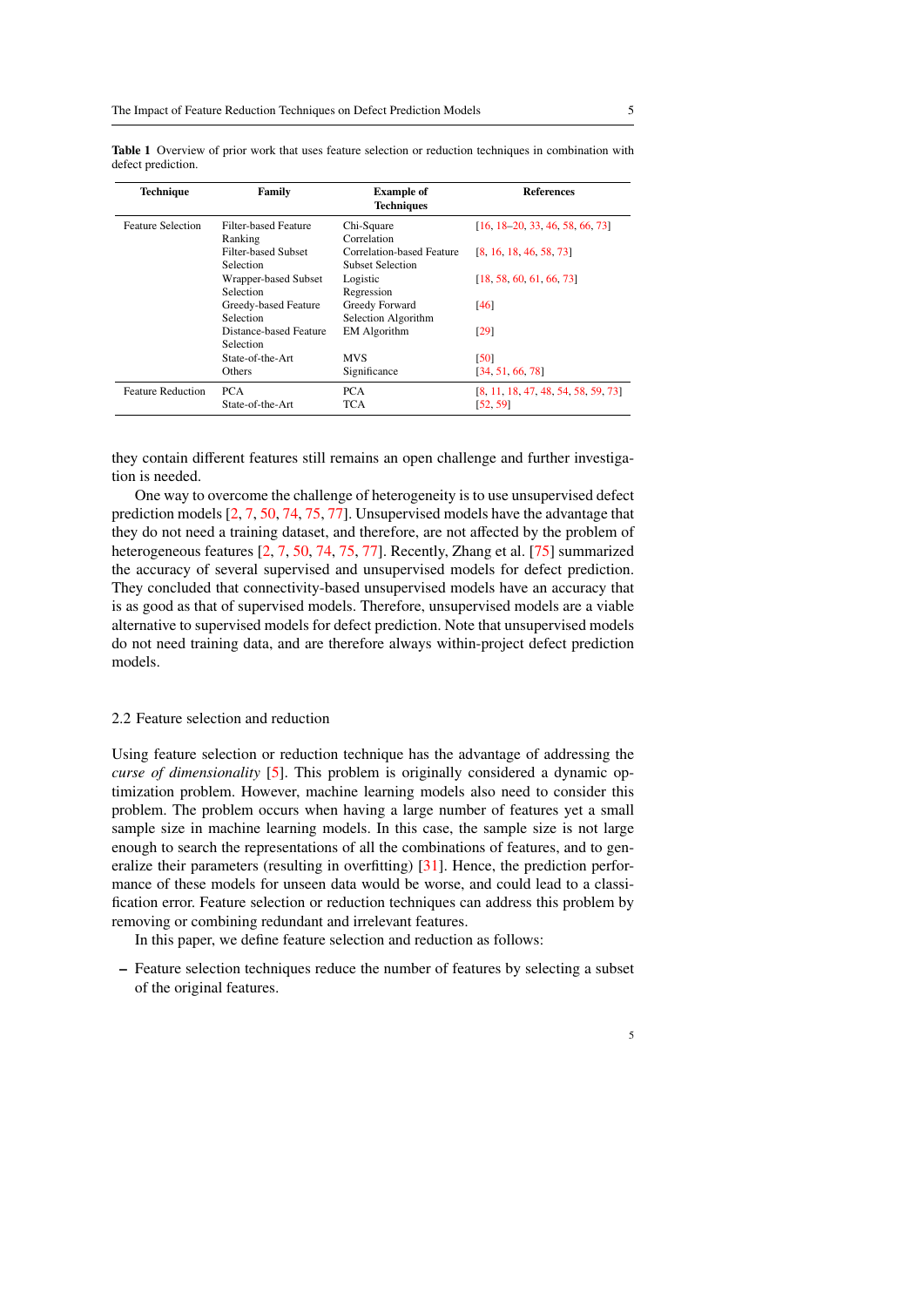| <b>Technique</b>         | Family                                 | <b>Example of</b><br><b>Techniques</b>               | <b>References</b>                               |
|--------------------------|----------------------------------------|------------------------------------------------------|-------------------------------------------------|
| <b>Feature Selection</b> | <b>Filter-based Feature</b><br>Ranking | Chi-Square<br>Correlation                            | [16, 18-20, 33, 46, 58, 66, 73]                 |
|                          | Filter-based Subset<br>Selection       | Correlation-based Feature<br><b>Subset Selection</b> | [8, 16, 18, 46, 58, 73]                         |
|                          | Wrapper-based Subset<br>Selection      | Logistic<br>Regression                               | [18, 58, 60, 61, 66, 73]                        |
|                          | Greedy-based Feature<br>Selection      | Greedy Forward<br>Selection Algorithm                | [46]                                            |
|                          | Distance-based Feature<br>Selection    | <b>EM</b> Algorithm                                  | $\lceil 29 \rceil$                              |
|                          | State-of-the-Art                       | <b>MVS</b>                                           | $\left[50\right]$                               |
|                          | Others                                 | Significance                                         | [34, 51, 66, 78]                                |
| <b>Feature Reduction</b> | <b>PCA</b><br>State-of-the-Art         | <b>PCA</b><br>TCA                                    | [8, 11, 18, 47, 48, 54, 58, 59, 73]<br>[52, 59] |

<span id="page-5-0"></span>Table 1 Overview of prior work that uses feature selection or reduction techniques in combination with defect prediction.

they contain different features still remains an open challenge and further investigation is needed.

One way to overcome the challenge of heterogeneity is to use unsupervised defect prediction models [\[2,](#page-35-9) [7,](#page-35-10) [50,](#page-37-3) [74,](#page-39-3) [75,](#page-39-4) [77\]](#page-39-5). Unsupervised models have the advantage that they do not need a training dataset, and therefore, are not affected by the problem of heterogeneous features [\[2,](#page-35-9) [7,](#page-35-10) [50,](#page-37-3) [74,](#page-39-3) [75,](#page-39-4) [77\]](#page-39-5). Recently, Zhang et al. [\[75\]](#page-39-4) summarized the accuracy of several supervised and unsupervised models for defect prediction. They concluded that connectivity-based unsupervised models have an accuracy that is as good as that of supervised models. Therefore, unsupervised models are a viable alternative to supervised models for defect prediction. Note that unsupervised models do not need training data, and are therefore always within-project defect prediction models.

#### 2.2 Feature selection and reduction

Using feature selection or reduction technique has the advantage of addressing the *curse of dimensionality* [\[5\]](#page-35-3). This problem is originally considered a dynamic optimization problem. However, machine learning models also need to consider this problem. The problem occurs when having a large number of features yet a small sample size in machine learning models. In this case, the sample size is not large enough to search the representations of all the combinations of features, and to generalize their parameters (resulting in overfitting) [\[31\]](#page-36-9). Hence, the prediction performance of these models for unseen data would be worse, and could lead to a classification error. Feature selection or reduction techniques can address this problem by removing or combining redundant and irrelevant features.

In this paper, we define feature selection and reduction as follows:

– Feature selection techniques reduce the number of features by selecting a subset of the original features.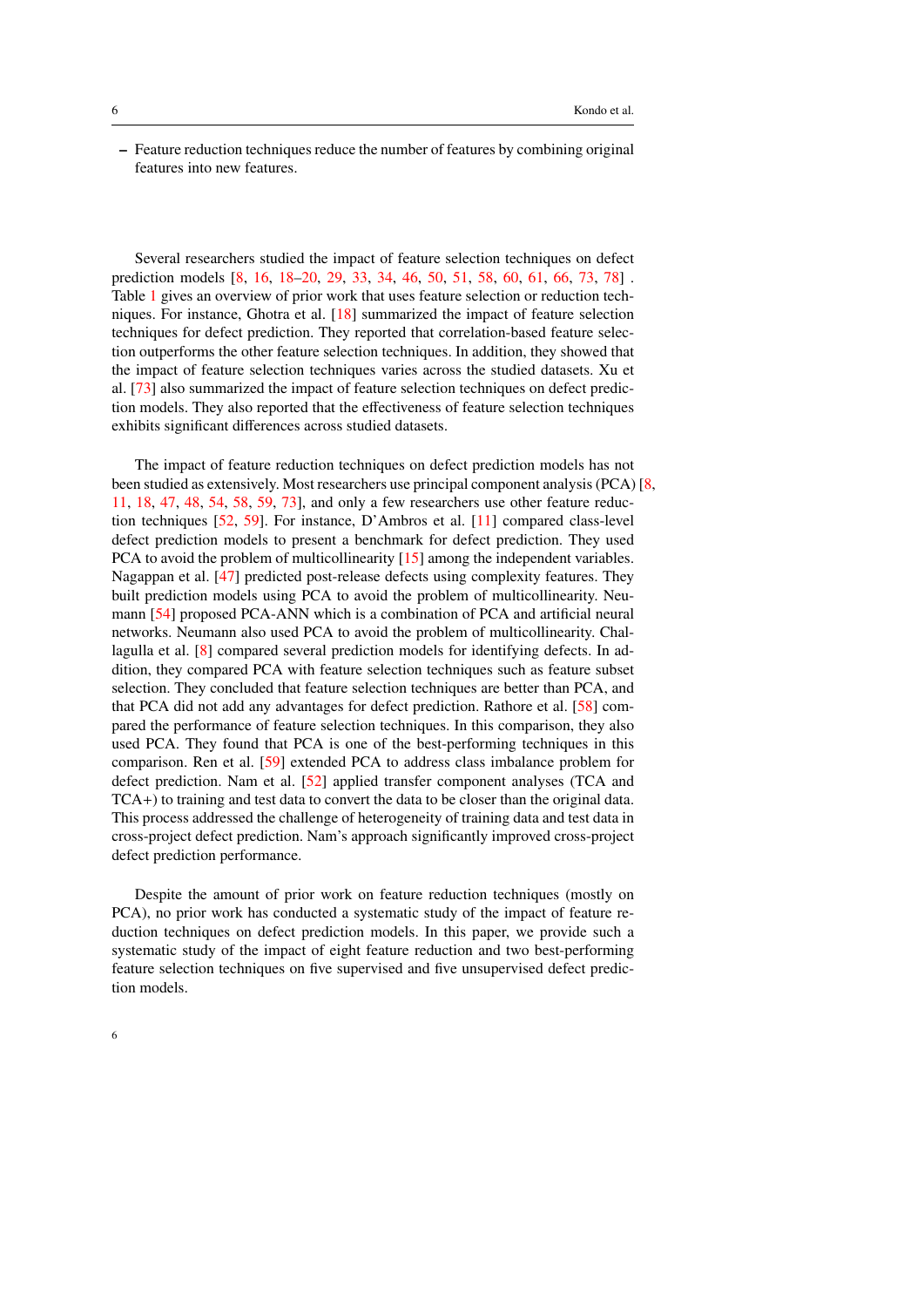– Feature reduction techniques reduce the number of features by combining original features into new features.

Several researchers studied the impact of feature selection techniques on defect prediction models [\[8,](#page-35-4) [16,](#page-35-5) [18](#page-36-1)[–20,](#page-36-2) [29,](#page-36-4) [33,](#page-36-5) [34,](#page-36-6) [46,](#page-37-2) [50,](#page-37-3) [51,](#page-37-6) [58,](#page-38-0) [60,](#page-38-7) [61,](#page-38-1) [66,](#page-38-2) [73,](#page-39-1) [78\]](#page-39-2) . Table [1](#page-5-0) gives an overview of prior work that uses feature selection or reduction techniques. For instance, Ghotra et al. [\[18\]](#page-36-1) summarized the impact of feature selection techniques for defect prediction. They reported that correlation-based feature selection outperforms the other feature selection techniques. In addition, they showed that the impact of feature selection techniques varies across the studied datasets. Xu et al. [\[73\]](#page-39-1) also summarized the impact of feature selection techniques on defect prediction models. They also reported that the effectiveness of feature selection techniques exhibits significant differences across studied datasets.

The impact of feature reduction techniques on defect prediction models has not been studied as extensively. Most researchers use principal component analysis (PCA) [\[8,](#page-35-4) [11,](#page-35-1) [18,](#page-36-1) [47,](#page-37-8) [48,](#page-37-5) [54,](#page-38-8) [58,](#page-38-0) [59,](#page-38-9) [73\]](#page-39-1), and only a few researchers use other feature reduction techniques [\[52,](#page-37-4) [59\]](#page-38-9). For instance, D'Ambros et al. [\[11\]](#page-35-1) compared class-level defect prediction models to present a benchmark for defect prediction. They used PCA to avoid the problem of multicollinearity [\[15\]](#page-35-2) among the independent variables. Nagappan et al. [\[47\]](#page-37-8) predicted post-release defects using complexity features. They built prediction models using PCA to avoid the problem of multicollinearity. Neumann [\[54\]](#page-38-8) proposed PCA-ANN which is a combination of PCA and artificial neural networks. Neumann also used PCA to avoid the problem of multicollinearity. Challagulla et al. [\[8\]](#page-35-4) compared several prediction models for identifying defects. In addition, they compared PCA with feature selection techniques such as feature subset selection. They concluded that feature selection techniques are better than PCA, and that PCA did not add any advantages for defect prediction. Rathore et al. [\[58\]](#page-38-0) compared the performance of feature selection techniques. In this comparison, they also used PCA. They found that PCA is one of the best-performing techniques in this comparison. Ren et al. [\[59\]](#page-38-9) extended PCA to address class imbalance problem for defect prediction. Nam et al. [\[52\]](#page-37-4) applied transfer component analyses (TCA and TCA+) to training and test data to convert the data to be closer than the original data. This process addressed the challenge of heterogeneity of training data and test data in cross-project defect prediction. Nam's approach significantly improved cross-project defect prediction performance.

Despite the amount of prior work on feature reduction techniques (mostly on PCA), no prior work has conducted a systematic study of the impact of feature reduction techniques on defect prediction models. In this paper, we provide such a systematic study of the impact of eight feature reduction and two best-performing feature selection techniques on five supervised and five unsupervised defect prediction models.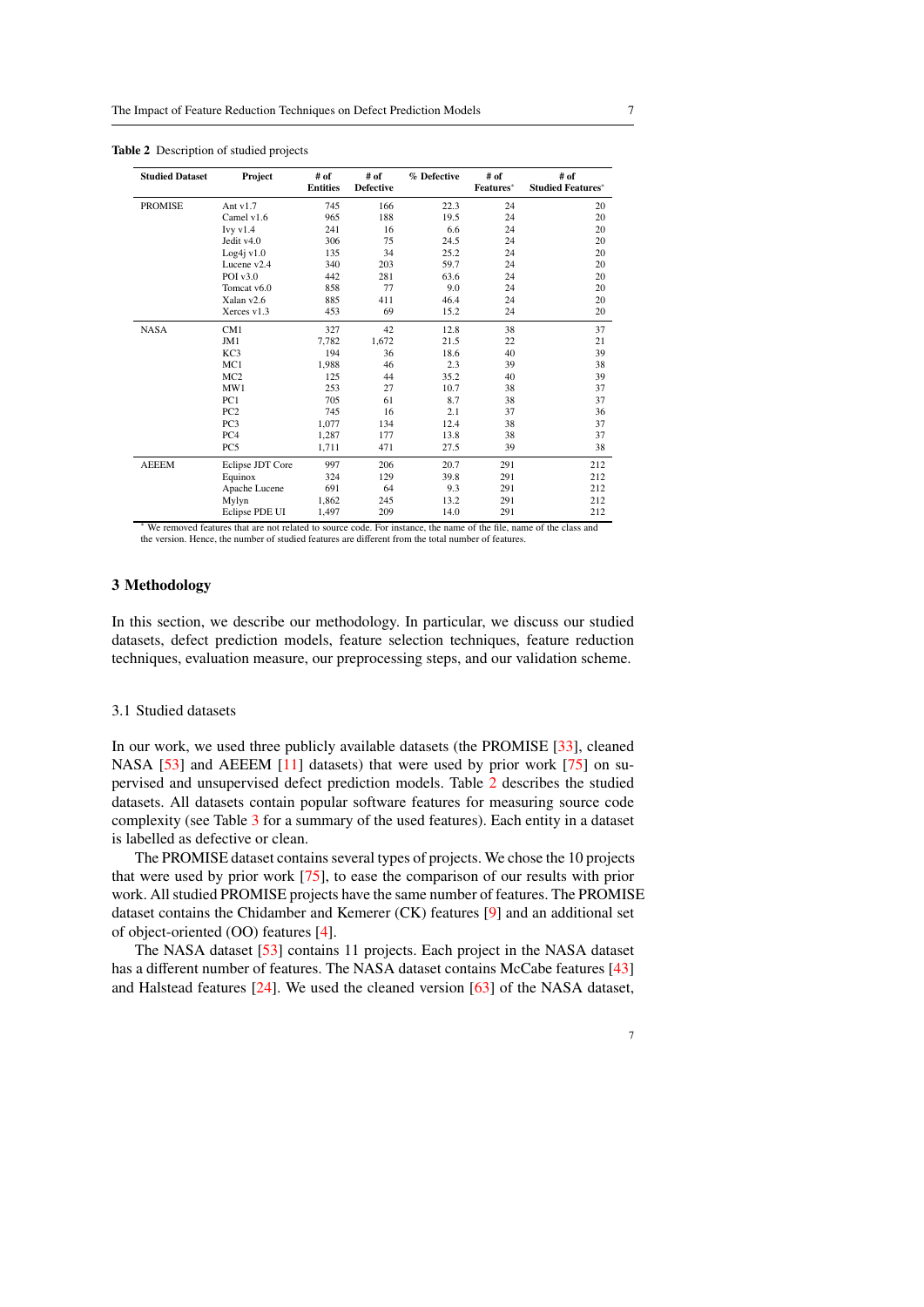<span id="page-7-1"></span>

| <b>Studied Dataset</b> | Project          | # of<br><b>Entities</b> | # of<br><b>Defective</b> | % Defective | # of<br><b>Features</b> * | # of<br><b>Studied Features*</b> |
|------------------------|------------------|-------------------------|--------------------------|-------------|---------------------------|----------------------------------|
| <b>PROMISE</b>         | Ant $v1.7$       | 745                     | 166                      | 22.3        | 24                        | 20                               |
|                        | Camel v1.6       | 965                     | 188                      | 19.5        | 24                        | 20                               |
|                        | Ivy $v1.4$       | 241                     | 16                       | 6.6         | 24                        | 20                               |
|                        | Jedit v4.0       | 306                     | 75                       | 24.5        | 24                        | 20                               |
|                        | $Log4j$ v1.0     | 135                     | 34                       | 25.2        | 24                        | 20                               |
|                        | Lucene v2.4      | 340                     | 203                      | 59.7        | 24                        | 20                               |
|                        | POI $v3.0$       | 442                     | 281                      | 63.6        | 24                        | 20                               |
|                        | Tomcat v6.0      | 858                     | 77                       | 9.0         | 24                        | 20                               |
|                        | Xalan v2.6       | 885                     | 411                      | 46.4        | 24                        | 20                               |
|                        | Xerces v1.3      | 453                     | 69                       | 15.2        | 24                        | 20                               |
| <b>NASA</b>            | CM1              | 327                     | 42                       | 12.8        | 38                        | 37                               |
|                        | JM1              | 7,782                   | 1,672                    | 21.5        | 22                        | 21                               |
|                        | KC3              | 194                     | 36                       | 18.6        | 40                        | 39                               |
|                        | MC1              | 1,988                   | 46                       | 2.3         | 39                        | 38                               |
|                        | MC2              | 125                     | 44                       | 35.2        | 40                        | 39                               |
|                        | MW1              | 253                     | 27                       | 10.7        | 38                        | 37                               |
|                        | PC1              | 705                     | 61                       | 8.7         | 38                        | 37                               |
|                        | PC <sub>2</sub>  | 745                     | 16                       | 2.1         | 37                        | 36                               |
|                        | PC <sub>3</sub>  | 1,077                   | 134                      | 12.4        | 38                        | 37                               |
|                        | PC4              | 1,287                   | 177                      | 13.8        | 38                        | 37                               |
|                        | PC5              | 1,711                   | 471                      | 27.5        | 39                        | 38                               |
| <b>AEEEM</b>           | Eclipse JDT Core | 997                     | 206                      | 20.7        | 291                       | 212                              |
|                        | Equinox          | 324                     | 129                      | 39.8        | 291                       | 212                              |
|                        | Apache Lucene    | 691                     | 64                       | 9.3         | 291                       | 212                              |
|                        | Mylyn            | 1.862                   | 245                      | 13.2        | 291                       | 212                              |
|                        | Eclipse PDE UI   | 1,497                   | 209                      | 14.0        | 291                       | 212                              |

Table 2 Description of studied projects

<sup>∗</sup> We removed features that are not related to source code. For instance, the name of the file, name of the class and the version. Hence, the number of studied features are different from the total number of features

# <span id="page-7-0"></span>3 Methodology

In this section, we describe our methodology. In particular, we discuss our studied datasets, defect prediction models, feature selection techniques, feature reduction techniques, evaluation measure, our preprocessing steps, and our validation scheme.

# 3.1 Studied datasets

In our work, we used three publicly available datasets (the PROMISE [\[33\]](#page-36-5), cleaned NASA [\[53\]](#page-38-10) and AEEEM [\[11\]](#page-35-1) datasets) that were used by prior work [\[75\]](#page-39-4) on supervised and unsupervised defect prediction models. Table [2](#page-7-1) describes the studied datasets. All datasets contain popular software features for measuring source code complexity (see Table [3](#page-8-0) for a summary of the used features). Each entity in a dataset is labelled as defective or clean.

The PROMISE dataset contains several types of projects. We chose the 10 projects that were used by prior work [\[75\]](#page-39-4), to ease the comparison of our results with prior work. All studied PROMISE projects have the same number of features. The PROMISE dataset contains the Chidamber and Kemerer (CK) features [\[9\]](#page-35-11) and an additional set of object-oriented (OO) features [\[4\]](#page-35-0).

The NASA dataset [\[53\]](#page-38-10) contains 11 projects. Each project in the NASA dataset has a different number of features. The NASA dataset contains McCabe features [\[43\]](#page-37-9) and Halstead features [\[24\]](#page-36-10). We used the cleaned version [\[63\]](#page-38-6) of the NASA dataset,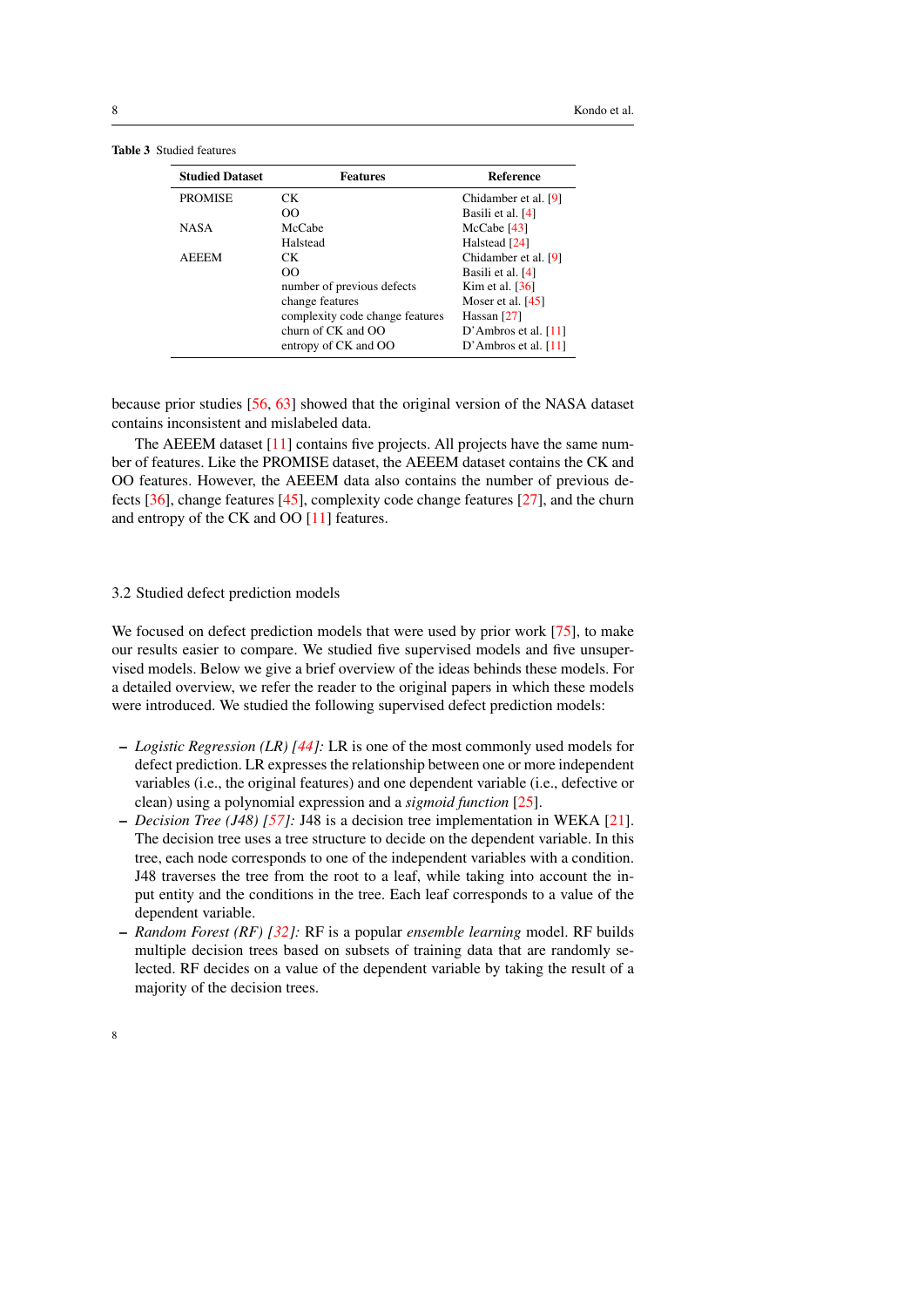<span id="page-8-0"></span>

| <b>Studied Dataset</b> | <b>Features</b>                 | <b>Reference</b>       |
|------------------------|---------------------------------|------------------------|
| <b>PROMISE</b>         | CК                              | Chidamber et al. [9]   |
|                        | OO.                             | Basili et al. [4]      |
| <b>NASA</b>            | McCabe                          | McCabe $[43]$          |
|                        | Halstead                        | Halstead [24]          |
| <b>AEEEM</b>           | CK.                             | Chidamber et al. [9]   |
|                        | OΟ                              | Basili et al. [4]      |
|                        | number of previous defects      | Kim et al. $[36]$      |
|                        | change features                 | Moser et al. $[45]$    |
|                        | complexity code change features | Hassan $[27]$          |
|                        | churn of $CK$ and $OO$          | D'Ambros et al. $[11]$ |
|                        | entropy of CK and OO            | D'Ambros et al. $[11]$ |

because prior studies [\[56,](#page-38-11) [63\]](#page-38-6) showed that the original version of the NASA dataset contains inconsistent and mislabeled data.

The AEEEM dataset [\[11\]](#page-35-1) contains five projects. All projects have the same number of features. Like the PROMISE dataset, the AEEEM dataset contains the CK and OO features. However, the AEEEM data also contains the number of previous defects [\[36\]](#page-37-0), change features [\[45\]](#page-37-1), complexity code change features [\[27\]](#page-36-0), and the churn and entropy of the CK and OO [\[11\]](#page-35-1) features.

#### 3.2 Studied defect prediction models

We focused on defect prediction models that were used by prior work [\[75\]](#page-39-4), to make our results easier to compare. We studied five supervised models and five unsupervised models. Below we give a brief overview of the ideas behinds these models. For a detailed overview, we refer the reader to the original papers in which these models were introduced. We studied the following supervised defect prediction models:

- *Logistic Regression (LR) [\[44\]](#page-37-10):* LR is one of the most commonly used models for defect prediction. LR expresses the relationship between one or more independent variables (i.e., the original features) and one dependent variable (i.e., defective or clean) using a polynomial expression and a *sigmoid function* [\[25\]](#page-36-11).
- *Decision Tree (J48) [\[57\]](#page-38-12):* J48 is a decision tree implementation in WEKA [\[21\]](#page-36-12). The decision tree uses a tree structure to decide on the dependent variable. In this tree, each node corresponds to one of the independent variables with a condition. J48 traverses the tree from the root to a leaf, while taking into account the input entity and the conditions in the tree. Each leaf corresponds to a value of the dependent variable.
- *Random Forest (RF) [\[32\]](#page-36-13):* RF is a popular *ensemble learning* model. RF builds multiple decision trees based on subsets of training data that are randomly selected. RF decides on a value of the dependent variable by taking the result of a majority of the decision trees.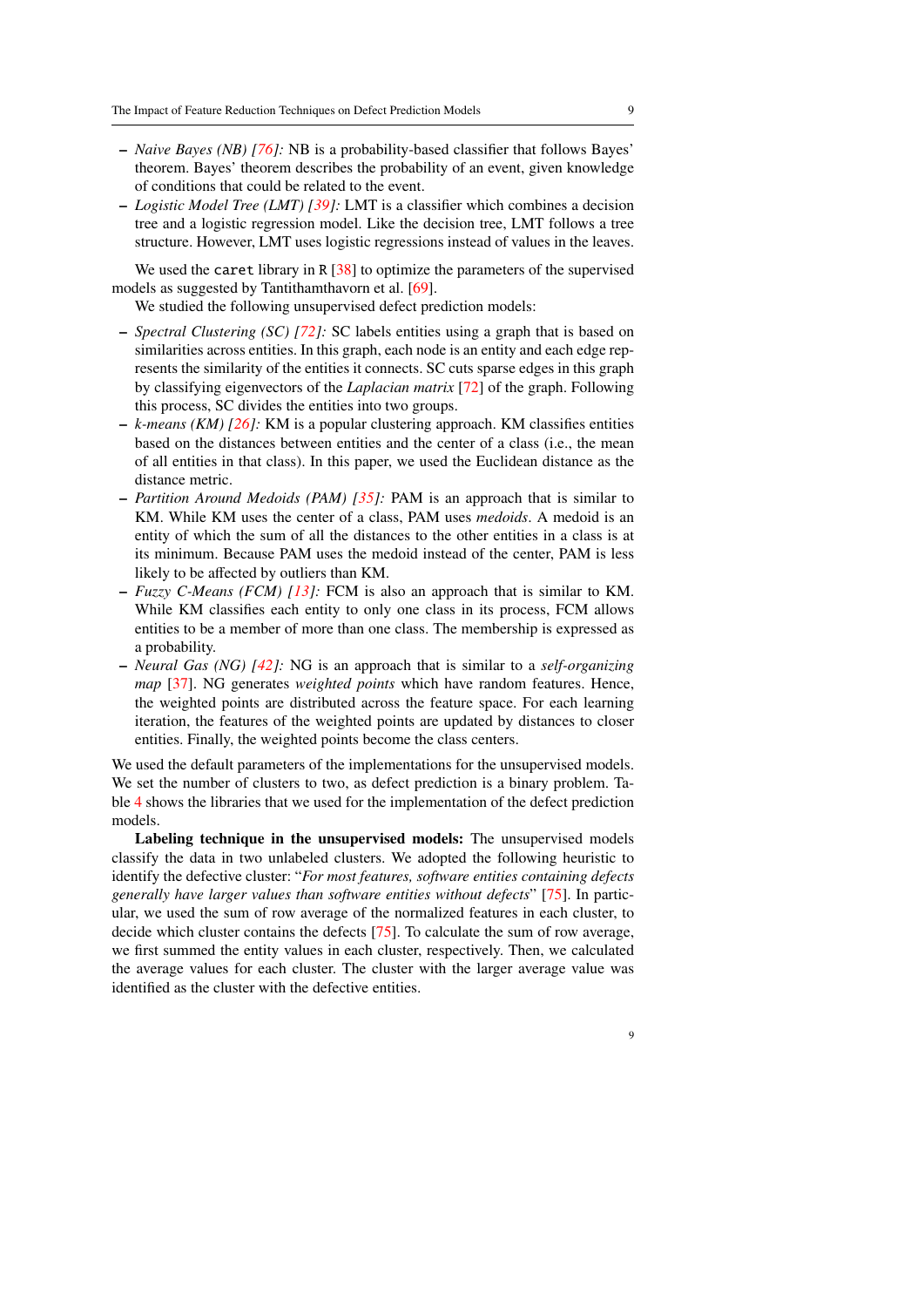- *Naive Bayes (NB) [\[76\]](#page-39-6):* NB is a probability-based classifier that follows Bayes' theorem. Bayes' theorem describes the probability of an event, given knowledge of conditions that could be related to the event.
- *Logistic Model Tree (LMT) [\[39\]](#page-37-11):* LMT is a classifier which combines a decision tree and a logistic regression model. Like the decision tree, LMT follows a tree structure. However, LMT uses logistic regressions instead of values in the leaves.

We used the caret library in R  $[38]$  to optimize the parameters of the supervised models as suggested by Tantithamthavorn et al. [\[69\]](#page-39-7).

We studied the following unsupervised defect prediction models:

- *Spectral Clustering (SC) [\[72\]](#page-39-8):* SC labels entities using a graph that is based on similarities across entities. In this graph, each node is an entity and each edge represents the similarity of the entities it connects. SC cuts sparse edges in this graph by classifying eigenvectors of the *Laplacian matrix* [\[72\]](#page-39-8) of the graph. Following this process, SC divides the entities into two groups.
- *k-means (KM) [\[26\]](#page-36-14):* KM is a popular clustering approach. KM classifies entities based on the distances between entities and the center of a class (i.e., the mean of all entities in that class). In this paper, we used the Euclidean distance as the distance metric.
- *Partition Around Medoids (PAM) [\[35\]](#page-37-13):* PAM is an approach that is similar to KM. While KM uses the center of a class, PAM uses *medoids*. A medoid is an entity of which the sum of all the distances to the other entities in a class is at its minimum. Because PAM uses the medoid instead of the center, PAM is less likely to be affected by outliers than KM.
- *Fuzzy C-Means (FCM) [\[13\]](#page-35-12):* FCM is also an approach that is similar to KM. While KM classifies each entity to only one class in its process, FCM allows entities to be a member of more than one class. The membership is expressed as a probability.
- *Neural Gas (NG) [\[42\]](#page-37-14):* NG is an approach that is similar to a *self-organizing map* [\[37\]](#page-37-15). NG generates *weighted points* which have random features. Hence, the weighted points are distributed across the feature space. For each learning iteration, the features of the weighted points are updated by distances to closer entities. Finally, the weighted points become the class centers.

We used the default parameters of the implementations for the unsupervised models. We set the number of clusters to two, as defect prediction is a binary problem. Table [4](#page-10-0) shows the libraries that we used for the implementation of the defect prediction models.

Labeling technique in the unsupervised models: The unsupervised models classify the data in two unlabeled clusters. We adopted the following heuristic to identify the defective cluster: "*For most features, software entities containing defects generally have larger values than software entities without defects*" [\[75\]](#page-39-4). In particular, we used the sum of row average of the normalized features in each cluster, to decide which cluster contains the defects [\[75\]](#page-39-4). To calculate the sum of row average, we first summed the entity values in each cluster, respectively. Then, we calculated the average values for each cluster. The cluster with the larger average value was identified as the cluster with the defective entities.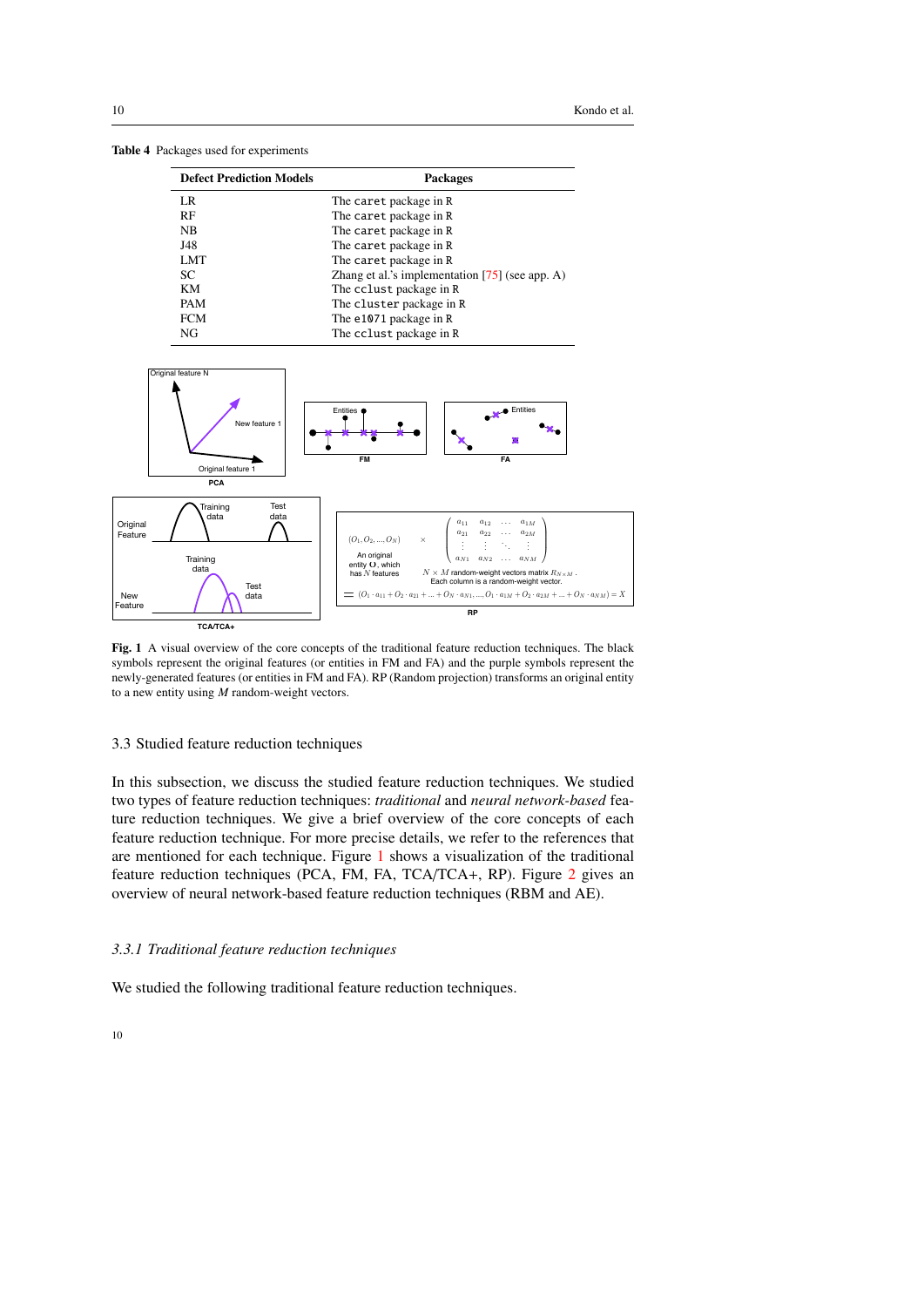<span id="page-10-0"></span>

| <b>Defect Prediction Models</b> | <b>Packages</b>                                   |
|---------------------------------|---------------------------------------------------|
| LR                              | The caret package in R                            |
| RF                              | The caret package in R                            |
| <b>NB</b>                       | The caret package in R                            |
| J48                             | The caret package in R                            |
| <b>LMT</b>                      | The caret package in R                            |
| <b>SC</b>                       | Zhang et al.'s implementation $[75]$ (see app. A) |
| KM                              | The cclust package in R                           |
| PAM                             | The cluster package in R                          |
| <b>FCM</b>                      | The e1071 package in R                            |
| NG                              | The cclust package in R                           |

Table 4 Packages used for experiments



<span id="page-10-1"></span>Fig. 1 A visual overview of the core concepts of the traditional feature reduction techniques. The black symbols represent the original features (or entities in FM and FA) and the purple symbols represent the newly-generated features (or entities in FM and FA). RP (Random projection) transforms an original entity to a new entity using *M* random-weight vectors.

#### 3.3 Studied feature reduction techniques

In this subsection, we discuss the studied feature reduction techniques. We studied two types of feature reduction techniques: *traditional* and *neural network-based* feature reduction techniques. We give a brief overview of the core concepts of each feature reduction technique. For more precise details, we refer to the references that are mentioned for each technique. Figure [1](#page-10-1) shows a visualization of the traditional feature reduction techniques (PCA, FM, FA, TCA/TCA+, RP). Figure [2](#page-11-0) gives an overview of neural network-based feature reduction techniques (RBM and AE).

# *3.3.1 Traditional feature reduction techniques*

We studied the following traditional feature reduction techniques.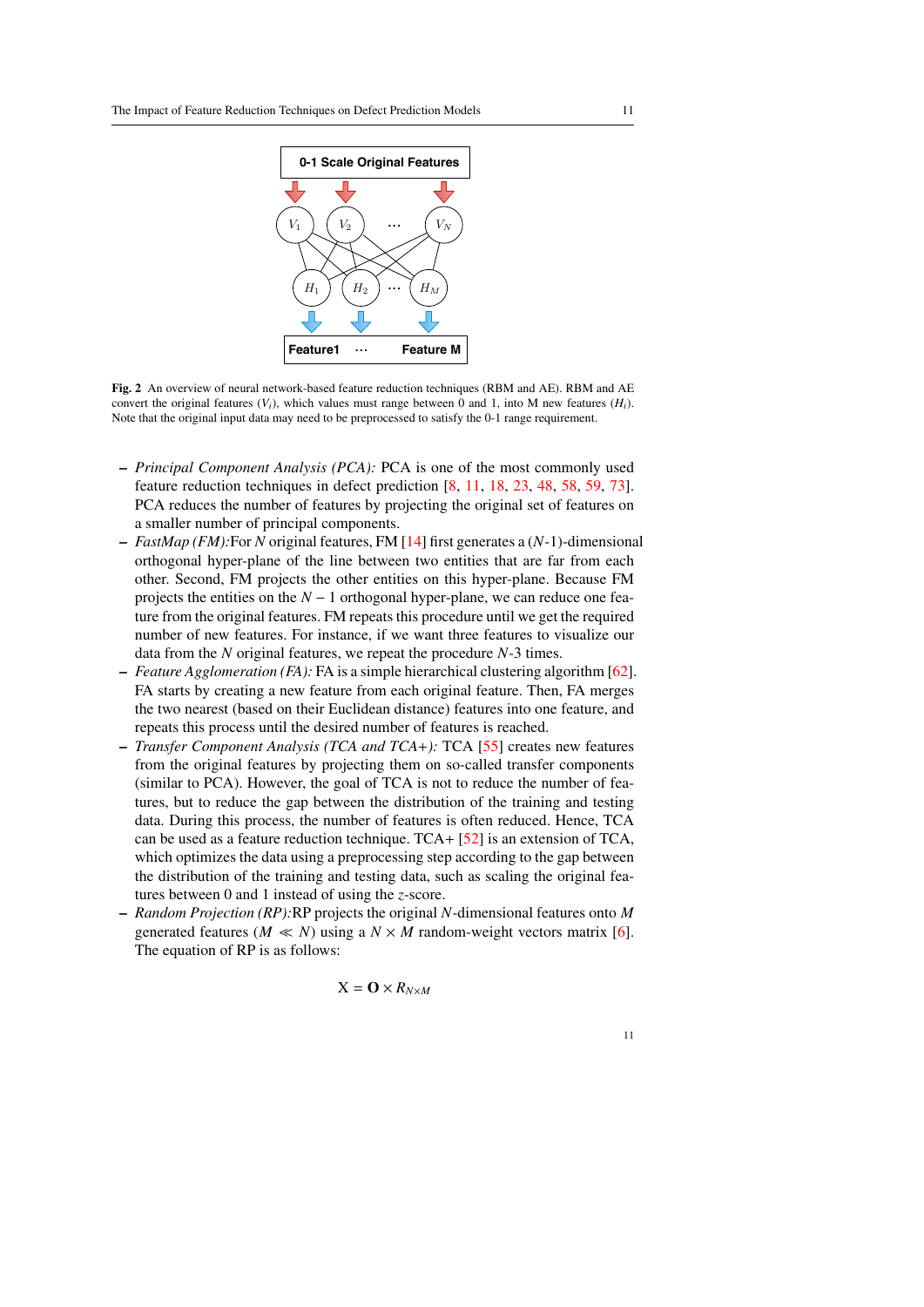

<span id="page-11-0"></span>Fig. 2 An overview of neural network-based feature reduction techniques (RBM and AE). RBM and AE convert the original features  $(V_i)$ , which values must range between 0 and 1, into M new features  $(H_i)$ . Note that the original input data may need to be preprocessed to satisfy the 0-1 range requirement.

- *Principal Component Analysis (PCA):* PCA is one of the most commonly used feature reduction techniques in defect prediction [\[8,](#page-35-4) [11,](#page-35-1) [18,](#page-36-1) [23,](#page-36-3) [48,](#page-37-5) [58,](#page-38-0) [59,](#page-38-9) [73\]](#page-39-1). PCA reduces the number of features by projecting the original set of features on a smaller number of principal components.
- *FastMap (FM):*For *N* original features, FM [\[14\]](#page-35-6) first generates a (*N*-1)-dimensional orthogonal hyper-plane of the line between two entities that are far from each other. Second, FM projects the other entities on this hyper-plane. Because FM projects the entities on the *N* − 1 orthogonal hyper-plane, we can reduce one feature from the original features. FM repeats this procedure until we get the required number of new features. For instance, if we want three features to visualize our data from the *N* original features, we repeat the procedure *N*-3 times.
- *Feature Agglomeration (FA):* FA is a simple hierarchical clustering algorithm [\[62\]](#page-38-3). FA starts by creating a new feature from each original feature. Then, FA merges the two nearest (based on their Euclidean distance) features into one feature, and repeats this process until the desired number of features is reached.
- *Transfer Component Analysis (TCA and TCA*+*):* TCA [\[55\]](#page-38-4) creates new features from the original features by projecting them on so-called transfer components (similar to PCA). However, the goal of TCA is not to reduce the number of features, but to reduce the gap between the distribution of the training and testing data. During this process, the number of features is often reduced. Hence, TCA can be used as a feature reduction technique. TCA+ [\[52\]](#page-37-4) is an extension of TCA, which optimizes the data using a preprocessing step according to the gap between the distribution of the training and testing data, such as scaling the original features between 0 and 1 instead of using the *z*-score.
- *Random Projection (RP):*RP projects the original *N*-dimensional features onto *M* generated features ( $M \ll N$ ) using a  $N \times M$  random-weight vectors matrix [\[6\]](#page-35-7). The equation of RP is as follows:

$$
X = \mathbf{O} \times R_{N \times M}
$$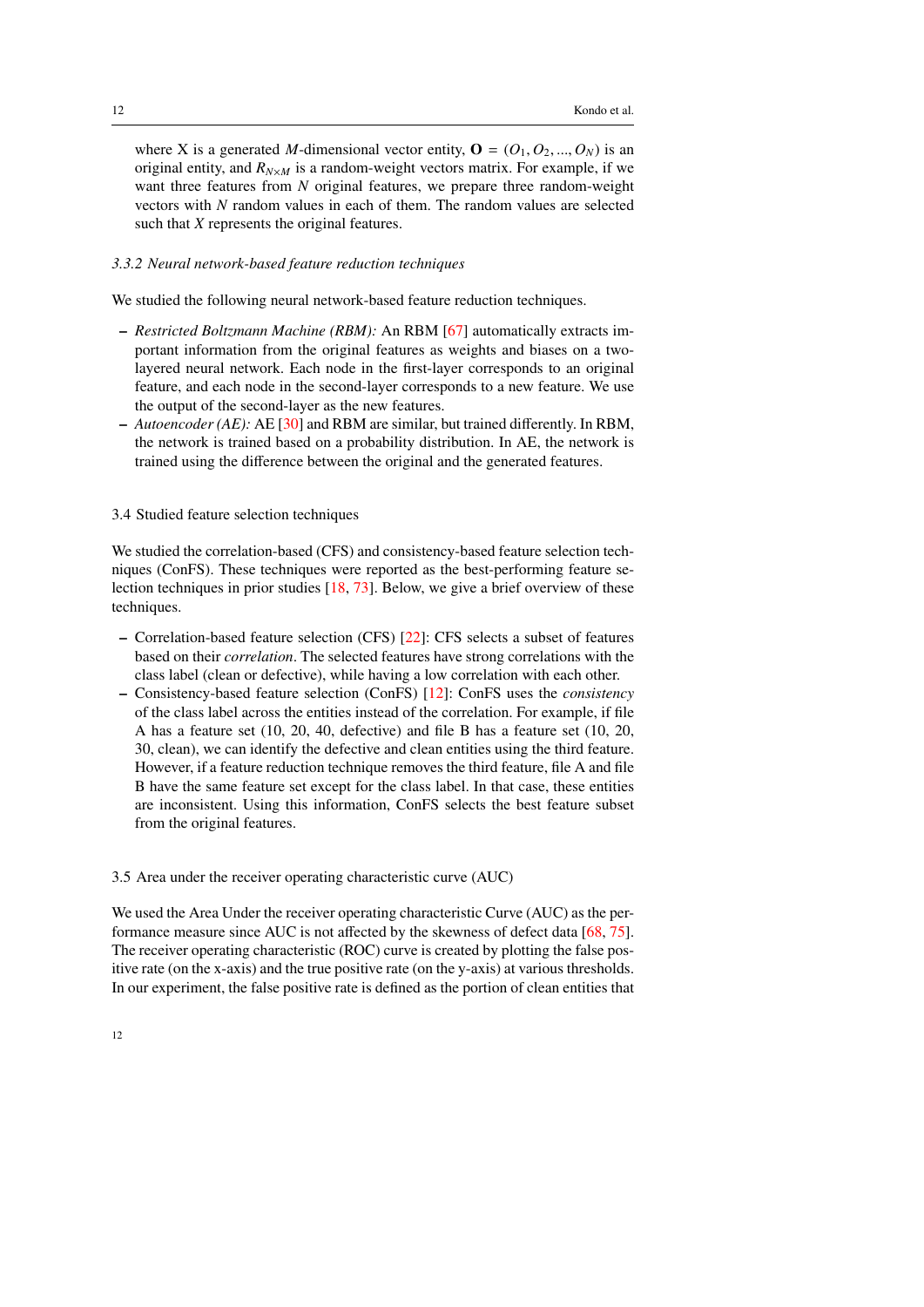where X is a generated *M*-dimensional vector entity,  $\mathbf{O} = (O_1, O_2, ..., O_N)$  is an original entity, and  $R_{N \times M}$  is a random-weight vectors matrix. For example, if we want three features from *N* original features, we prepare three random-weight vectors with *N* random values in each of them. The random values are selected such that *X* represents the original features.

#### *3.3.2 Neural network-based feature reduction techniques*

We studied the following neural network-based feature reduction techniques.

- *Restricted Boltzmann Machine (RBM):* An RBM [\[67\]](#page-38-5) automatically extracts important information from the original features as weights and biases on a twolayered neural network. Each node in the first-layer corresponds to an original feature, and each node in the second-layer corresponds to a new feature. We use the output of the second-layer as the new features.
- *Autoencoder (AE):* AE [\[30\]](#page-36-7) and RBM are similar, but trained differently. In RBM, the network is trained based on a probability distribution. In AE, the network is trained using the difference between the original and the generated features.

3.4 Studied feature selection techniques

We studied the correlation-based (CFS) and consistency-based feature selection techniques (ConFS). These techniques were reported as the best-performing feature selection techniques in prior studies  $[18, 73]$  $[18, 73]$  $[18, 73]$ . Below, we give a brief overview of these techniques.

- Correlation-based feature selection (CFS) [\[22\]](#page-36-15): CFS selects a subset of features based on their *correlation*. The selected features have strong correlations with the class label (clean or defective), while having a low correlation with each other.
- Consistency-based feature selection (ConFS) [\[12\]](#page-35-13): ConFS uses the *consistency* of the class label across the entities instead of the correlation. For example, if file A has a feature set (10, 20, 40, defective) and file B has a feature set (10, 20, 30, clean), we can identify the defective and clean entities using the third feature. However, if a feature reduction technique removes the third feature, file A and file B have the same feature set except for the class label. In that case, these entities are inconsistent. Using this information, ConFS selects the best feature subset from the original features.

3.5 Area under the receiver operating characteristic curve (AUC)

We used the Area Under the receiver operating characteristic Curve (AUC) as the performance measure since AUC is not affected by the skewness of defect data [\[68,](#page-38-13) [75\]](#page-39-4). The receiver operating characteristic (ROC) curve is created by plotting the false positive rate (on the x-axis) and the true positive rate (on the y-axis) at various thresholds. In our experiment, the false positive rate is defined as the portion of clean entities that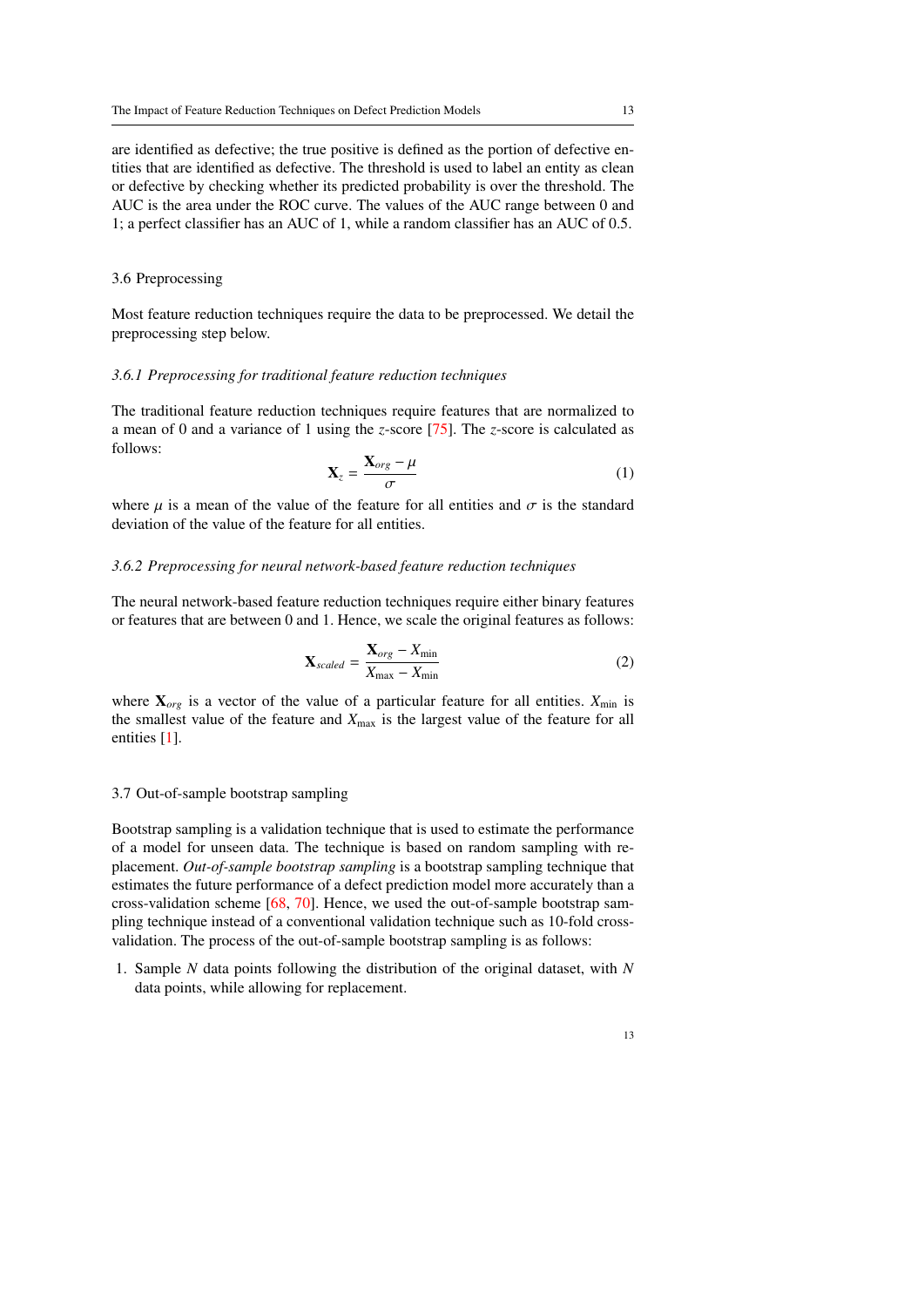are identified as defective; the true positive is defined as the portion of defective entities that are identified as defective. The threshold is used to label an entity as clean or defective by checking whether its predicted probability is over the threshold. The AUC is the area under the ROC curve. The values of the AUC range between 0 and 1; a perfect classifier has an AUC of 1, while a random classifier has an AUC of 0.5.

# <span id="page-13-1"></span>3.6 Preprocessing

Most feature reduction techniques require the data to be preprocessed. We detail the preprocessing step below.

#### *3.6.1 Preprocessing for traditional feature reduction techniques*

The traditional feature reduction techniques require features that are normalized to a mean of 0 and a variance of 1 using the *z*-score [\[75\]](#page-39-4). The *z*-score is calculated as follows:

$$
\mathbf{X}_z = \frac{\mathbf{X}_{org} - \mu}{\sigma} \tag{1}
$$

where  $\mu$  is a mean of the value of the feature for all entities and  $\sigma$  is the standard deviation of the value of the feature for all entities deviation of the value of the feature for all entities.

#### *3.6.2 Preprocessing for neural network-based feature reduction techniques*

The neural network-based feature reduction techniques require either binary features or features that are between 0 and 1. Hence, we scale the original features as follows:

$$
\mathbf{X}_{scaled} = \frac{\mathbf{X}_{org} - X_{\text{min}}}{X_{\text{max}} - X_{\text{min}}} \tag{2}
$$

where  $X_{org}$  is a vector of the value of a particular feature for all entities.  $X_{min}$  is the smallest value of the feature and  $X_{\text{max}}$  is the largest value of the feature for all entities [\[1\]](#page-35-14).

#### 3.7 Out-of-sample bootstrap sampling

Bootstrap sampling is a validation technique that is used to estimate the performance of a model for unseen data. The technique is based on random sampling with replacement. *Out-of-sample bootstrap sampling* is a bootstrap sampling technique that estimates the future performance of a defect prediction model more accurately than a cross-validation scheme [\[68,](#page-38-13) [70\]](#page-39-9). Hence, we used the out-of-sample bootstrap sampling technique instead of a conventional validation technique such as 10-fold crossvalidation. The process of the out-of-sample bootstrap sampling is as follows:

<span id="page-13-0"></span>1. Sample *N* data points following the distribution of the original dataset, with *N* data points, while allowing for replacement.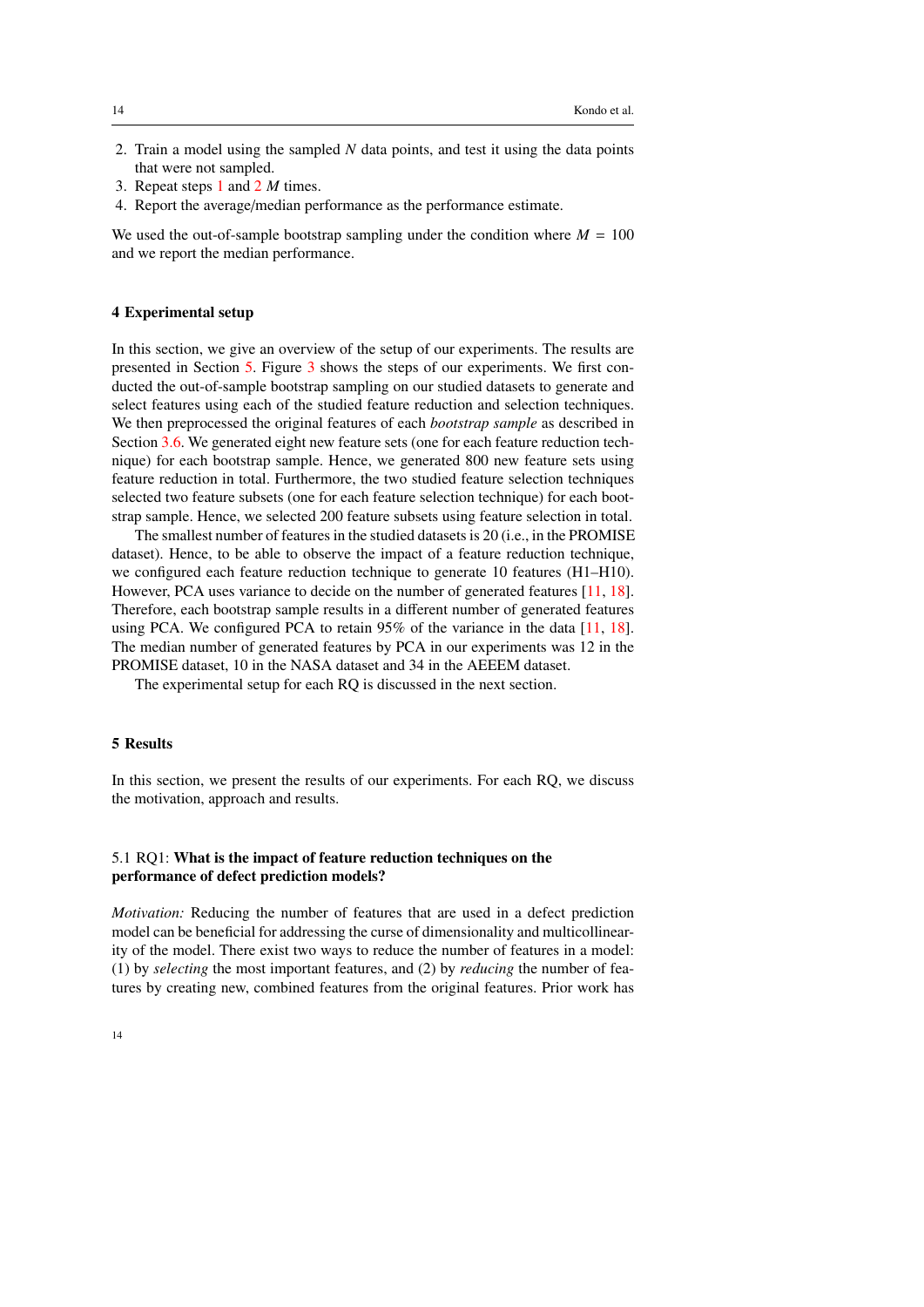- <span id="page-14-2"></span>2. Train a model using the sampled *N* data points, and test it using the data points that were not sampled.
- 3. Repeat steps [1](#page-13-0) and [2](#page-14-2) *M* times.
- 4. Report the average/median performance as the performance estimate.

We used the out-of-sample bootstrap sampling under the condition where  $M = 100$ and we report the median performance.

# <span id="page-14-0"></span>4 Experimental setup

In this section, we give an overview of the setup of our experiments. The results are presented in Section [5.](#page-14-1) Figure [3](#page-15-0) shows the steps of our experiments. We first conducted the out-of-sample bootstrap sampling on our studied datasets to generate and select features using each of the studied feature reduction and selection techniques. We then preprocessed the original features of each *bootstrap sample* as described in Section [3.6.](#page-13-1) We generated eight new feature sets (one for each feature reduction technique) for each bootstrap sample. Hence, we generated 800 new feature sets using feature reduction in total. Furthermore, the two studied feature selection techniques selected two feature subsets (one for each feature selection technique) for each bootstrap sample. Hence, we selected 200 feature subsets using feature selection in total.

The smallest number of features in the studied datasets is 20 (i.e., in the PROMISE dataset). Hence, to be able to observe the impact of a feature reduction technique, we configured each feature reduction technique to generate 10 features (H1–H10). However, PCA uses variance to decide on the number of generated features [\[11,](#page-35-1) [18\]](#page-36-1). Therefore, each bootstrap sample results in a different number of generated features using PCA. We configured PCA to retain 95% of the variance in the data [\[11,](#page-35-1) [18\]](#page-36-1). The median number of generated features by PCA in our experiments was 12 in the PROMISE dataset, 10 in the NASA dataset and 34 in the AEEEM dataset.

The experimental setup for each RQ is discussed in the next section.

#### <span id="page-14-1"></span>5 Results

In this section, we present the results of our experiments. For each RQ, we discuss the motivation, approach and results.

# 5.1 RQ1: What is the impact of feature reduction techniques on the performance of defect prediction models?

*Motivation:* Reducing the number of features that are used in a defect prediction model can be beneficial for addressing the curse of dimensionality and multicollinearity of the model. There exist two ways to reduce the number of features in a model: (1) by *selecting* the most important features, and (2) by *reducing* the number of features by creating new, combined features from the original features. Prior work has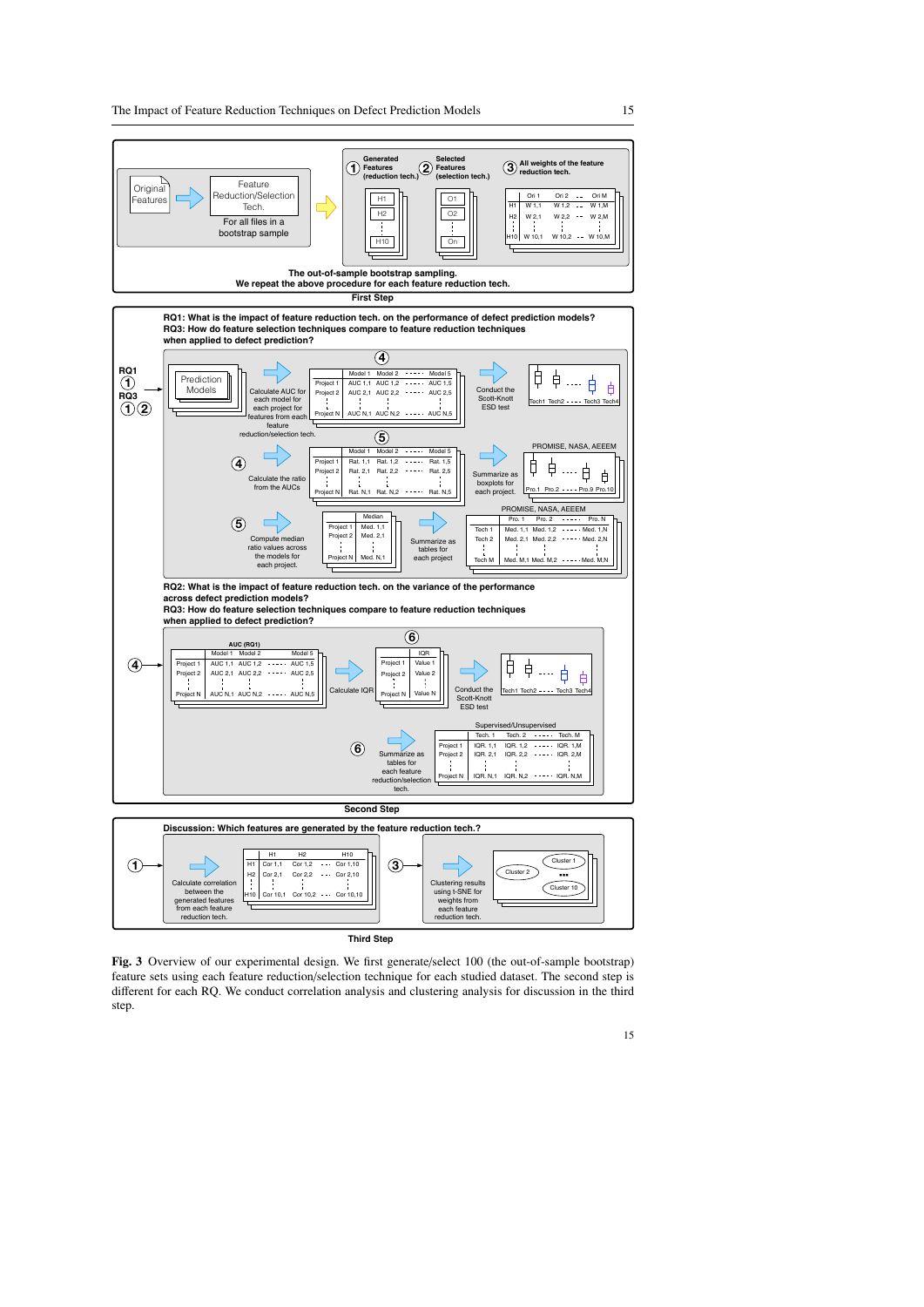

<span id="page-15-0"></span>Fig. 3 Overview of our experimental design. We first generate/select 100 (the out-of-sample bootstrap) feature sets using each feature reduction/selection technique for each studied dataset. The second step is different for each RQ. We conduct correlation analysis and clustering analysis for discussion in the third step.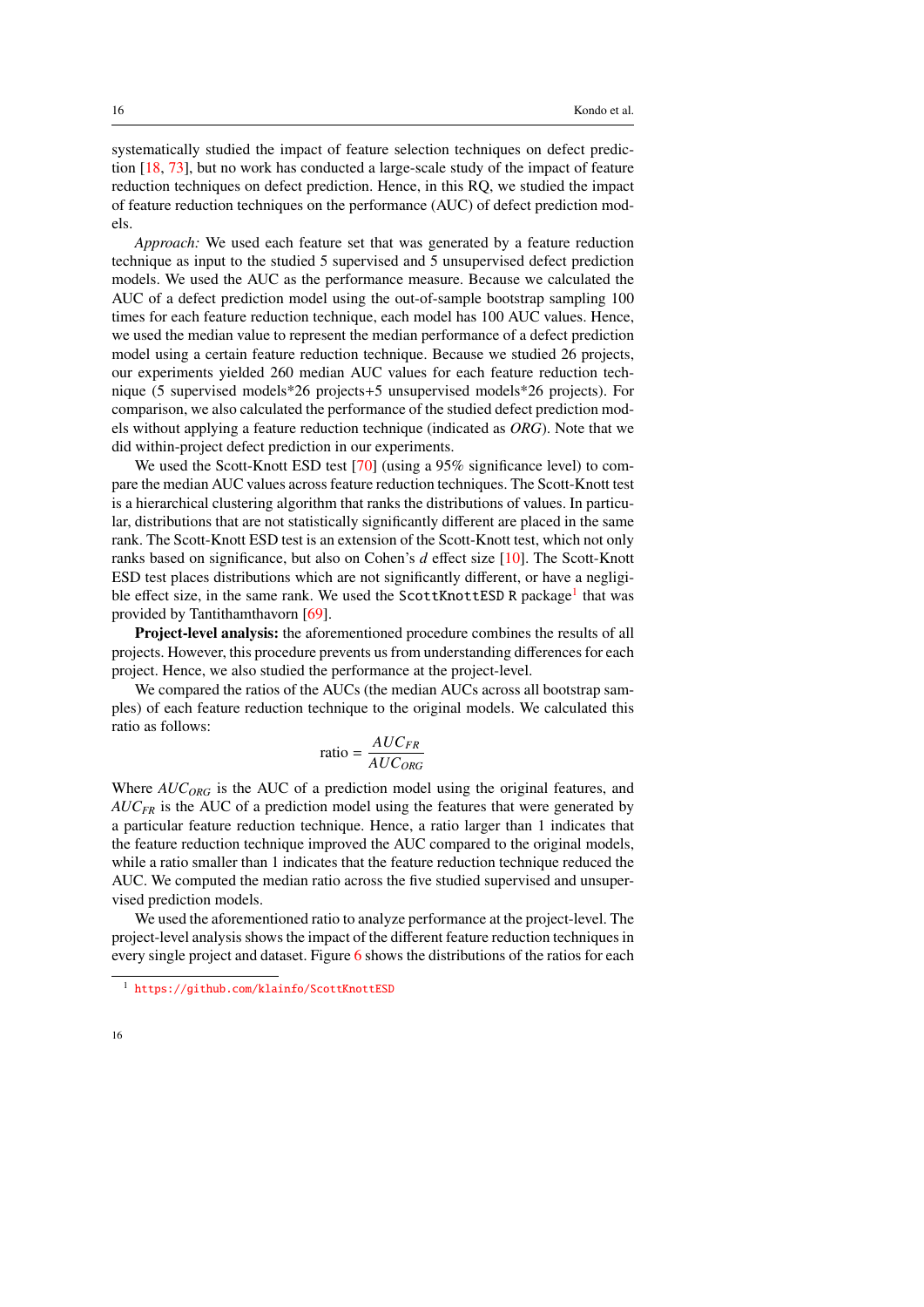systematically studied the impact of feature selection techniques on defect prediction [\[18,](#page-36-1) [73\]](#page-39-1), but no work has conducted a large-scale study of the impact of feature reduction techniques on defect prediction. Hence, in this RQ, we studied the impact of feature reduction techniques on the performance (AUC) of defect prediction models.

*Approach:* We used each feature set that was generated by a feature reduction technique as input to the studied 5 supervised and 5 unsupervised defect prediction models. We used the AUC as the performance measure. Because we calculated the AUC of a defect prediction model using the out-of-sample bootstrap sampling 100 times for each feature reduction technique, each model has 100 AUC values. Hence, we used the median value to represent the median performance of a defect prediction model using a certain feature reduction technique. Because we studied 26 projects, our experiments yielded 260 median AUC values for each feature reduction technique (5 supervised models\*26 projects+5 unsupervised models\*26 projects). For comparison, we also calculated the performance of the studied defect prediction models without applying a feature reduction technique (indicated as *ORG*). Note that we did within-project defect prediction in our experiments.

We used the Scott-Knott ESD test [\[70\]](#page-39-9) (using a 95% significance level) to compare the median AUC values across feature reduction techniques. The Scott-Knott test is a hierarchical clustering algorithm that ranks the distributions of values. In particular, distributions that are not statistically significantly different are placed in the same rank. The Scott-Knott ESD test is an extension of the Scott-Knott test, which not only ranks based on significance, but also on Cohen's *d* effect size [\[10\]](#page-35-15). The Scott-Knott ESD test places distributions which are not significantly different, or have a negligi-ble effect size, in the same rank. We used the ScottKnottESD R package<sup>[1](#page-16-0)</sup> that was provided by Tantithamthavorn [\[69\]](#page-39-7).

Project-level analysis: the aforementioned procedure combines the results of all projects. However, this procedure prevents us from understanding differences for each project. Hence, we also studied the performance at the project-level.

We compared the ratios of the AUCs (the median AUCs across all bootstrap samples) of each feature reduction technique to the original models. We calculated this ratio as follows:

$$
\text{ratio} = \frac{AUC_{FR}}{AUC_{ORG}}
$$

Where  $AUC_{ORG}$  is the AUC of a prediction model using the original features, and *AUCFR* is the AUC of a prediction model using the features that were generated by a particular feature reduction technique. Hence, a ratio larger than 1 indicates that the feature reduction technique improved the AUC compared to the original models, while a ratio smaller than 1 indicates that the feature reduction technique reduced the AUC. We computed the median ratio across the five studied supervised and unsupervised prediction models.

We used the aforementioned ratio to analyze performance at the project-level. The project-level analysis shows the impact of the different feature reduction techniques in every single project and dataset. Figure [6](#page-19-0) shows the distributions of the ratios for each

<span id="page-16-0"></span><https://github.com/klainfo/ScottKnottESD>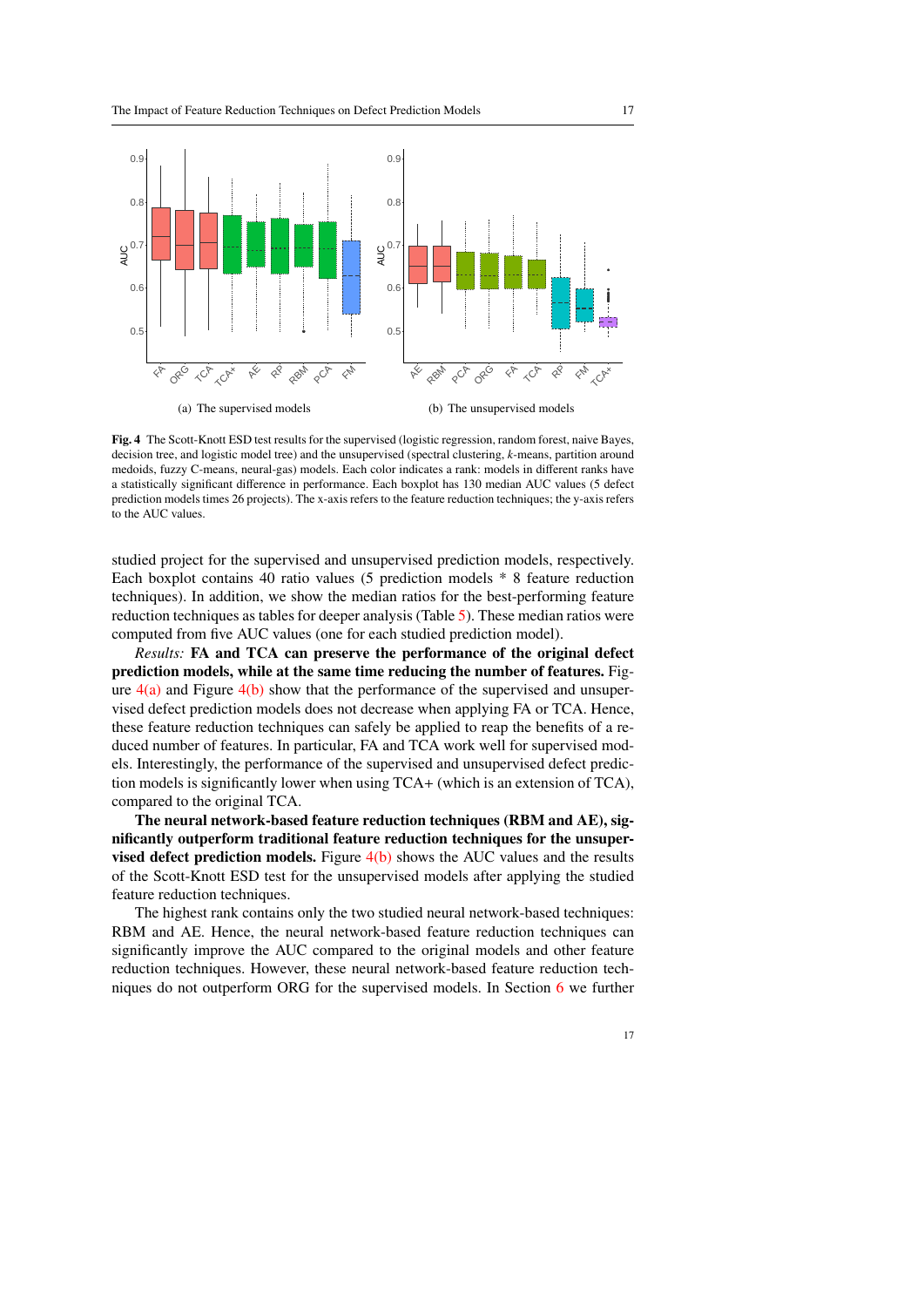<span id="page-17-0"></span>

<span id="page-17-2"></span><span id="page-17-1"></span>Fig. 4 The Scott-Knott ESD test results for the supervised (logistic regression, random forest, naive Bayes, decision tree, and logistic model tree) and the unsupervised (spectral clustering, *k*-means, partition around medoids, fuzzy C-means, neural-gas) models. Each color indicates a rank: models in different ranks have a statistically significant difference in performance. Each boxplot has 130 median AUC values (5 defect prediction models times 26 projects). The x-axis refers to the feature reduction techniques; the y-axis refers to the AUC values.

studied project for the supervised and unsupervised prediction models, respectively. Each boxplot contains 40 ratio values (5 prediction models \* 8 feature reduction techniques). In addition, we show the median ratios for the best-performing feature reduction techniques as tables for deeper analysis (Table [5\)](#page-20-0). These median ratios were computed from five AUC values (one for each studied prediction model).

*Results:* FA and TCA can preserve the performance of the original defect prediction models, while at the same time reducing the number of features. Figure  $4(a)$  and Figure  $4(b)$  show that the performance of the supervised and unsupervised defect prediction models does not decrease when applying FA or TCA. Hence, these feature reduction techniques can safely be applied to reap the benefits of a reduced number of features. In particular, FA and TCA work well for supervised models. Interestingly, the performance of the supervised and unsupervised defect prediction models is significantly lower when using TCA+ (which is an extension of TCA), compared to the original TCA.

The neural network-based feature reduction techniques (RBM and AE), significantly outperform traditional feature reduction techniques for the unsuper**vised defect prediction models.** Figure  $4(b)$  shows the AUC values and the results of the Scott-Knott ESD test for the unsupervised models after applying the studied feature reduction techniques.

The highest rank contains only the two studied neural network-based techniques: RBM and AE. Hence, the neural network-based feature reduction techniques can significantly improve the AUC compared to the original models and other feature reduction techniques. However, these neural network-based feature reduction techniques do not outperform ORG for the supervised models. In Section [6](#page-28-0) we further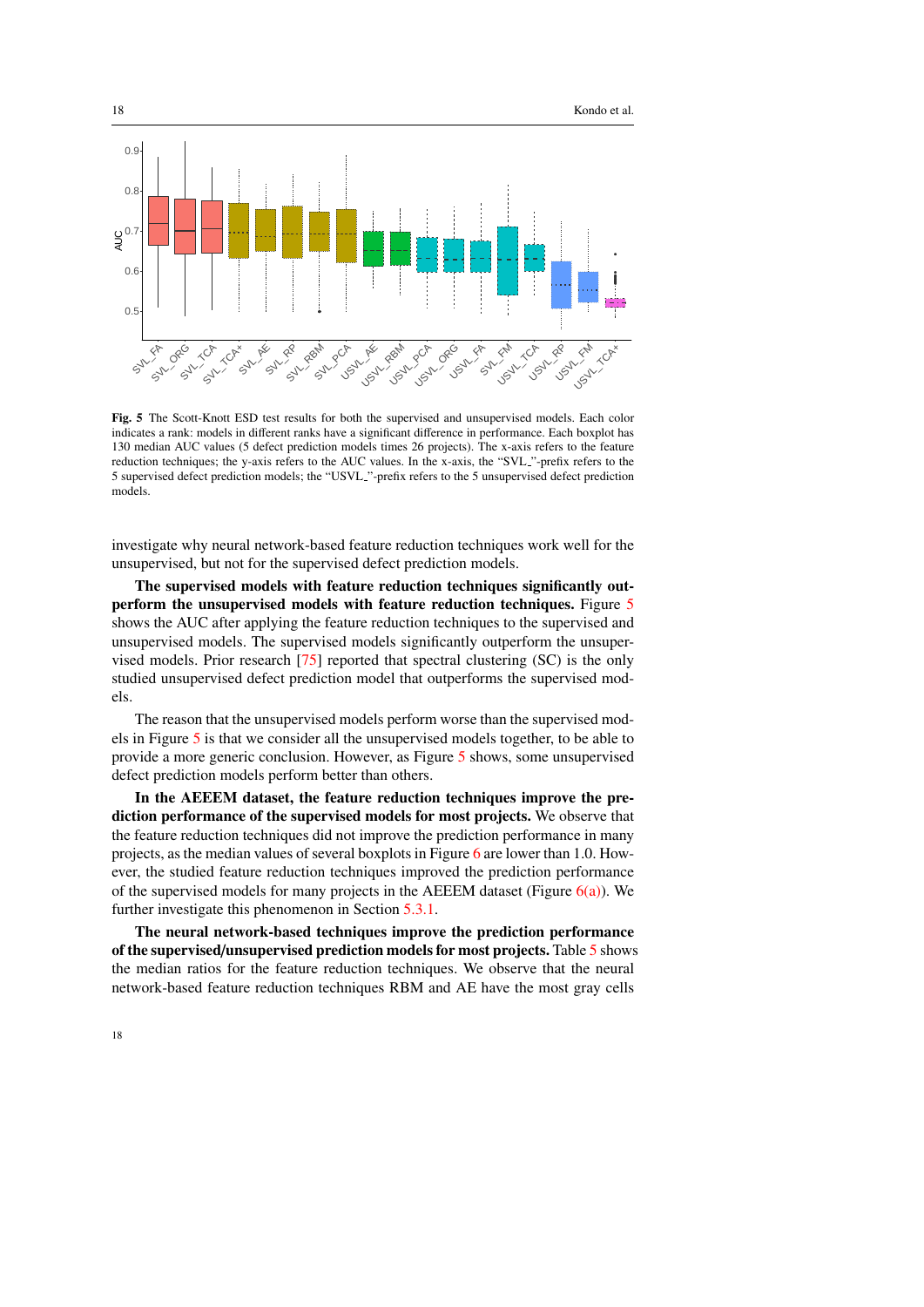

<span id="page-18-0"></span>Fig. 5 The Scott-Knott ESD test results for both the supervised and unsupervised models. Each color indicates a rank: models in different ranks have a significant difference in performance. Each boxplot has 130 median AUC values (5 defect prediction models times 26 projects). The x-axis refers to the feature reduction techniques; the y-axis refers to the AUC values. In the x-axis, the "SVL "-prefix refers to the 5 supervised defect prediction models; the "USVL "-prefix refers to the 5 unsupervised defect prediction models.

investigate why neural network-based feature reduction techniques work well for the unsupervised, but not for the supervised defect prediction models.

The supervised models with feature reduction techniques significantly outperform the unsupervised models with feature reduction techniques. Figure [5](#page-18-0) shows the AUC after applying the feature reduction techniques to the supervised and unsupervised models. The supervised models significantly outperform the unsupervised models. Prior research [\[75\]](#page-39-4) reported that spectral clustering (SC) is the only studied unsupervised defect prediction model that outperforms the supervised models.

The reason that the unsupervised models perform worse than the supervised models in Figure [5](#page-18-0) is that we consider all the unsupervised models together, to be able to provide a more generic conclusion. However, as Figure [5](#page-18-0) shows, some unsupervised defect prediction models perform better than others.

In the AEEEM dataset, the feature reduction techniques improve the prediction performance of the supervised models for most projects. We observe that the feature reduction techniques did not improve the prediction performance in many projects, as the median values of several boxplots in Figure [6](#page-19-0) are lower than 1.0. However, the studied feature reduction techniques improved the prediction performance of the supervised models for many projects in the AEEEM dataset (Figure  $6(a)$ ). We further investigate this phenomenon in Section [5.3.1.](#page-26-0)

The neural network-based techniques improve the prediction performance of the supervised/unsupervised prediction models for most projects. Table [5](#page-20-0) shows the median ratios for the feature reduction techniques. We observe that the neural network-based feature reduction techniques RBM and AE have the most gray cells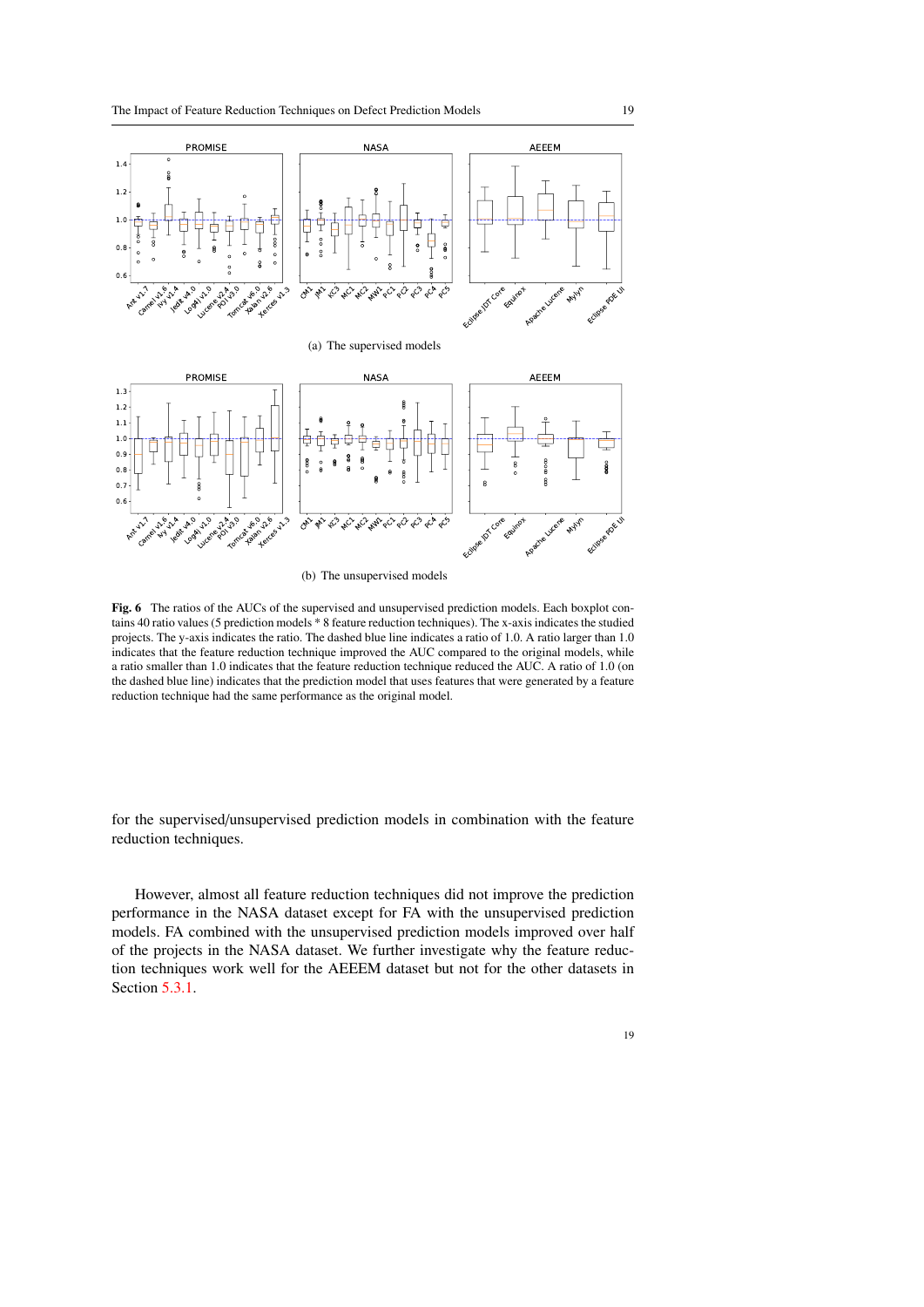<span id="page-19-1"></span>

(b) The unsupervised models

<span id="page-19-0"></span>Fig. 6 The ratios of the AUCs of the supervised and unsupervised prediction models. Each boxplot contains 40 ratio values (5 prediction models \* 8 feature reduction techniques). The x-axis indicates the studied projects. The y-axis indicates the ratio. The dashed blue line indicates a ratio of 1.0. A ratio larger than 1.0 indicates that the feature reduction technique improved the AUC compared to the original models, while a ratio smaller than 1.0 indicates that the feature reduction technique reduced the AUC. A ratio of 1.0 (on the dashed blue line) indicates that the prediction model that uses features that were generated by a feature reduction technique had the same performance as the original model.

for the supervised/unsupervised prediction models in combination with the feature reduction techniques.

However, almost all feature reduction techniques did not improve the prediction performance in the NASA dataset except for FA with the unsupervised prediction models. FA combined with the unsupervised prediction models improved over half of the projects in the NASA dataset. We further investigate why the feature reduction techniques work well for the AEEEM dataset but not for the other datasets in Section [5.3.1.](#page-26-0)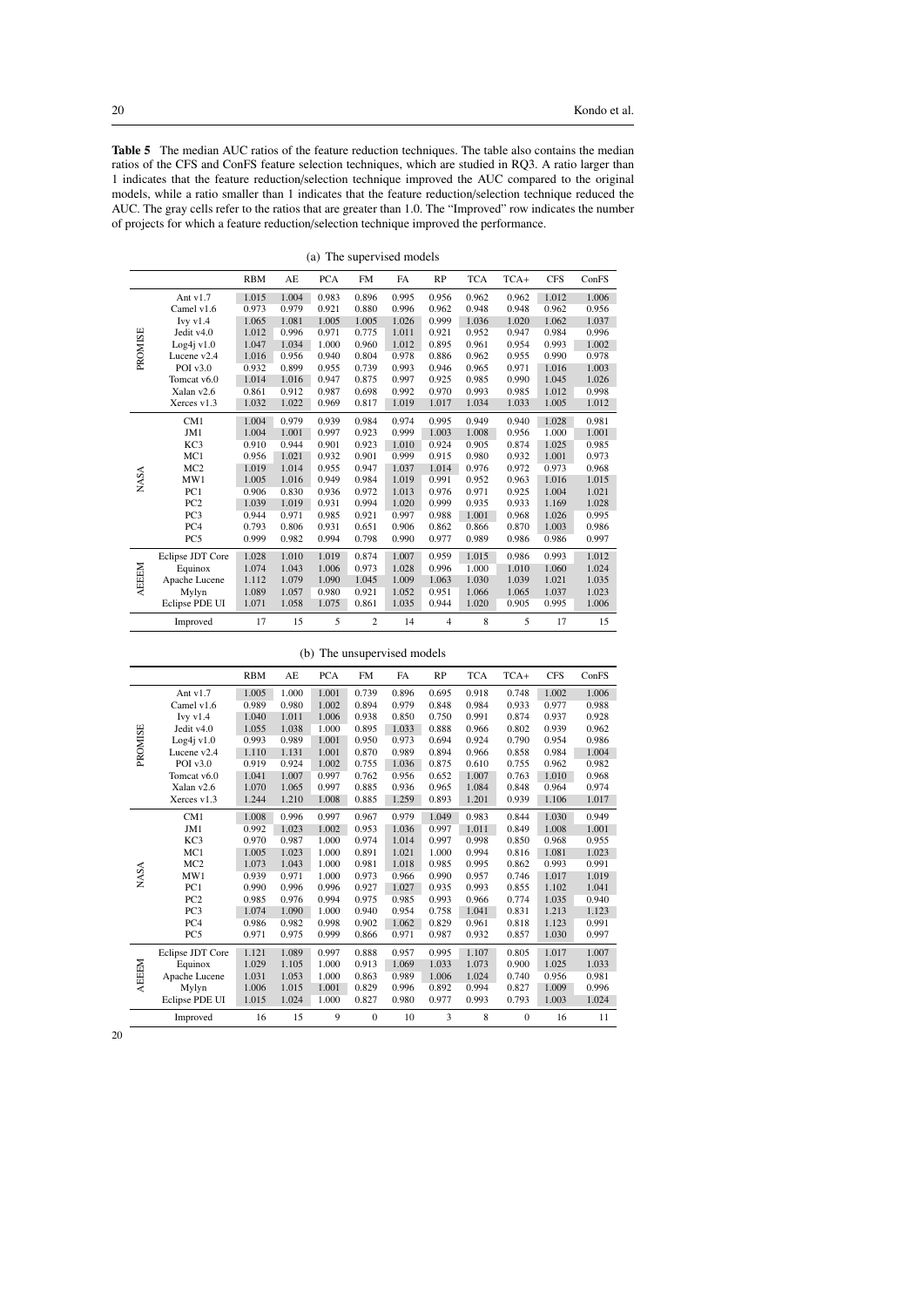<span id="page-20-0"></span>Table 5 The median AUC ratios of the feature reduction techniques. The table also contains the median ratios of the CFS and ConFS feature selection techniques, which are studied in RQ3. A ratio larger than 1 indicates that the feature reduction/selection technique improved the AUC compared to the original models, while a ratio smaller than 1 indicates that the feature reduction/selection technique reduced the AUC. The gray cells refer to the ratios that are greater than 1.0. The "Improved" row indicates the number of projects for which a feature reduction/selection technique improved the performance.

| (a) The supervised models |                  |            |       |            |                |           |                |            |        |            |       |
|---------------------------|------------------|------------|-------|------------|----------------|-----------|----------------|------------|--------|------------|-------|
|                           |                  | <b>RBM</b> | AE    | <b>PCA</b> | <b>FM</b>      | <b>FA</b> | RP             | <b>TCA</b> | $TCA+$ | <b>CFS</b> | ConFS |
|                           | Ant $v1.7$       | 1.015      | 1.004 | 0.983      | 0.896          | 0.995     | 0.956          | 0.962      | 0.962  | 1.012      | 1.006 |
|                           | Camel v1.6       | 0.973      | 0.979 | 0.921      | 0.880          | 0.996     | 0.962          | 0.948      | 0.948  | 0.962      | 0.956 |
|                           | Ivy $v1.4$       | 1.065      | 1.081 | 1.005      | 1.005          | 1.026     | 0.999          | 1.036      | 1.020  | 1.062      | 1.037 |
|                           | Jedit v4.0       | 1.012      | 0.996 | 0.971      | 0.775          | 1.011     | 0.921          | 0.952      | 0.947  | 0.984      | 0.996 |
| PROMISE                   | Log4j v1.0       | 1.047      | 1.034 | 1.000      | 0.960          | 1.012     | 0.895          | 0.961      | 0.954  | 0.993      | 1.002 |
|                           | Lucene v2.4      | 1.016      | 0.956 | 0.940      | 0.804          | 0.978     | 0.886          | 0.962      | 0.955  | 0.990      | 0.978 |
|                           | POIv3.0          | 0.932      | 0.899 | 0.955      | 0.739          | 0.993     | 0.946          | 0.965      | 0.971  | 1.016      | 1.003 |
|                           | Tomcat v6.0      | 1.014      | 1.016 | 0.947      | 0.875          | 0.997     | 0.925          | 0.985      | 0.990  | 1.045      | 1.026 |
|                           | Xalan v2.6       | 0.861      | 0.912 | 0.987      | 0.698          | 0.992     | 0.970          | 0.993      | 0.985  | 1.012      | 0.998 |
|                           | Xerces v1.3      | 1.032      | 1.022 | 0.969      | 0.817          | 1.019     | 1.017          | 1.034      | 1.033  | 1.005      | 1.012 |
|                           | CM1              | 1.004      | 0.979 | 0.939      | 0.984          | 0.974     | 0.995          | 0.949      | 0.940  | 1.028      | 0.981 |
|                           | JM1              | 1.004      | 1.001 | 0.997      | 0.923          | 0.999     | 1.003          | 1.008      | 0.956  | 1.000      | 1.001 |
|                           | KC3              | 0.910      | 0.944 | 0.901      | 0.923          | 1.010     | 0.924          | 0.905      | 0.874  | 1.025      | 0.985 |
|                           | MC1              | 0.956      | 1.021 | 0.932      | 0.901          | 0.999     | 0.915          | 0.980      | 0.932  | 1.001      | 0.973 |
|                           | MC <sub>2</sub>  | 1.019      | 1.014 | 0.955      | 0.947          | 1.037     | 1.014          | 0.976      | 0.972  | 0.973      | 0.968 |
| <b>NASA</b>               | MW1              | 1.005      | 1.016 | 0.949      | 0.984          | 1.019     | 0.991          | 0.952      | 0.963  | 1.016      | 1.015 |
|                           | PC1              | 0.906      | 0.830 | 0.936      | 0.972          | 1.013     | 0.976          | 0.971      | 0.925  | 1.004      | 1.021 |
|                           | PC <sub>2</sub>  | 1.039      | 1.019 | 0.931      | 0.994          | 1.020     | 0.999          | 0.935      | 0.933  | 1.169      | 1.028 |
|                           | PC <sub>3</sub>  | 0.944      | 0.971 | 0.985      | 0.921          | 0.997     | 0.988          | 1.001      | 0.968  | 1.026      | 0.995 |
|                           | PC4              | 0.793      | 0.806 | 0.931      | 0.651          | 0.906     | 0.862          | 0.866      | 0.870  | 1.003      | 0.986 |
|                           | PC5              | 0.999      | 0.982 | 0.994      | 0.798          | 0.990     | 0.977          | 0.989      | 0.986  | 0.986      | 0.997 |
|                           | Eclipse JDT Core | 1.028      | 1.010 | 1.019      | 0.874          | 1.007     | 0.959          | 1.015      | 0.986  | 0.993      | 1.012 |
| AEEEM                     | Equinox          | 1.074      | 1.043 | 1.006      | 0.973          | 1.028     | 0.996          | 1.000      | 1.010  | 1.060      | 1.024 |
|                           | Apache Lucene    | 1.112      | 1.079 | 1.090      | 1.045          | 1.009     | 1.063          | 1.030      | 1.039  | 1.021      | 1.035 |
|                           | Mylyn            | 1.089      | 1.057 | 0.980      | 0.921          | 1.052     | 0.951          | 1.066      | 1.065  | 1.037      | 1.023 |
|                           | Eclipse PDE UI   | 1.071      | 1.058 | 1.075      | 0.861          | 1.035     | 0.944          | 1.020      | 0.905  | 0.995      | 1.006 |
|                           | Improved         | 17         | 15    | 5          | $\overline{c}$ | 14        | $\overline{4}$ | 8          | 5      | 17         | 15    |

| The unsupervised models<br>(b) |                  |            |       |            |              |           |       |            |              |            |       |
|--------------------------------|------------------|------------|-------|------------|--------------|-----------|-------|------------|--------------|------------|-------|
|                                |                  | <b>RBM</b> | AE    | <b>PCA</b> | <b>FM</b>    | <b>FA</b> | RP    | <b>TCA</b> | $TCA+$       | <b>CFS</b> | ConFS |
|                                | Ant v1.7         | 1.005      | 1.000 | 1.001      | 0.739        | 0.896     | 0.695 | 0.918      | 0.748        | 1.002      | 1.006 |
|                                | Camel v1.6       | 0.989      | 0.980 | 1.002      | 0.894        | 0.979     | 0.848 | 0.984      | 0.933        | 0.977      | 0.988 |
|                                | Ivy $v1.4$       | 1.040      | 1.011 | 1.006      | 0.938        | 0.850     | 0.750 | 0.991      | 0.874        | 0.937      | 0.928 |
|                                | Jedit v4.0       | 1.055      | 1.038 | 1.000      | 0.895        | 1.033     | 0.888 | 0.966      | 0.802        | 0.939      | 0.962 |
| PROMISE                        | Log4 $j$ v1.0    | 0.993      | 0.989 | 1.001      | 0.950        | 0.973     | 0.694 | 0.924      | 0.790        | 0.954      | 0.986 |
|                                | Lucene v2.4      | 1.110      | 1.131 | 1.001      | 0.870        | 0.989     | 0.894 | 0.966      | 0.858        | 0.984      | 1.004 |
|                                | POI v3.0         | 0.919      | 0.924 | 1.002      | 0.755        | 1.036     | 0.875 | 0.610      | 0.755        | 0.962      | 0.982 |
|                                | Tomcat v6.0      | 1.041      | 1.007 | 0.997      | 0.762        | 0.956     | 0.652 | 1.007      | 0.763        | 1.010      | 0.968 |
|                                | Xalan v2.6       | 1.070      | 1.065 | 0.997      | 0.885        | 0.936     | 0.965 | 1.084      | 0.848        | 0.964      | 0.974 |
|                                | Xerces v1.3      | 1.244      | 1.210 | 1.008      | 0.885        | 1.259     | 0.893 | 1.201      | 0.939        | 1.106      | 1.017 |
|                                | CM1              | 1.008      | 0.996 | 0.997      | 0.967        | 0.979     | 1.049 | 0.983      | 0.844        | 1.030      | 0.949 |
|                                | JM1              | 0.992      | 1.023 | 1.002      | 0.953        | 1.036     | 0.997 | 1.011      | 0.849        | 1.008      | 1.001 |
|                                | KC3              | 0.970      | 0.987 | 1.000      | 0.974        | 1.014     | 0.997 | 0.998      | 0.850        | 0.968      | 0.955 |
|                                | MC1              | 1.005      | 1.023 | 1.000      | 0.891        | 1.021     | 1.000 | 0.994      | 0.816        | 1.081      | 1.023 |
|                                | MC <sub>2</sub>  | 1.073      | 1.043 | 1.000      | 0.981        | 1.018     | 0.985 | 0.995      | 0.862        | 0.993      | 0.991 |
| <b>NASA</b>                    | MW1              | 0.939      | 0.971 | 1.000      | 0.973        | 0.966     | 0.990 | 0.957      | 0.746        | 1.017      | 1.019 |
|                                | PC1              | 0.990      | 0.996 | 0.996      | 0.927        | 1.027     | 0.935 | 0.993      | 0.855        | 1.102      | 1.041 |
|                                | PC <sub>2</sub>  | 0.985      | 0.976 | 0.994      | 0.975        | 0.985     | 0.993 | 0.966      | 0.774        | 1.035      | 0.940 |
|                                | PC <sub>3</sub>  | 1.074      | 1.090 | 1.000      | 0.940        | 0.954     | 0.758 | 1.041      | 0.831        | 1.213      | 1.123 |
|                                | PC4              | 0.986      | 0.982 | 0.998      | 0.902        | 1.062     | 0.829 | 0.961      | 0.818        | 1.123      | 0.991 |
|                                | PC5              | 0.971      | 0.975 | 0.999      | 0.866        | 0.971     | 0.987 | 0.932      | 0.857        | 1.030      | 0.997 |
|                                | Eclipse JDT Core | 1.121      | 1.089 | 0.997      | 0.888        | 0.957     | 0.995 | 1.107      | 0.805        | 1.017      | 1.007 |
| AEEEM                          | Equinox          | 1.029      | 1.105 | 1.000      | 0.913        | 1.069     | 1.033 | 1.073      | 0.900        | 1.025      | 1.033 |
|                                | Apache Lucene    | 1.031      | 1.053 | 1.000      | 0.863        | 0.989     | 1.006 | 1.024      | 0.740        | 0.956      | 0.981 |
|                                | Mylyn            | 1.006      | 1.015 | 1.001      | 0.829        | 0.996     | 0.892 | 0.994      | 0.827        | 1.009      | 0.996 |
|                                | Eclipse PDE UI   | 1.015      | 1.024 | 1.000      | 0.827        | 0.980     | 0.977 | 0.993      | 0.793        | 1.003      | 1.024 |
|                                | Improved         | 16         | 15    | 9          | $\mathbf{0}$ | 10        | 3     | 8          | $\mathbf{0}$ | 16         | 11    |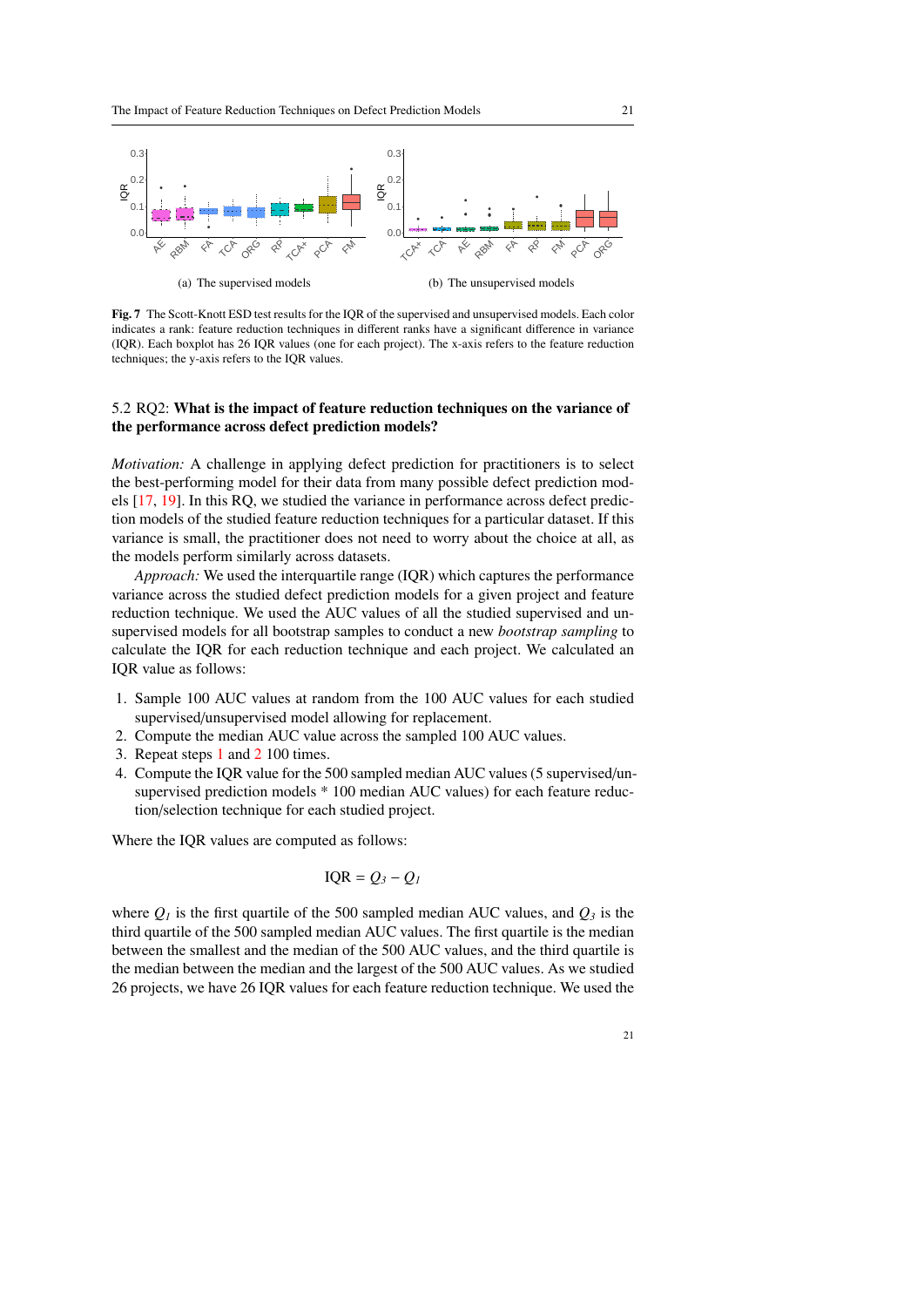<span id="page-21-1"></span>

<span id="page-21-2"></span><span id="page-21-0"></span>Fig. 7 The Scott-Knott ESD test results for the IQR of the supervised and unsupervised models. Each color indicates a rank: feature reduction techniques in different ranks have a significant difference in variance (IQR). Each boxplot has 26 IQR values (one for each project). The x-axis refers to the feature reduction techniques; the y-axis refers to the IQR values.

#### 5.2 RQ2: What is the impact of feature reduction techniques on the variance of the performance across defect prediction models?

*Motivation:* A challenge in applying defect prediction for practitioners is to select the best-performing model for their data from many possible defect prediction models [\[17,](#page-35-16) [19\]](#page-36-16). In this RQ, we studied the variance in performance across defect prediction models of the studied feature reduction techniques for a particular dataset. If this variance is small, the practitioner does not need to worry about the choice at all, as the models perform similarly across datasets.

*Approach:* We used the interquartile range (IQR) which captures the performance variance across the studied defect prediction models for a given project and feature reduction technique. We used the AUC values of all the studied supervised and unsupervised models for all bootstrap samples to conduct a new *bootstrap sampling* to calculate the IQR for each reduction technique and each project. We calculated an IQR value as follows:

- 1. Sample 100 AUC values at random from the 100 AUC values for each studied supervised/unsupervised model allowing for replacement.
- 2. Compute the median AUC value across the sampled 100 AUC values.
- 3. Repeat steps [1](#page-26-1) and [2](#page-26-2) 100 times.
- 4. Compute the IQR value for the 500 sampled median AUC values (5 supervised/unsupervised prediction models \* 100 median AUC values) for each feature reduction/selection technique for each studied project.

Where the IQR values are computed as follows:

$$
IQR = Q_3 - Q_1
$$

where  $Q_I$  is the first quartile of the 500 sampled median AUC values, and  $Q_3$  is the third quartile of the 500 sampled median AUC values. The first quartile is the median between the smallest and the median of the 500 AUC values, and the third quartile is the median between the median and the largest of the 500 AUC values. As we studied 26 projects, we have 26 IQR values for each feature reduction technique. We used the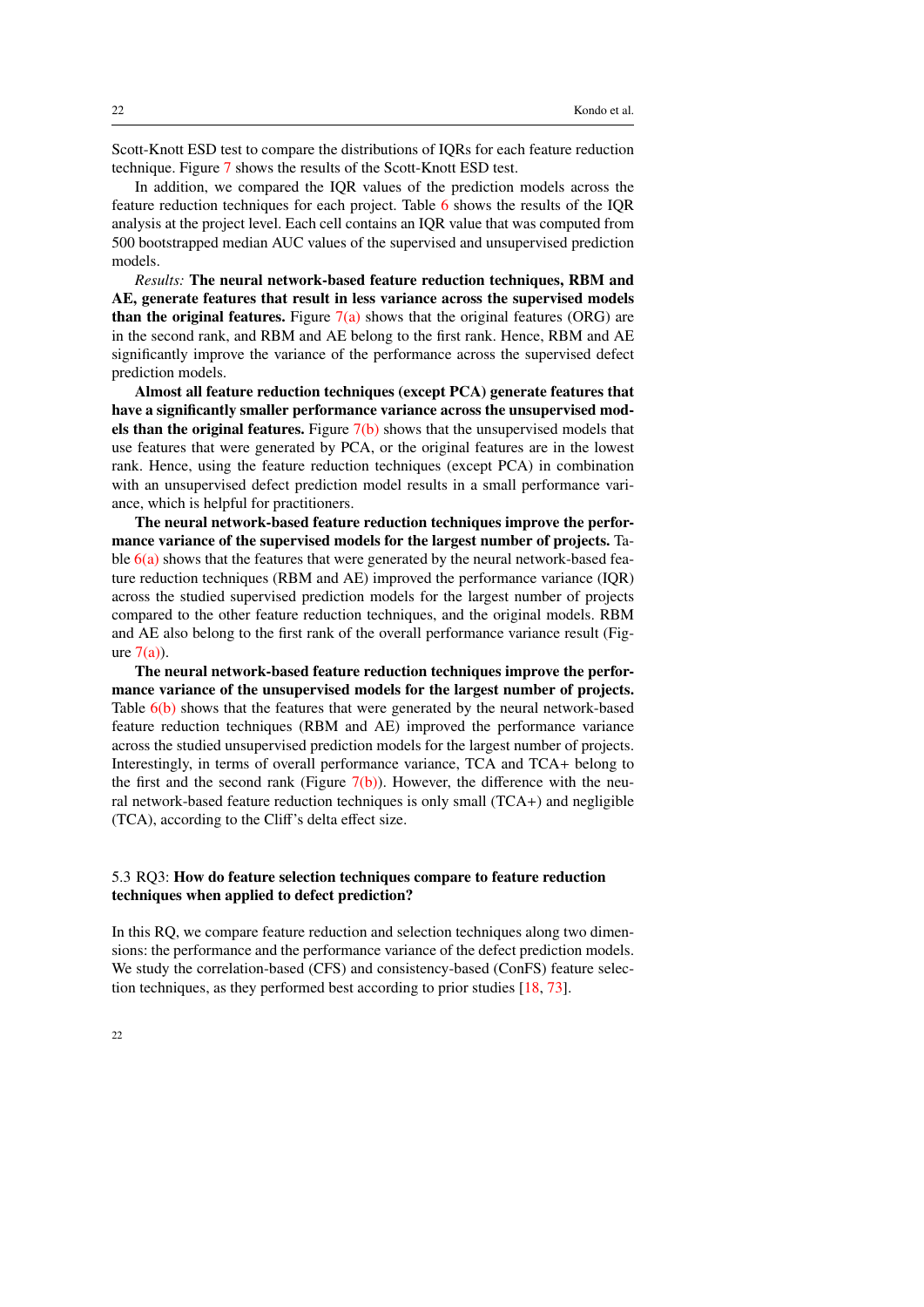Scott-Knott ESD test to compare the distributions of IQRs for each feature reduction technique. Figure [7](#page-21-0) shows the results of the Scott-Knott ESD test.

In addition, we compared the IQR values of the prediction models across the feature reduction techniques for each project. Table [6](#page-23-0) shows the results of the IQR analysis at the project level. Each cell contains an IQR value that was computed from 500 bootstrapped median AUC values of the supervised and unsupervised prediction models.

*Results:* The neural network-based feature reduction techniques, RBM and AE, generate features that result in less variance across the supervised models than the original features. Figure  $7(a)$  shows that the original features (ORG) are in the second rank, and RBM and AE belong to the first rank. Hence, RBM and AE significantly improve the variance of the performance across the supervised defect prediction models.

Almost all feature reduction techniques (except PCA) generate features that have a significantly smaller performance variance across the unsupervised models than the original features. Figure  $7(b)$  shows that the unsupervised models that use features that were generated by PCA, or the original features are in the lowest rank. Hence, using the feature reduction techniques (except PCA) in combination with an unsupervised defect prediction model results in a small performance variance, which is helpful for practitioners.

The neural network-based feature reduction techniques improve the performance variance of the supervised models for the largest number of projects. Table  $6(a)$  shows that the features that were generated by the neural network-based feature reduction techniques (RBM and AE) improved the performance variance (IQR) across the studied supervised prediction models for the largest number of projects compared to the other feature reduction techniques, and the original models. RBM and AE also belong to the first rank of the overall performance variance result (Figure  $7(a)$ ).

The neural network-based feature reduction techniques improve the performance variance of the unsupervised models for the largest number of projects. Table  $6(b)$  shows that the features that were generated by the neural network-based feature reduction techniques (RBM and AE) improved the performance variance across the studied unsupervised prediction models for the largest number of projects. Interestingly, in terms of overall performance variance, TCA and TCA+ belong to the first and the second rank (Figure  $7(b)$ ). However, the difference with the neural network-based feature reduction techniques is only small (TCA+) and negligible (TCA), according to the Cliff's delta effect size.

# 5.3 RQ3: How do feature selection techniques compare to feature reduction techniques when applied to defect prediction?

In this RQ, we compare feature reduction and selection techniques along two dimensions: the performance and the performance variance of the defect prediction models. We study the correlation-based (CFS) and consistency-based (ConFS) feature selection techniques, as they performed best according to prior studies [\[18,](#page-36-1) [73\]](#page-39-1).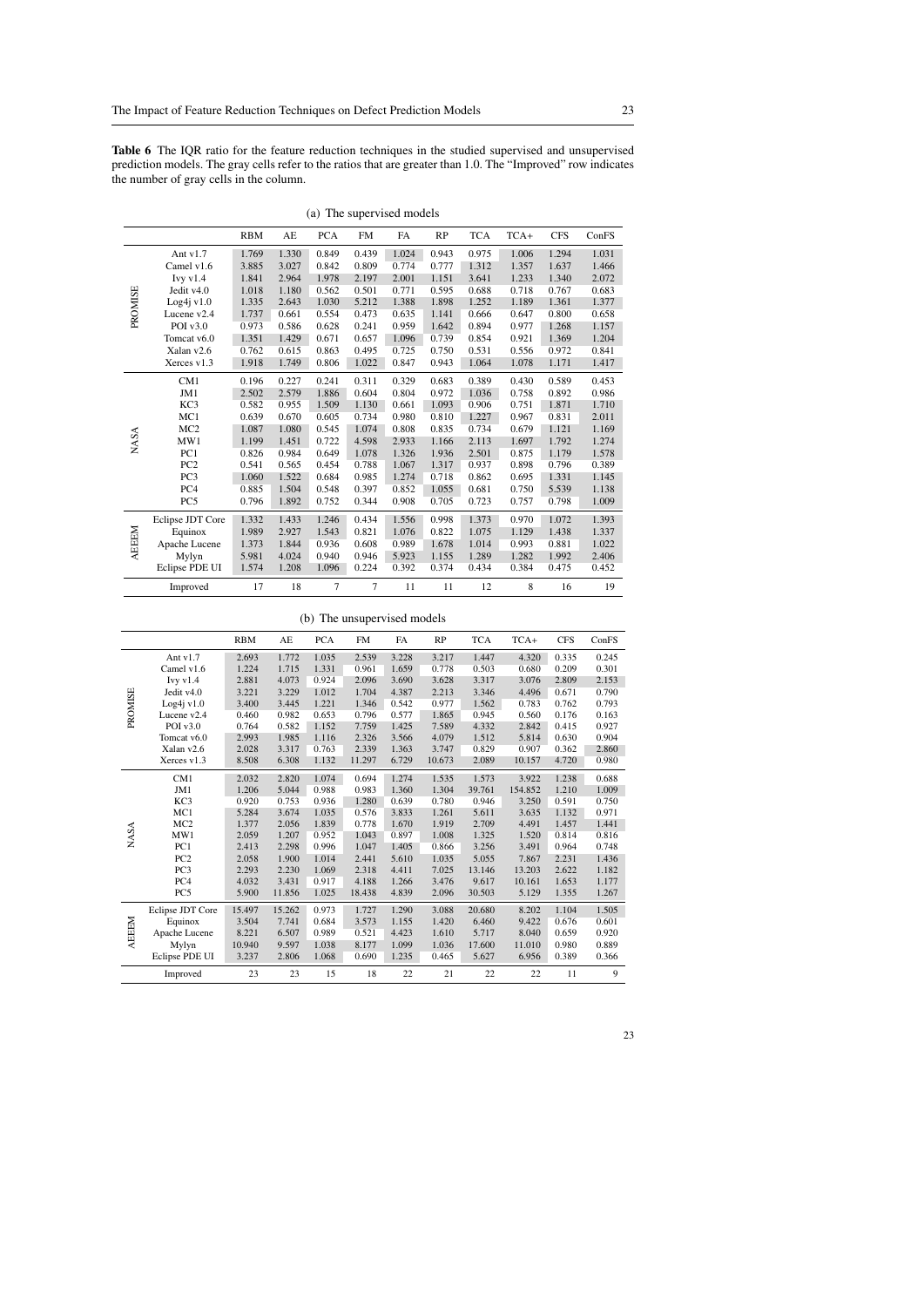<span id="page-23-0"></span>Table 6 The IQR ratio for the feature reduction techniques in the studied supervised and unsupervised prediction models. The gray cells refer to the ratios that are greater than 1.0. The "Improved" row indicates the number of gray cells in the column.

<span id="page-23-1"></span>

| (a) The supervised models |                  |            |       |                |           |           |       |            |        |            |       |
|---------------------------|------------------|------------|-------|----------------|-----------|-----------|-------|------------|--------|------------|-------|
|                           |                  | <b>RBM</b> | AE    | <b>PCA</b>     | <b>FM</b> | <b>FA</b> | RP    | <b>TCA</b> | $TCA+$ | <b>CFS</b> | ConFS |
|                           | Ant v1.7         | 1.769      | 1.330 | 0.849          | 0.439     | 1.024     | 0.943 | 0.975      | 1.006  | 1.294      | 1.031 |
|                           | Camel v1.6       | 3.885      | 3.027 | 0.842          | 0.809     | 0.774     | 0.777 | 1.312      | 1.357  | 1.637      | 1.466 |
|                           | $Ivy$ $v1.4$     | 1.841      | 2.964 | 1.978          | 2.197     | 2.001     | 1.151 | 3.641      | 1.233  | 1.340      | 2.072 |
|                           | Jedit v4.0       | 1.018      | 1.180 | 0.562          | 0.501     | 0.771     | 0.595 | 0.688      | 0.718  | 0.767      | 0.683 |
| PROMISE                   | Log4j v1.0       | 1.335      | 2.643 | 1.030          | 5.212     | 1.388     | 1.898 | 1.252      | 1.189  | 1.361      | 1.377 |
|                           | Lucene v2.4      | 1.737      | 0.661 | 0.554          | 0.473     | 0.635     | 1.141 | 0.666      | 0.647  | 0.800      | 0.658 |
|                           | POI v3.0         | 0.973      | 0.586 | 0.628          | 0.241     | 0.959     | 1.642 | 0.894      | 0.977  | 1.268      | 1.157 |
|                           | Tomcat v6.0      | 1.351      | 1.429 | 0.671          | 0.657     | 1.096     | 0.739 | 0.854      | 0.921  | 1.369      | 1.204 |
|                           | Xalan v2.6       | 0.762      | 0.615 | 0.863          | 0.495     | 0.725     | 0.750 | 0.531      | 0.556  | 0.972      | 0.841 |
|                           | Xerces v1.3      | 1.918      | 1.749 | 0.806          | 1.022     | 0.847     | 0.943 | 1.064      | 1.078  | 1.171      | 1.417 |
|                           | CM1              | 0.196      | 0.227 | 0.241          | 0.311     | 0.329     | 0.683 | 0.389      | 0.430  | 0.589      | 0.453 |
|                           | JM1              | 2.502      | 2.579 | 1.886          | 0.604     | 0.804     | 0.972 | 1.036      | 0.758  | 0.892      | 0.986 |
|                           | KC3              | 0.582      | 0.955 | 1.509          | 1.130     | 0.661     | 1.093 | 0.906      | 0.751  | 1.871      | 1.710 |
|                           | MC1              | 0.639      | 0.670 | 0.605          | 0.734     | 0.980     | 0.810 | 1.227      | 0.967  | 0.831      | 2.011 |
|                           | MC <sub>2</sub>  | 1.087      | 1.080 | 0.545          | 1.074     | 0.808     | 0.835 | 0.734      | 0.679  | 1.121      | 1.169 |
| <b>NASA</b>               | MW1              | 1.199      | 1.451 | 0.722          | 4.598     | 2.933     | 1.166 | 2.113      | 1.697  | 1.792      | 1.274 |
|                           | PC <sub>1</sub>  | 0.826      | 0.984 | 0.649          | 1.078     | 1.326     | 1.936 | 2.501      | 0.875  | 1.179      | 1.578 |
|                           | PC <sub>2</sub>  | 0.541      | 0.565 | 0.454          | 0.788     | 1.067     | 1.317 | 0.937      | 0.898  | 0.796      | 0.389 |
|                           | PC <sub>3</sub>  | 1.060      | 1.522 | 0.684          | 0.985     | 1.274     | 0.718 | 0.862      | 0.695  | 1.331      | 1.145 |
|                           | PC4              | 0.885      | 1.504 | 0.548          | 0.397     | 0.852     | 1.055 | 0.681      | 0.750  | 5.539      | 1.138 |
|                           | PC5              | 0.796      | 1.892 | 0.752          | 0.344     | 0.908     | 0.705 | 0.723      | 0.757  | 0.798      | 1.009 |
|                           | Eclipse JDT Core | 1.332      | 1.433 | 1.246          | 0.434     | 1.556     | 0.998 | 1.373      | 0.970  | 1.072      | 1.393 |
|                           | Equinox          | 1.989      | 2.927 | 1.543          | 0.821     | 1.076     | 0.822 | 1.075      | 1.129  | 1.438      | 1.337 |
| <b>AEEEM</b>              | Apache Lucene    | 1.373      | 1.844 | 0.936          | 0.608     | 0.989     | 1.678 | 1.014      | 0.993  | 0.881      | 1.022 |
|                           | Mylyn            | 5.981      | 4.024 | 0.940          | 0.946     | 5.923     | 1.155 | 1.289      | 1.282  | 1.992      | 2.406 |
|                           | Eclipse PDE UI   | 1.574      | 1.208 | 1.096          | 0.224     | 0.392     | 0.374 | 0.434      | 0.384  | 0.475      | 0.452 |
|                           | Improved         | 17         | 18    | $\overline{7}$ | 7         | 11        | 11    | 12         | 8      | 16         | 19    |

<span id="page-23-2"></span>

|             | (b) The unsupervised moders |            |        |            |           |           |        |            |         |            |       |  |
|-------------|-----------------------------|------------|--------|------------|-----------|-----------|--------|------------|---------|------------|-------|--|
|             |                             | <b>RBM</b> | AE     | <b>PCA</b> | <b>FM</b> | <b>FA</b> | RP     | <b>TCA</b> | TCA+    | <b>CFS</b> | ConFS |  |
|             | Ant v1.7                    | 2.693      | 1.772  | 1.035      | 2.539     | 3.228     | 3.217  | 1.447      | 4.320   | 0.335      | 0.245 |  |
|             | Camel v1.6                  | 1.224      | 1.715  | 1.331      | 0.961     | 1.659     | 0.778  | 0.503      | 0.680   | 0.209      | 0.301 |  |
|             | Ivy $v1.4$                  | 2.881      | 4.073  | 0.924      | 2.096     | 3.690     | 3.628  | 3.317      | 3.076   | 2.809      | 2.153 |  |
|             | Jedit v4.0                  | 3.221      | 3.229  | 1.012      | 1.704     | 4.387     | 2.213  | 3.346      | 4.496   | 0.671      | 0.790 |  |
| PROMISE     | Log4j v1.0                  | 3.400      | 3.445  | 1.221      | 1.346     | 0.542     | 0.977  | 1.562      | 0.783   | 0.762      | 0.793 |  |
|             | Lucene v2.4                 | 0.460      | 0.982  | 0.653      | 0.796     | 0.577     | 1.865  | 0.945      | 0.560   | 0.176      | 0.163 |  |
|             | POI v3.0                    | 0.764      | 0.582  | 1.152      | 7.759     | 1.425     | 7.589  | 4.332      | 2.842   | 0.415      | 0.927 |  |
|             | Tomcat v6.0                 | 2.993      | 1.985  | 1.116      | 2.326     | 3.566     | 4.079  | 1.512      | 5.814   | 0.630      | 0.904 |  |
|             | Xalan v2.6                  | 2.028      | 3.317  | 0.763      | 2.339     | 1.363     | 3.747  | 0.829      | 0.907   | 0.362      | 2.860 |  |
|             | Xerces v1.3                 | 8.508      | 6.308  | 1.132      | 11.297    | 6.729     | 10.673 | 2.089      | 10.157  | 4.720      | 0.980 |  |
|             | CM1                         | 2.032      | 2.820  | 1.074      | 0.694     | 1.274     | 1.535  | 1.573      | 3.922   | 1.238      | 0.688 |  |
|             | JM1                         | 1.206      | 5.044  | 0.988      | 0.983     | 1.360     | 1.304  | 39.761     | 154.852 | 1.210      | 1.009 |  |
|             | KC3                         | 0.920      | 0.753  | 0.936      | 1.280     | 0.639     | 0.780  | 0.946      | 3.250   | 0.591      | 0.750 |  |
|             | MC1                         | 5.284      | 3.674  | 1.035      | 0.576     | 3.833     | 1.261  | 5.611      | 3.635   | 1.132      | 0.971 |  |
|             | MC2                         | 1.377      | 2.056  | 1.839      | 0.778     | 1.670     | 1.919  | 2.709      | 4.491   | 1.457      | 1.441 |  |
| <b>NASA</b> | MW1                         | 2.059      | 1.207  | 0.952      | 1.043     | 0.897     | 1.008  | 1.325      | 1.520   | 0.814      | 0.816 |  |
|             | PC1                         | 2.413      | 2.298  | 0.996      | 1.047     | 1.405     | 0.866  | 3.256      | 3.491   | 0.964      | 0.748 |  |
|             | PC <sub>2</sub>             | 2.058      | 1.900  | 1.014      | 2.441     | 5.610     | 1.035  | 5.055      | 7.867   | 2.231      | 1.436 |  |
|             | PC <sub>3</sub>             | 2.293      | 2.230  | 1.069      | 2.318     | 4.411     | 7.025  | 13.146     | 13.203  | 2.622      | 1.182 |  |
|             | PC <sub>4</sub>             | 4.032      | 3.431  | 0.917      | 4.188     | 1.266     | 3.476  | 9.617      | 10.161  | 1.653      | 1.177 |  |
|             | PC5                         | 5.900      | 11.856 | 1.025      | 18.438    | 4.839     | 2.096  | 30.503     | 5.129   | 1.355      | 1.267 |  |
|             | Eclipse JDT Core            | 15.497     | 15.262 | 0.973      | 1.727     | 1.290     | 3.088  | 20.680     | 8.202   | 1.104      | 1.505 |  |
| AEEEM       | Equinox                     | 3.504      | 7.741  | 0.684      | 3.573     | 1.155     | 1.420  | 6.460      | 9.422   | 0.676      | 0.601 |  |
|             | Apache Lucene               | 8.221      | 6.507  | 0.989      | 0.521     | 4.423     | 1.610  | 5.717      | 8.040   | 0.659      | 0.920 |  |
|             | Mylyn                       | 10.940     | 9.597  | 1.038      | 8.177     | 1.099     | 1.036  | 17.600     | 11.010  | 0.980      | 0.889 |  |
|             | Eclipse PDE UI              | 3.237      | 2.806  | 1.068      | 0.690     | 1.235     | 0.465  | 5.627      | 6.956   | 0.389      | 0.366 |  |
|             | Improved                    | 23         | 23     | 15         | 18        | 22        | 21     | 22         | 22      | 11         | 9     |  |

(b) The unsupervised models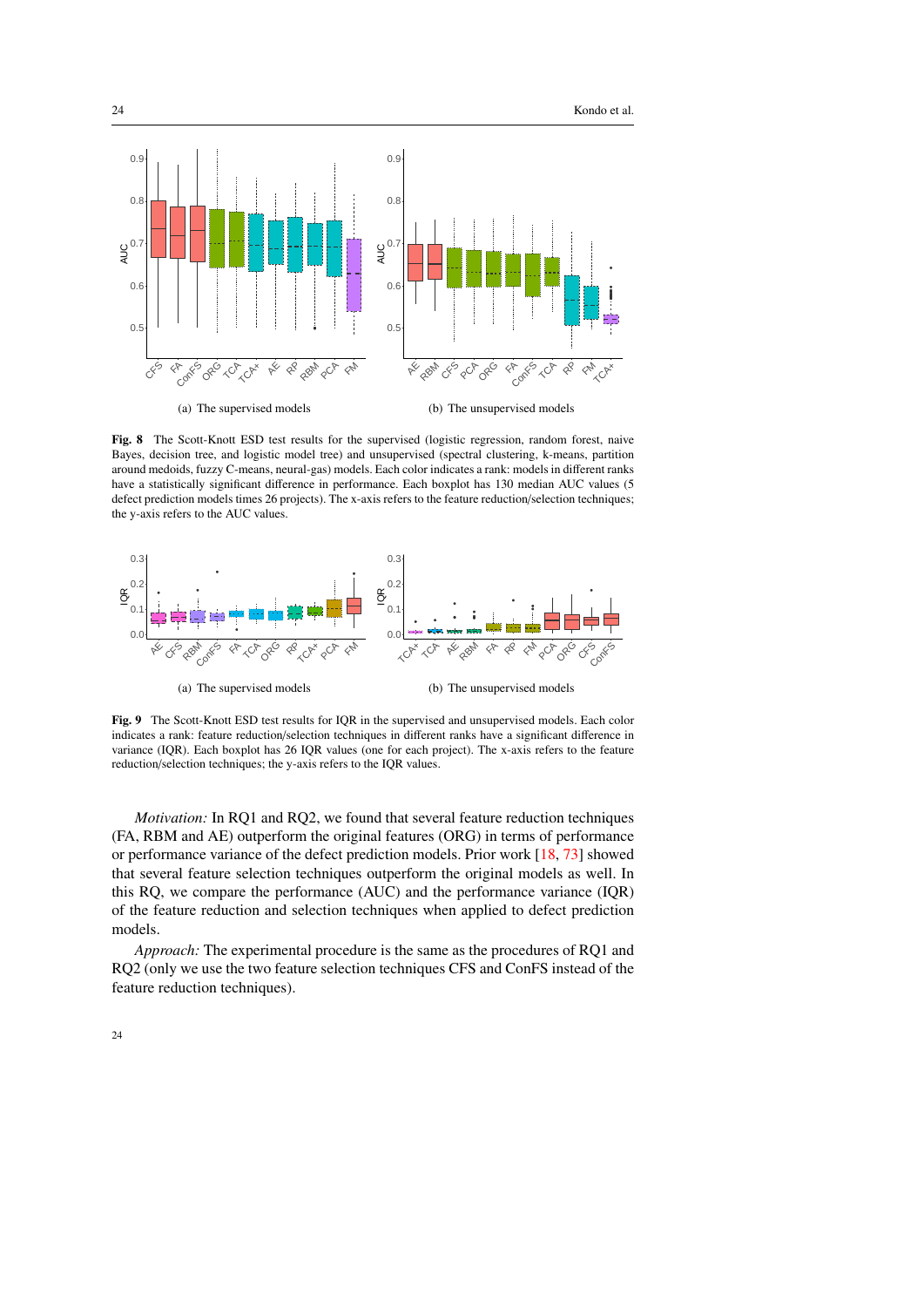<span id="page-24-0"></span>

<span id="page-24-1"></span>Fig. 8 The Scott-Knott ESD test results for the supervised (logistic regression, random forest, naive Bayes, decision tree, and logistic model tree) and unsupervised (spectral clustering, k-means, partition around medoids, fuzzy C-means, neural-gas) models. Each color indicates a rank: models in different ranks have a statistically significant difference in performance. Each boxplot has 130 median AUC values (5 defect prediction models times 26 projects). The x-axis refers to the feature reduction/selection techniques; the y-axis refers to the AUC values.

<span id="page-24-2"></span>

<span id="page-24-3"></span>Fig. 9 The Scott-Knott ESD test results for IQR in the supervised and unsupervised models. Each color indicates a rank: feature reduction/selection techniques in different ranks have a significant difference in variance (IQR). Each boxplot has 26 IQR values (one for each project). The x-axis refers to the feature reduction/selection techniques; the y-axis refers to the IQR values.

*Motivation:* In RQ1 and RQ2, we found that several feature reduction techniques (FA, RBM and AE) outperform the original features (ORG) in terms of performance or performance variance of the defect prediction models. Prior work [\[18,](#page-36-1) [73\]](#page-39-1) showed that several feature selection techniques outperform the original models as well. In this RQ, we compare the performance (AUC) and the performance variance (IQR) of the feature reduction and selection techniques when applied to defect prediction models.

*Approach:* The experimental procedure is the same as the procedures of RQ1 and RQ2 (only we use the two feature selection techniques CFS and ConFS instead of the feature reduction techniques).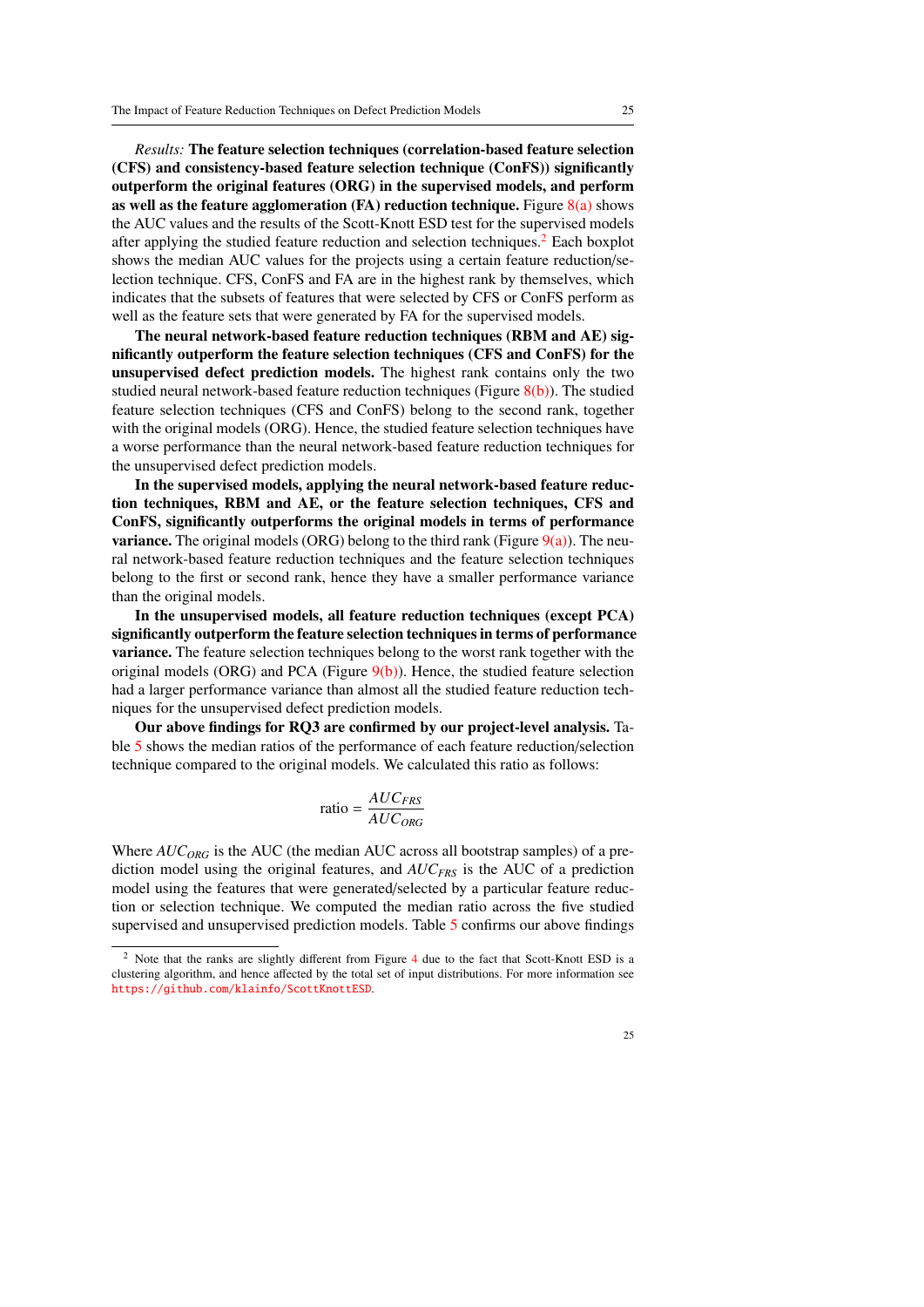*Results:* The feature selection techniques (correlation-based feature selection (CFS) and consistency-based feature selection technique (ConFS)) significantly outperform the original features (ORG) in the supervised models, and perform as well as the feature agglomeration (FA) reduction technique. Figure  $8(a)$  shows the AUC values and the results of the Scott-Knott ESD test for the supervised models after applying the studied feature reduction and selection techniques.<sup>[2](#page-25-0)</sup> Each boxplot shows the median AUC values for the projects using a certain feature reduction/selection technique. CFS, ConFS and FA are in the highest rank by themselves, which indicates that the subsets of features that were selected by CFS or ConFS perform as well as the feature sets that were generated by FA for the supervised models.

The neural network-based feature reduction techniques (RBM and AE) significantly outperform the feature selection techniques (CFS and ConFS) for the unsupervised defect prediction models. The highest rank contains only the two studied neural network-based feature reduction techniques (Figure [8\(b\)\)](#page-24-1). The studied feature selection techniques (CFS and ConFS) belong to the second rank, together with the original models (ORG). Hence, the studied feature selection techniques have a worse performance than the neural network-based feature reduction techniques for the unsupervised defect prediction models.

In the supervised models, applying the neural network-based feature reduction techniques, RBM and AE, or the feature selection techniques, CFS and ConFS, significantly outperforms the original models in terms of performance **variance.** The original models (ORG) belong to the third rank (Figure  $9(a)$ ). The neural network-based feature reduction techniques and the feature selection techniques belong to the first or second rank, hence they have a smaller performance variance than the original models.

In the unsupervised models, all feature reduction techniques (except PCA) significantly outperform the feature selection techniques in terms of performance variance. The feature selection techniques belong to the worst rank together with the original models (ORG) and PCA (Figure  $9(b)$ ). Hence, the studied feature selection had a larger performance variance than almost all the studied feature reduction techniques for the unsupervised defect prediction models.

Our above findings for RQ3 are confirmed by our project-level analysis. Table [5](#page-20-0) shows the median ratios of the performance of each feature reduction/selection technique compared to the original models. We calculated this ratio as follows:

$$
ratio = \frac{AUC_{FRS}}{AUC_{ORG}}
$$

Where *AUCORG* is the AUC (the median AUC across all bootstrap samples) of a prediction model using the original features, and *AUCFRS* is the AUC of a prediction model using the features that were generated/selected by a particular feature reduction or selection technique. We computed the median ratio across the five studied supervised and unsupervised prediction models. Table [5](#page-20-0) confirms our above findings

<span id="page-25-0"></span><sup>&</sup>lt;sup>2</sup> Note that the ranks are slightly different from Figure [4](#page-17-2) due to the fact that Scott-Knott ESD is a clustering algorithm, and hence affected by the total set of input distributions. For more information see <https://github.com/klainfo/ScottKnottESD>.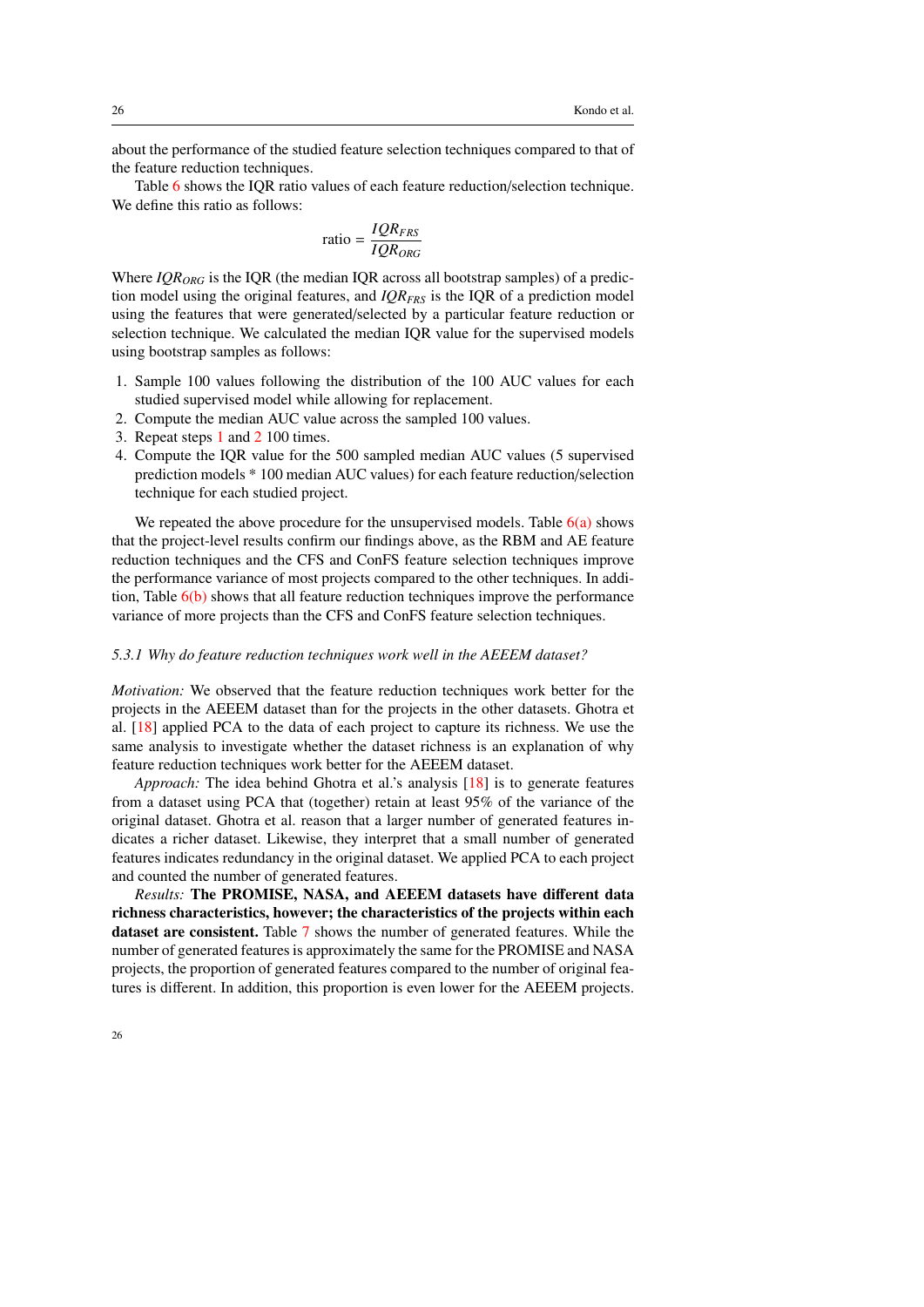about the performance of the studied feature selection techniques compared to that of the feature reduction techniques.

Table [6](#page-23-0) shows the IQR ratio values of each feature reduction/selection technique. We define this ratio as follows:

$$
\text{ratio} = \frac{IQR_{FRS}}{IQR_{ORG}}
$$

Where  $IQR<sub>ORG</sub>$  is the IQR (the median IQR across all bootstrap samples) of a prediction model using the original features, and *IQRFRS* is the IQR of a prediction model using the features that were generated/selected by a particular feature reduction or selection technique. We calculated the median IQR value for the supervised models using bootstrap samples as follows:

- <span id="page-26-1"></span>1. Sample 100 values following the distribution of the 100 AUC values for each studied supervised model while allowing for replacement.
- <span id="page-26-2"></span>2. Compute the median AUC value across the sampled 100 values.
- 3. Repeat steps [1](#page-26-1) and [2](#page-26-2) 100 times.
- 4. Compute the IQR value for the 500 sampled median AUC values (5 supervised prediction models \* 100 median AUC values) for each feature reduction/selection technique for each studied project.

We repeated the above procedure for the unsupervised models. Table  $6(a)$  shows that the project-level results confirm our findings above, as the RBM and AE feature reduction techniques and the CFS and ConFS feature selection techniques improve the performance variance of most projects compared to the other techniques. In addition, Table  $6(b)$  shows that all feature reduction techniques improve the performance variance of more projects than the CFS and ConFS feature selection techniques.

#### <span id="page-26-0"></span>*5.3.1 Why do feature reduction techniques work well in the AEEEM dataset?*

*Motivation:* We observed that the feature reduction techniques work better for the projects in the AEEEM dataset than for the projects in the other datasets. Ghotra et al. [\[18\]](#page-36-1) applied PCA to the data of each project to capture its richness. We use the same analysis to investigate whether the dataset richness is an explanation of why feature reduction techniques work better for the AEEEM dataset.

*Approach:* The idea behind Ghotra et al.'s analysis [\[18\]](#page-36-1) is to generate features from a dataset using PCA that (together) retain at least 95% of the variance of the original dataset. Ghotra et al. reason that a larger number of generated features indicates a richer dataset. Likewise, they interpret that a small number of generated features indicates redundancy in the original dataset. We applied PCA to each project and counted the number of generated features.

*Results:* The PROMISE, NASA, and AEEEM datasets have different data richness characteristics, however; the characteristics of the projects within each dataset are consistent. Table [7](#page-27-0) shows the number of generated features. While the number of generated features is approximately the same for the PROMISE and NASA projects, the proportion of generated features compared to the number of original features is different. In addition, this proportion is even lower for the AEEEM projects.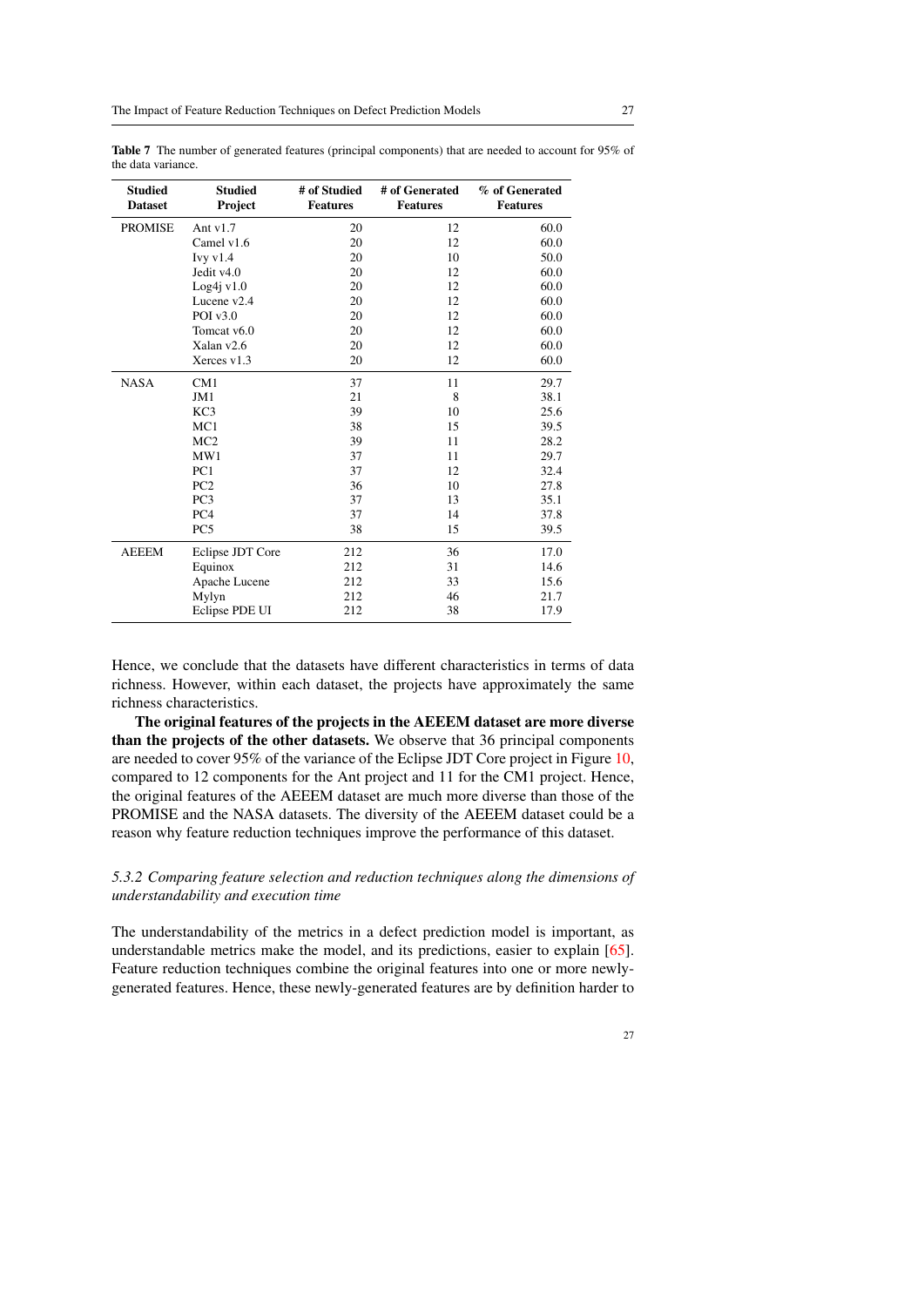| <b>Studied</b><br><b>Dataset</b> | <b>Studied</b><br>Project | # of Studied<br><b>Features</b> | # of Generated<br><b>Features</b> | % of Generated<br><b>Features</b> |
|----------------------------------|---------------------------|---------------------------------|-----------------------------------|-----------------------------------|
| <b>PROMISE</b>                   | Ant $v1.7$                | 20                              | 12                                | 60.0                              |
|                                  | Camel v1.6                | 20                              | 12                                | 60.0                              |
|                                  | Ivy $v1.4$                | 20                              | 10                                | 50.0                              |
|                                  | Jedit v <sub>4.0</sub>    | 20                              | 12                                | 60.0                              |
|                                  | Log4j v1.0                | 20                              | 12                                | 60.0                              |
|                                  | Lucene v2.4               | 20                              | 12                                | 60.0                              |
|                                  | POI $v3.0$                | 20                              | 12                                | 60.0                              |
|                                  | Tomcat v6.0               | 20                              | 12                                | 60.0                              |
|                                  | Xalan v2.6                | 20                              | 12                                | 60.0                              |
|                                  | Xerces v1.3               | 20                              | 12                                | 60.0                              |
| <b>NASA</b>                      | CM1                       | 37                              | 11                                | 29.7                              |
|                                  | JM1                       | 21                              | 8                                 | 38.1                              |
|                                  | KC <sub>3</sub>           | 39                              | 10                                | 25.6                              |
|                                  | MC1                       | 38                              | 15                                | 39.5                              |
|                                  | MC <sub>2</sub>           | 39                              | 11                                | 28.2                              |
|                                  | MW1                       | 37                              | 11                                | 29.7                              |
|                                  | PC <sub>1</sub>           | 37                              | 12                                | 32.4                              |
|                                  | PC <sub>2</sub>           | 36                              | 10                                | 27.8                              |
|                                  | PC <sub>3</sub>           | 37                              | 13                                | 35.1                              |
|                                  | PC <sub>4</sub>           | 37                              | 14                                | 37.8                              |
|                                  | PC5                       | 38                              | 15                                | 39.5                              |
| <b>AEEEM</b>                     | Eclipse JDT Core          | 212                             | 36                                | 17.0                              |
|                                  | Equinox                   | 212                             | 31                                | 14.6                              |
|                                  | Apache Lucene             | 212                             | 33                                | 15.6                              |
|                                  | Mylyn                     | 212                             | 46                                | 21.7                              |
|                                  | Eclipse PDE UI            | 212                             | 38                                | 17.9                              |

<span id="page-27-0"></span>Table 7 The number of generated features (principal components) that are needed to account for 95% of the data variance.

Hence, we conclude that the datasets have different characteristics in terms of data richness. However, within each dataset, the projects have approximately the same richness characteristics.

The original features of the projects in the AEEEM dataset are more diverse than the projects of the other datasets. We observe that 36 principal components are needed to cover 95% of the variance of the Eclipse JDT Core project in Figure [10,](#page-28-1) compared to 12 components for the Ant project and 11 for the CM1 project. Hence, the original features of the AEEEM dataset are much more diverse than those of the PROMISE and the NASA datasets. The diversity of the AEEEM dataset could be a reason why feature reduction techniques improve the performance of this dataset.

# *5.3.2 Comparing feature selection and reduction techniques along the dimensions of understandability and execution time*

The understandability of the metrics in a defect prediction model is important, as understandable metrics make the model, and its predictions, easier to explain [\[65\]](#page-38-14). Feature reduction techniques combine the original features into one or more newlygenerated features. Hence, these newly-generated features are by definition harder to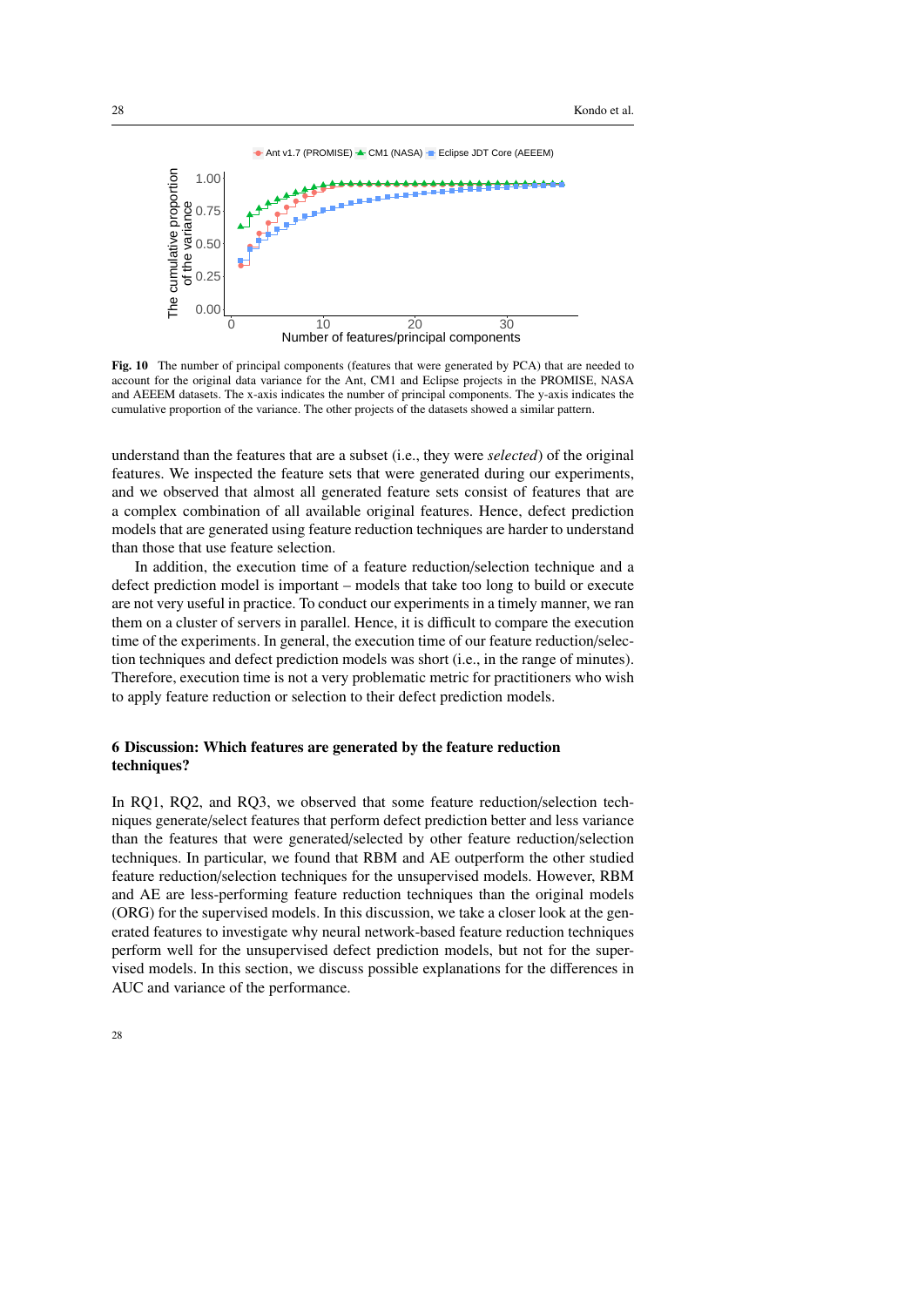

<span id="page-28-1"></span>Fig. 10 The number of principal components (features that were generated by PCA) that are needed to account for the original data variance for the Ant, CM1 and Eclipse projects in the PROMISE, NASA and AEEEM datasets. The x-axis indicates the number of principal components. The y-axis indicates the cumulative proportion of the variance. The other projects of the datasets showed a similar pattern.

understand than the features that are a subset (i.e., they were *selected*) of the original features. We inspected the feature sets that were generated during our experiments, and we observed that almost all generated feature sets consist of features that are a complex combination of all available original features. Hence, defect prediction models that are generated using feature reduction techniques are harder to understand than those that use feature selection.

In addition, the execution time of a feature reduction/selection technique and a defect prediction model is important – models that take too long to build or execute are not very useful in practice. To conduct our experiments in a timely manner, we ran them on a cluster of servers in parallel. Hence, it is difficult to compare the execution time of the experiments. In general, the execution time of our feature reduction/selection techniques and defect prediction models was short (i.e., in the range of minutes). Therefore, execution time is not a very problematic metric for practitioners who wish to apply feature reduction or selection to their defect prediction models.

# <span id="page-28-0"></span>6 Discussion: Which features are generated by the feature reduction techniques?

In RO1, RO2, and RO3, we observed that some feature reduction/selection techniques generate/select features that perform defect prediction better and less variance than the features that were generated/selected by other feature reduction/selection techniques. In particular, we found that RBM and AE outperform the other studied feature reduction/selection techniques for the unsupervised models. However, RBM and AE are less-performing feature reduction techniques than the original models (ORG) for the supervised models. In this discussion, we take a closer look at the generated features to investigate why neural network-based feature reduction techniques perform well for the unsupervised defect prediction models, but not for the supervised models. In this section, we discuss possible explanations for the differences in AUC and variance of the performance.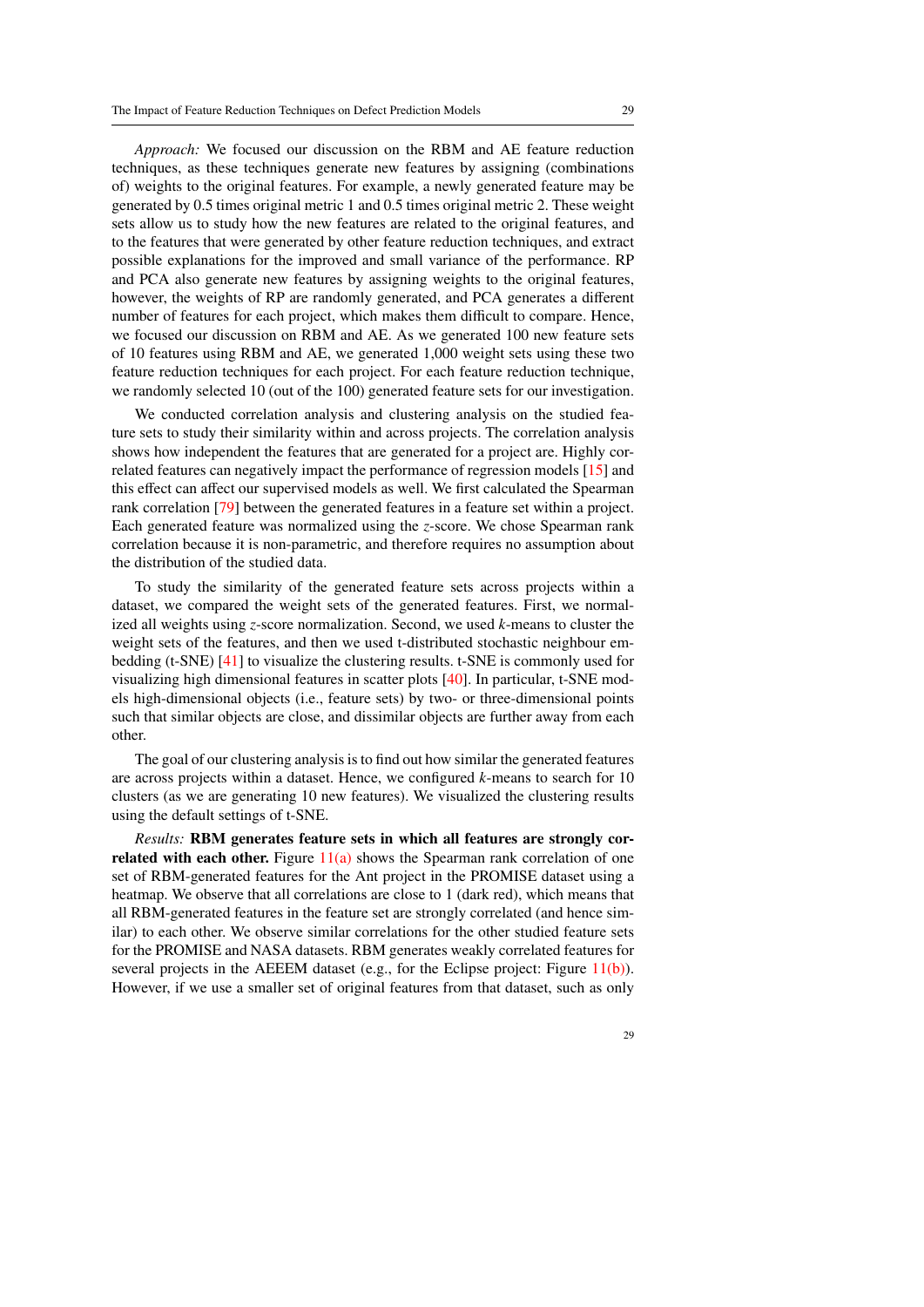*Approach:* We focused our discussion on the RBM and AE feature reduction techniques, as these techniques generate new features by assigning (combinations of) weights to the original features. For example, a newly generated feature may be generated by 0.5 times original metric 1 and 0.5 times original metric 2. These weight sets allow us to study how the new features are related to the original features, and to the features that were generated by other feature reduction techniques, and extract possible explanations for the improved and small variance of the performance. RP and PCA also generate new features by assigning weights to the original features, however, the weights of RP are randomly generated, and PCA generates a different number of features for each project, which makes them difficult to compare. Hence, we focused our discussion on RBM and AE. As we generated 100 new feature sets of 10 features using RBM and AE, we generated 1,000 weight sets using these two feature reduction techniques for each project. For each feature reduction technique, we randomly selected 10 (out of the 100) generated feature sets for our investigation.

We conducted correlation analysis and clustering analysis on the studied feature sets to study their similarity within and across projects. The correlation analysis shows how independent the features that are generated for a project are. Highly correlated features can negatively impact the performance of regression models [\[15\]](#page-35-2) and this effect can affect our supervised models as well. We first calculated the Spearman rank correlation [\[79\]](#page-39-10) between the generated features in a feature set within a project. Each generated feature was normalized using the *z*-score. We chose Spearman rank correlation because it is non-parametric, and therefore requires no assumption about the distribution of the studied data.

To study the similarity of the generated feature sets across projects within a dataset, we compared the weight sets of the generated features. First, we normalized all weights using *z*-score normalization. Second, we used *k*-means to cluster the weight sets of the features, and then we used t-distributed stochastic neighbour embedding (t-SNE) [\[41\]](#page-37-16) to visualize the clustering results. t-SNE is commonly used for visualizing high dimensional features in scatter plots [\[40\]](#page-37-17). In particular, t-SNE models high-dimensional objects (i.e., feature sets) by two- or three-dimensional points such that similar objects are close, and dissimilar objects are further away from each other.

The goal of our clustering analysis is to find out how similar the generated features are across projects within a dataset. Hence, we configured *k*-means to search for 10 clusters (as we are generating 10 new features). We visualized the clustering results using the default settings of t-SNE.

*Results:* RBM generates feature sets in which all features are strongly correlated with each other. Figure  $11(a)$  shows the Spearman rank correlation of one set of RBM-generated features for the Ant project in the PROMISE dataset using a heatmap. We observe that all correlations are close to 1 (dark red), which means that all RBM-generated features in the feature set are strongly correlated (and hence similar) to each other. We observe similar correlations for the other studied feature sets for the PROMISE and NASA datasets. RBM generates weakly correlated features for several projects in the AEEEM dataset (e.g., for the Eclipse project: Figure  $11(b)$ ). However, if we use a smaller set of original features from that dataset, such as only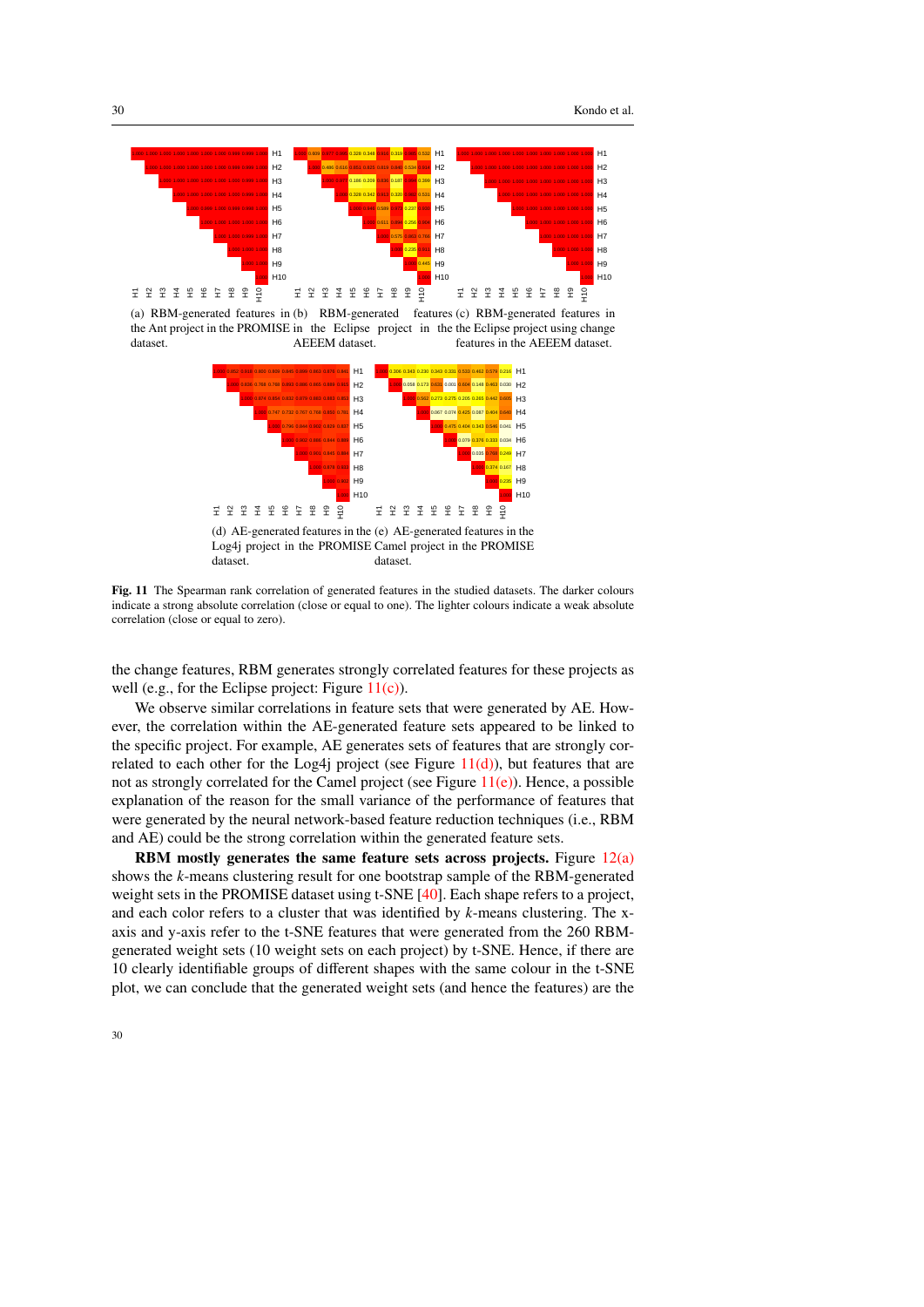<span id="page-30-0"></span>

<span id="page-30-3"></span>(a) RBM-generated features in (b) RBM-generated features (c) RBM-generated features in the Ant project in the PROMISE in the Eclipse project in the the Eclipse project using change dataset. AEEEM dataset. features in the AEEEM dataset.

<span id="page-30-2"></span><span id="page-30-1"></span>

<span id="page-30-4"></span>Log4j project in the PROMISE Camel project in the PROMISE dataset. dataset.

Fig. 11 The Spearman rank correlation of generated features in the studied datasets. The darker colours indicate a strong absolute correlation (close or equal to one). The lighter colours indicate a weak absolute correlation (close or equal to zero).

the change features, RBM generates strongly correlated features for these projects as well (e.g., for the Eclipse project: Figure  $11(c)$ ).

We observe similar correlations in feature sets that were generated by AE. However, the correlation within the AE-generated feature sets appeared to be linked to the specific project. For example, AE generates sets of features that are strongly correlated to each other for the Log4j project (see Figure  $11(d)$ ), but features that are not as strongly correlated for the Camel project (see Figure  $11(e)$ ). Hence, a possible explanation of the reason for the small variance of the performance of features that were generated by the neural network-based feature reduction techniques (i.e., RBM and AE) could be the strong correlation within the generated feature sets.

RBM mostly generates the same feature sets across projects. Figure  $12(a)$ shows the *k*-means clustering result for one bootstrap sample of the RBM-generated weight sets in the PROMISE dataset using t-SNE [\[40\]](#page-37-17). Each shape refers to a project, and each color refers to a cluster that was identified by *k*-means clustering. The xaxis and y-axis refer to the t-SNE features that were generated from the 260 RBMgenerated weight sets (10 weight sets on each project) by t-SNE. Hence, if there are 10 clearly identifiable groups of different shapes with the same colour in the t-SNE plot, we can conclude that the generated weight sets (and hence the features) are the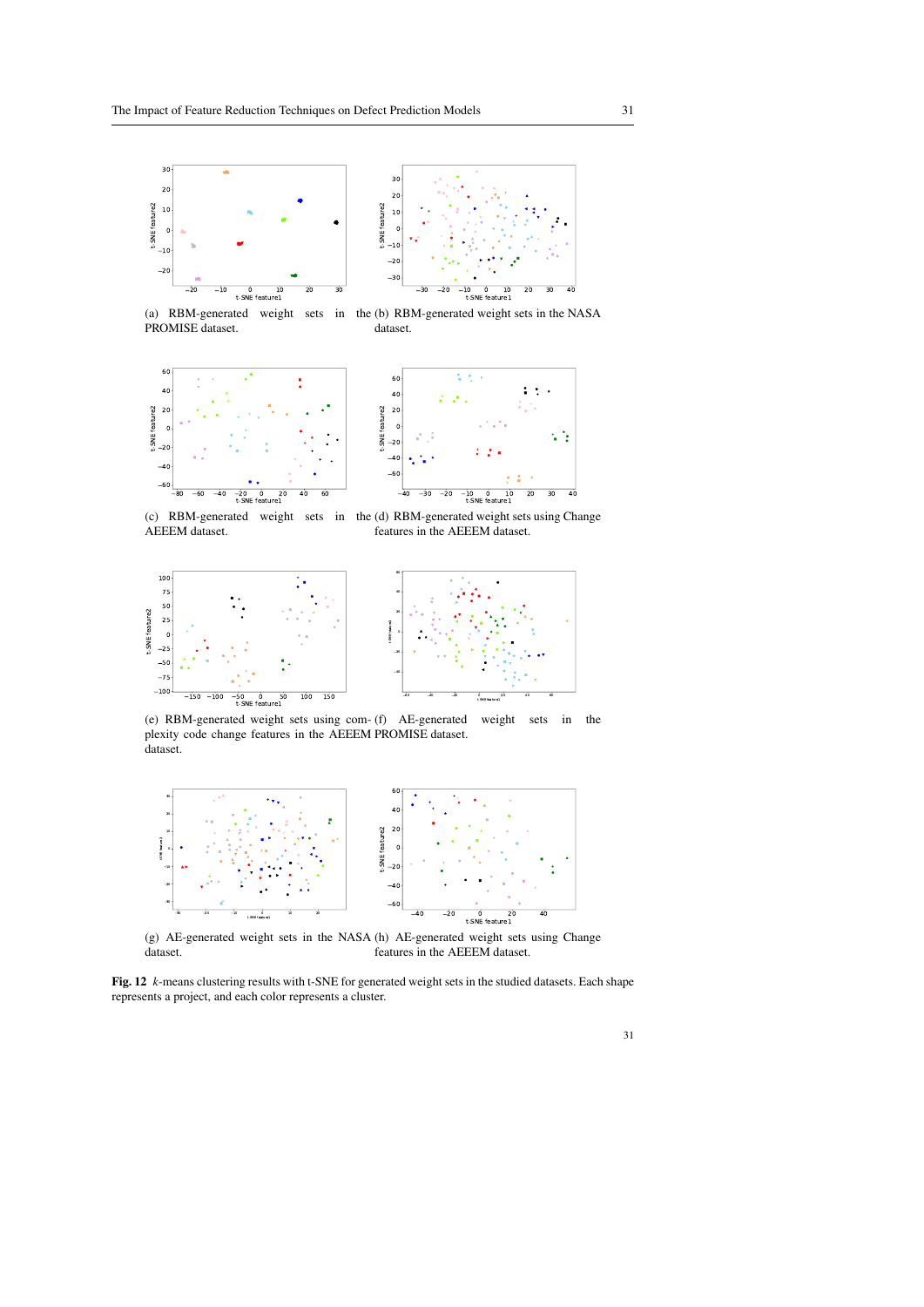<span id="page-31-0"></span>

PROMISE dataset.

<span id="page-31-1"></span>

(a) RBM-generated weight sets in the (b) RBM-generated weight sets in the NASA dataset.



<span id="page-31-3"></span>

AEEEM dataset.

t-SNE feature2

<span id="page-31-2"></span>(c) RBM-generated weight sets in the (d) RBM-generated weight sets using Change features in the AEEEM dataset.



<span id="page-31-5"></span><span id="page-31-4"></span>(e) RBM-generated weight sets using com-(f) AE-generated weight sets in the plexity code change features in the AEEEM PROMISE dataset. dataset.



<span id="page-31-7"></span><span id="page-31-6"></span>(g) AE-generated weight sets in the NASA (h) AE-generated weight sets using Change dataset. features in the AEEEM dataset.

Fig. 12 *k*-means clustering results with t-SNE for generated weight sets in the studied datasets. Each shape represents a project, and each color represents a cluster.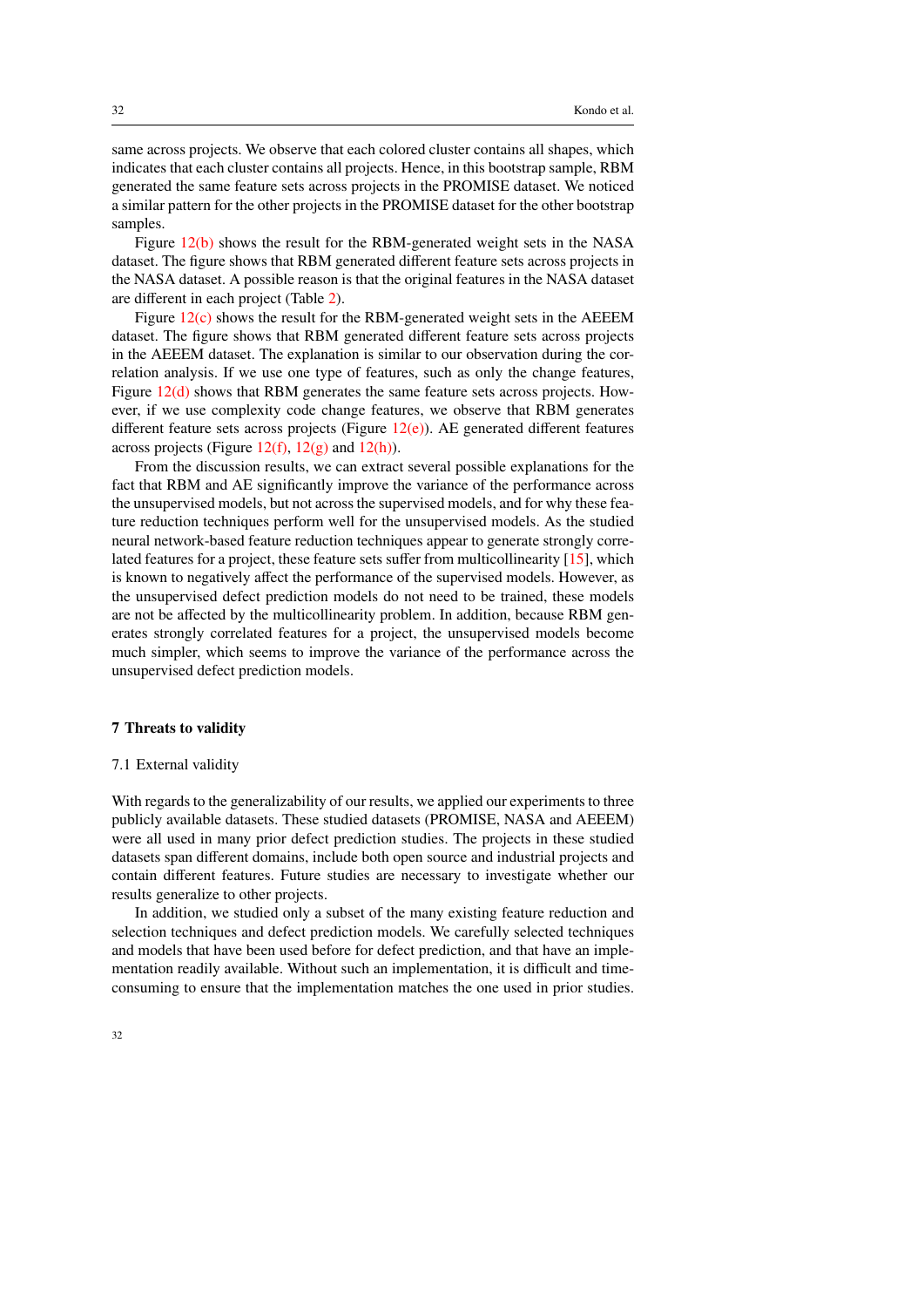same across projects. We observe that each colored cluster contains all shapes, which indicates that each cluster contains all projects. Hence, in this bootstrap sample, RBM generated the same feature sets across projects in the PROMISE dataset. We noticed a similar pattern for the other projects in the PROMISE dataset for the other bootstrap samples.

Figure [12\(b\)](#page-31-1) shows the result for the RBM-generated weight sets in the NASA dataset. The figure shows that RBM generated different feature sets across projects in the NASA dataset. A possible reason is that the original features in the NASA dataset are different in each project (Table [2\)](#page-7-1).

Figure  $12(c)$  shows the result for the RBM-generated weight sets in the AEEEM dataset. The figure shows that RBM generated different feature sets across projects in the AEEEM dataset. The explanation is similar to our observation during the correlation analysis. If we use one type of features, such as only the change features, Figure [12\(d\)](#page-31-3) shows that RBM generates the same feature sets across projects. However, if we use complexity code change features, we observe that RBM generates different feature sets across projects (Figure  $12(e)$ ). AE generated different features across projects (Figure  $12(f)$ ,  $12(g)$  and  $12(h)$ ).

From the discussion results, we can extract several possible explanations for the fact that RBM and AE significantly improve the variance of the performance across the unsupervised models, but not across the supervised models, and for why these feature reduction techniques perform well for the unsupervised models. As the studied neural network-based feature reduction techniques appear to generate strongly correlated features for a project, these feature sets suffer from multicollinearity [\[15\]](#page-35-2), which is known to negatively affect the performance of the supervised models. However, as the unsupervised defect prediction models do not need to be trained, these models are not be affected by the multicollinearity problem. In addition, because RBM generates strongly correlated features for a project, the unsupervised models become much simpler, which seems to improve the variance of the performance across the unsupervised defect prediction models.

#### <span id="page-32-0"></span>7 Threats to validity

#### 7.1 External validity

With regards to the generalizability of our results, we applied our experiments to three publicly available datasets. These studied datasets (PROMISE, NASA and AEEEM) were all used in many prior defect prediction studies. The projects in these studied datasets span different domains, include both open source and industrial projects and contain different features. Future studies are necessary to investigate whether our results generalize to other projects.

In addition, we studied only a subset of the many existing feature reduction and selection techniques and defect prediction models. We carefully selected techniques and models that have been used before for defect prediction, and that have an implementation readily available. Without such an implementation, it is difficult and timeconsuming to ensure that the implementation matches the one used in prior studies.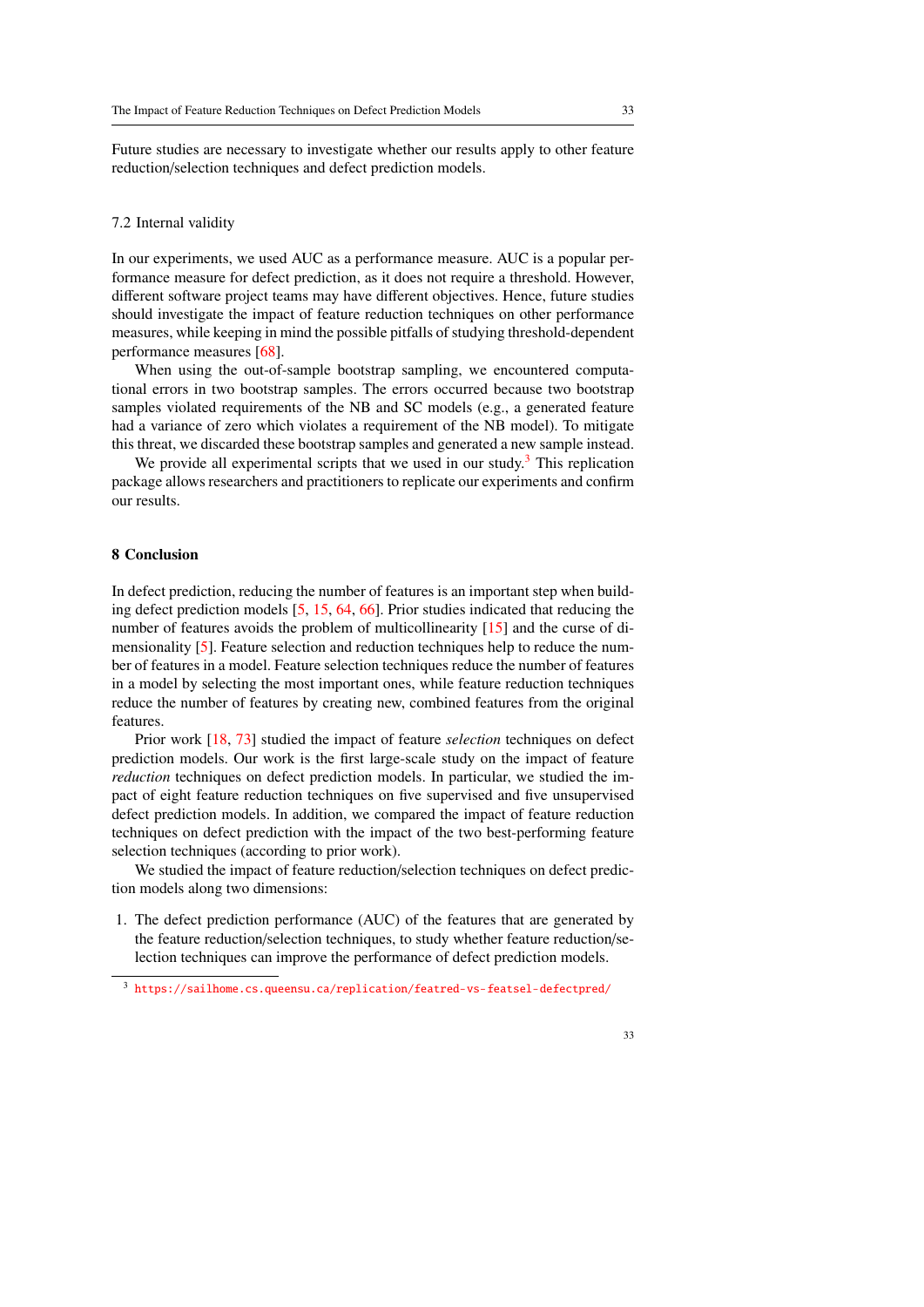Future studies are necessary to investigate whether our results apply to other feature reduction/selection techniques and defect prediction models.

#### 7.2 Internal validity

In our experiments, we used AUC as a performance measure. AUC is a popular performance measure for defect prediction, as it does not require a threshold. However, different software project teams may have different objectives. Hence, future studies should investigate the impact of feature reduction techniques on other performance measures, while keeping in mind the possible pitfalls of studying threshold-dependent performance measures [\[68\]](#page-38-13).

When using the out-of-sample bootstrap sampling, we encountered computational errors in two bootstrap samples. The errors occurred because two bootstrap samples violated requirements of the NB and SC models (e.g., a generated feature had a variance of zero which violates a requirement of the NB model). To mitigate this threat, we discarded these bootstrap samples and generated a new sample instead.

We provide all experimental scripts that we used in our study. $3$  This replication package allows researchers and practitioners to replicate our experiments and confirm our results.

# <span id="page-33-0"></span>8 Conclusion

In defect prediction, reducing the number of features is an important step when building defect prediction models [\[5,](#page-35-3) [15,](#page-35-2) [64,](#page-38-15) [66\]](#page-38-2). Prior studies indicated that reducing the number of features avoids the problem of multicollinearity [\[15\]](#page-35-2) and the curse of dimensionality  $[5]$ . Feature selection and reduction techniques help to reduce the number of features in a model. Feature selection techniques reduce the number of features in a model by selecting the most important ones, while feature reduction techniques reduce the number of features by creating new, combined features from the original features.

Prior work [\[18,](#page-36-1) [73\]](#page-39-1) studied the impact of feature *selection* techniques on defect prediction models. Our work is the first large-scale study on the impact of feature *reduction* techniques on defect prediction models. In particular, we studied the impact of eight feature reduction techniques on five supervised and five unsupervised defect prediction models. In addition, we compared the impact of feature reduction techniques on defect prediction with the impact of the two best-performing feature selection techniques (according to prior work).

We studied the impact of feature reduction/selection techniques on defect prediction models along two dimensions:

1. The defect prediction performance (AUC) of the features that are generated by the feature reduction/selection techniques, to study whether feature reduction/selection techniques can improve the performance of defect prediction models.

<span id="page-33-1"></span><sup>3</sup> <https://sailhome.cs.queensu.ca/replication/featred-vs-featsel-defectpred/>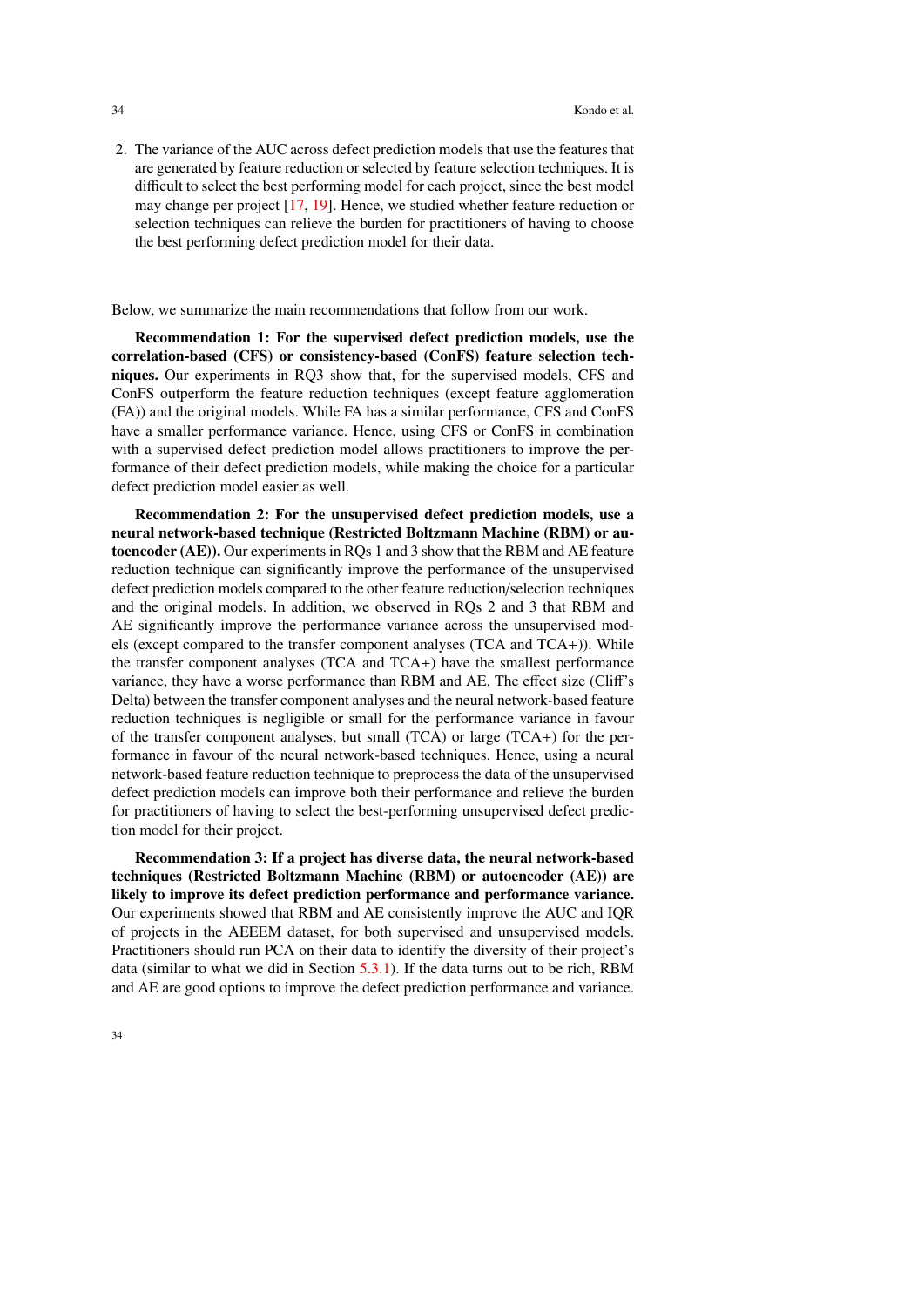2. The variance of the AUC across defect prediction models that use the features that are generated by feature reduction or selected by feature selection techniques. It is difficult to select the best performing model for each project, since the best model may change per project [\[17,](#page-35-16) [19\]](#page-36-16). Hence, we studied whether feature reduction or selection techniques can relieve the burden for practitioners of having to choose the best performing defect prediction model for their data.

Below, we summarize the main recommendations that follow from our work.

Recommendation 1: For the supervised defect prediction models, use the correlation-based (CFS) or consistency-based (ConFS) feature selection techniques. Our experiments in RQ3 show that, for the supervised models, CFS and ConFS outperform the feature reduction techniques (except feature agglomeration (FA)) and the original models. While FA has a similar performance, CFS and ConFS have a smaller performance variance. Hence, using CFS or ConFS in combination with a supervised defect prediction model allows practitioners to improve the performance of their defect prediction models, while making the choice for a particular defect prediction model easier as well.

Recommendation 2: For the unsupervised defect prediction models, use a neural network-based technique (Restricted Boltzmann Machine (RBM) or autoencoder (AE)). Our experiments in RQs 1 and 3 show that the RBM and AE feature reduction technique can significantly improve the performance of the unsupervised defect prediction models compared to the other feature reduction/selection techniques and the original models. In addition, we observed in RQs 2 and 3 that RBM and AE significantly improve the performance variance across the unsupervised models (except compared to the transfer component analyses (TCA and TCA+)). While the transfer component analyses (TCA and TCA+) have the smallest performance variance, they have a worse performance than RBM and AE. The effect size (Cliff's Delta) between the transfer component analyses and the neural network-based feature reduction techniques is negligible or small for the performance variance in favour of the transfer component analyses, but small (TCA) or large (TCA+) for the performance in favour of the neural network-based techniques. Hence, using a neural network-based feature reduction technique to preprocess the data of the unsupervised defect prediction models can improve both their performance and relieve the burden for practitioners of having to select the best-performing unsupervised defect prediction model for their project.

Recommendation 3: If a project has diverse data, the neural network-based techniques (Restricted Boltzmann Machine (RBM) or autoencoder (AE)) are likely to improve its defect prediction performance and performance variance. Our experiments showed that RBM and AE consistently improve the AUC and IQR of projects in the AEEEM dataset, for both supervised and unsupervised models. Practitioners should run PCA on their data to identify the diversity of their project's data (similar to what we did in Section [5.3.1\)](#page-26-0). If the data turns out to be rich, RBM and AE are good options to improve the defect prediction performance and variance.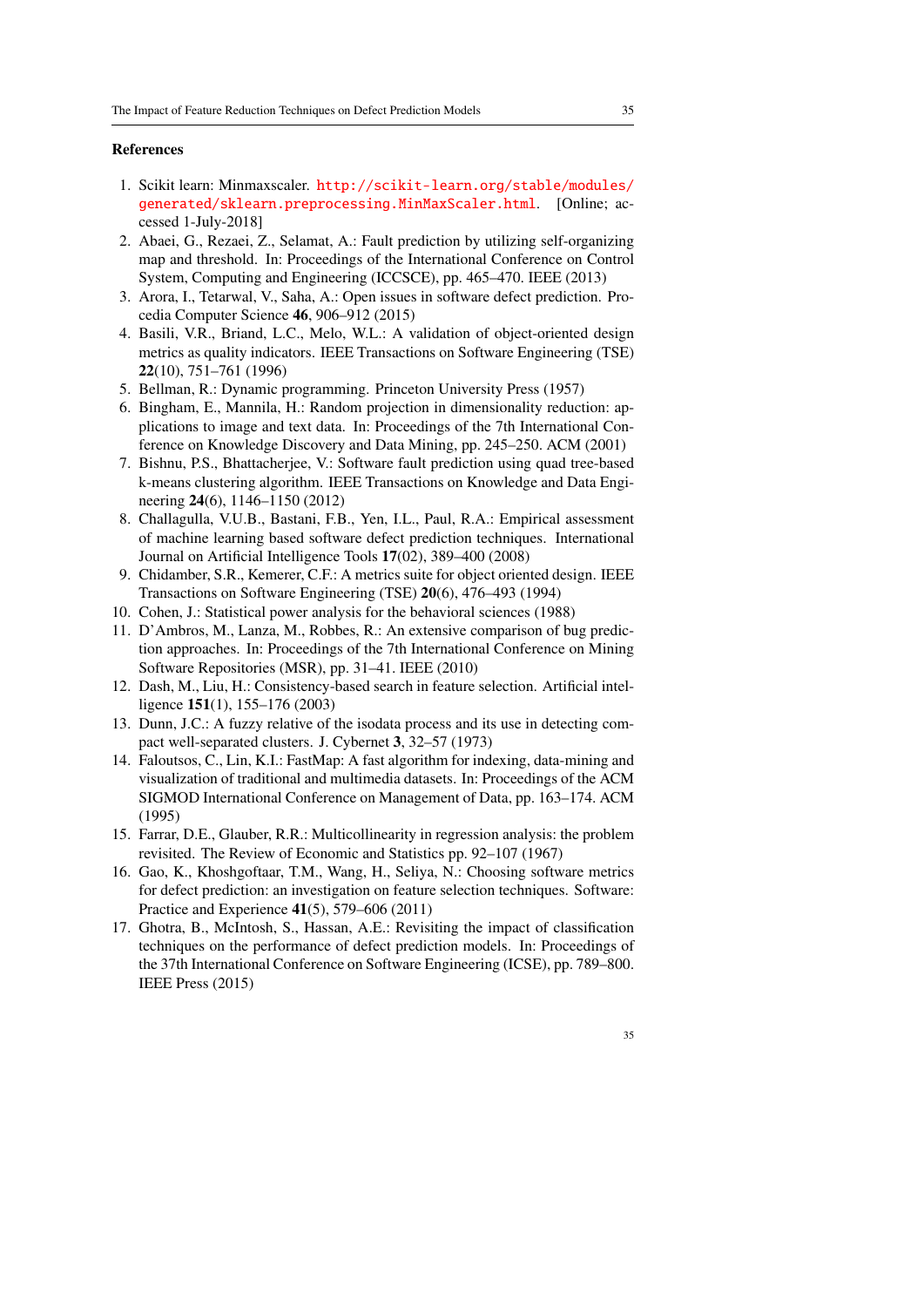#### References

- <span id="page-35-14"></span>1. Scikit learn: Minmaxscaler. [http://scikit-learn.org/stable/modules/](http://scikit-learn.org/stable/modules/generated/sklearn.preprocessing.MinMaxScaler.html) [generated/sklearn.preprocessing.MinMaxScaler.html](http://scikit-learn.org/stable/modules/generated/sklearn.preprocessing.MinMaxScaler.html). [Online; accessed 1-July-2018]
- <span id="page-35-9"></span>2. Abaei, G., Rezaei, Z., Selamat, A.: Fault prediction by utilizing self-organizing map and threshold. In: Proceedings of the International Conference on Control System, Computing and Engineering (ICCSCE), pp. 465–470. IEEE (2013)
- <span id="page-35-8"></span>3. Arora, I., Tetarwal, V., Saha, A.: Open issues in software defect prediction. Procedia Computer Science 46, 906–912 (2015)
- <span id="page-35-0"></span>4. Basili, V.R., Briand, L.C., Melo, W.L.: A validation of object-oriented design metrics as quality indicators. IEEE Transactions on Software Engineering (TSE) 22(10), 751–761 (1996)
- <span id="page-35-3"></span>5. Bellman, R.: Dynamic programming. Princeton University Press (1957)
- <span id="page-35-7"></span>6. Bingham, E., Mannila, H.: Random projection in dimensionality reduction: applications to image and text data. In: Proceedings of the 7th International Conference on Knowledge Discovery and Data Mining, pp. 245–250. ACM (2001)
- <span id="page-35-10"></span>7. Bishnu, P.S., Bhattacherjee, V.: Software fault prediction using quad tree-based k-means clustering algorithm. IEEE Transactions on Knowledge and Data Engineering 24(6), 1146–1150 (2012)
- <span id="page-35-4"></span>8. Challagulla, V.U.B., Bastani, F.B., Yen, I.L., Paul, R.A.: Empirical assessment of machine learning based software defect prediction techniques. International Journal on Artificial Intelligence Tools 17(02), 389–400 (2008)
- <span id="page-35-11"></span>9. Chidamber, S.R., Kemerer, C.F.: A metrics suite for object oriented design. IEEE Transactions on Software Engineering (TSE) 20(6), 476–493 (1994)
- <span id="page-35-15"></span>10. Cohen, J.: Statistical power analysis for the behavioral sciences (1988)
- <span id="page-35-1"></span>11. D'Ambros, M., Lanza, M., Robbes, R.: An extensive comparison of bug prediction approaches. In: Proceedings of the 7th International Conference on Mining Software Repositories (MSR), pp. 31–41. IEEE (2010)
- <span id="page-35-13"></span>12. Dash, M., Liu, H.: Consistency-based search in feature selection. Artificial intelligence 151(1), 155–176 (2003)
- <span id="page-35-12"></span>13. Dunn, J.C.: A fuzzy relative of the isodata process and its use in detecting compact well-separated clusters. J. Cybernet 3, 32–57 (1973)
- <span id="page-35-6"></span>14. Faloutsos, C., Lin, K.I.: FastMap: A fast algorithm for indexing, data-mining and visualization of traditional and multimedia datasets. In: Proceedings of the ACM SIGMOD International Conference on Management of Data, pp. 163–174. ACM (1995)
- <span id="page-35-2"></span>15. Farrar, D.E., Glauber, R.R.: Multicollinearity in regression analysis: the problem revisited. The Review of Economic and Statistics pp. 92–107 (1967)
- <span id="page-35-5"></span>16. Gao, K., Khoshgoftaar, T.M., Wang, H., Seliya, N.: Choosing software metrics for defect prediction: an investigation on feature selection techniques. Software: Practice and Experience 41(5), 579–606 (2011)
- <span id="page-35-16"></span>17. Ghotra, B., McIntosh, S., Hassan, A.E.: Revisiting the impact of classification techniques on the performance of defect prediction models. In: Proceedings of the 37th International Conference on Software Engineering (ICSE), pp. 789–800. IEEE Press (2015)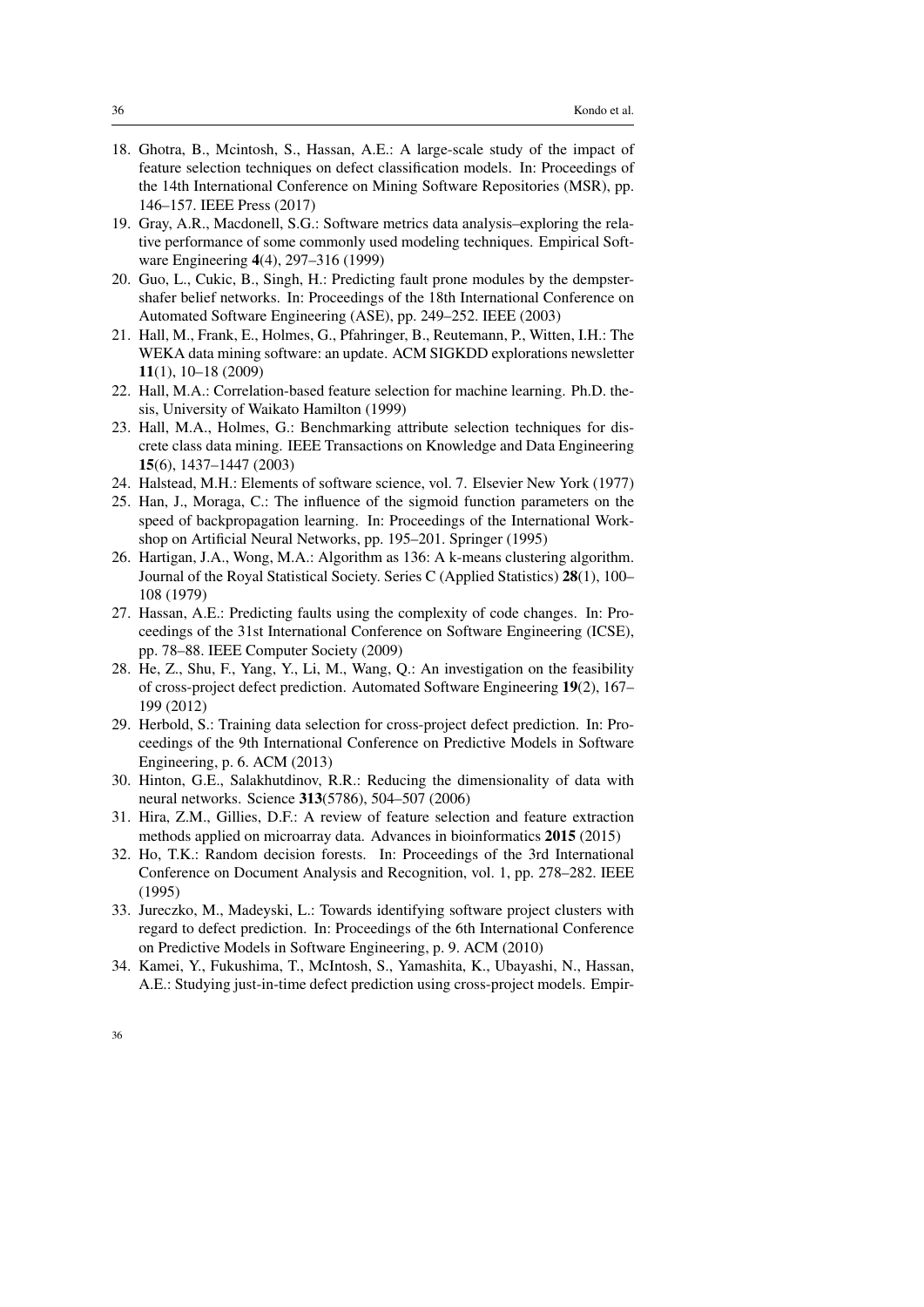- <span id="page-36-1"></span>18. Ghotra, B., Mcintosh, S., Hassan, A.E.: A large-scale study of the impact of feature selection techniques on defect classification models. In: Proceedings of the 14th International Conference on Mining Software Repositories (MSR), pp. 146–157. IEEE Press (2017)
- <span id="page-36-16"></span>19. Gray, A.R., Macdonell, S.G.: Software metrics data analysis–exploring the relative performance of some commonly used modeling techniques. Empirical Software Engineering 4(4), 297–316 (1999)
- <span id="page-36-2"></span>20. Guo, L., Cukic, B., Singh, H.: Predicting fault prone modules by the dempstershafer belief networks. In: Proceedings of the 18th International Conference on Automated Software Engineering (ASE), pp. 249–252. IEEE (2003)
- <span id="page-36-12"></span>21. Hall, M., Frank, E., Holmes, G., Pfahringer, B., Reutemann, P., Witten, I.H.: The WEKA data mining software: an update. ACM SIGKDD explorations newsletter 11(1), 10–18 (2009)
- <span id="page-36-15"></span>22. Hall, M.A.: Correlation-based feature selection for machine learning. Ph.D. thesis, University of Waikato Hamilton (1999)
- <span id="page-36-3"></span>23. Hall, M.A., Holmes, G.: Benchmarking attribute selection techniques for discrete class data mining. IEEE Transactions on Knowledge and Data Engineering 15(6), 1437–1447 (2003)
- <span id="page-36-10"></span>24. Halstead, M.H.: Elements of software science, vol. 7. Elsevier New York (1977)
- <span id="page-36-11"></span>25. Han, J., Moraga, C.: The influence of the sigmoid function parameters on the speed of backpropagation learning. In: Proceedings of the International Workshop on Artificial Neural Networks, pp. 195–201. Springer (1995)
- <span id="page-36-14"></span>26. Hartigan, J.A., Wong, M.A.: Algorithm as 136: A k-means clustering algorithm. Journal of the Royal Statistical Society. Series C (Applied Statistics) 28(1), 100– 108 (1979)
- <span id="page-36-0"></span>27. Hassan, A.E.: Predicting faults using the complexity of code changes. In: Proceedings of the 31st International Conference on Software Engineering (ICSE), pp. 78–88. IEEE Computer Society (2009)
- <span id="page-36-8"></span>28. He, Z., Shu, F., Yang, Y., Li, M., Wang, Q.: An investigation on the feasibility of cross-project defect prediction. Automated Software Engineering 19(2), 167– 199 (2012)
- <span id="page-36-4"></span>29. Herbold, S.: Training data selection for cross-project defect prediction. In: Proceedings of the 9th International Conference on Predictive Models in Software Engineering, p. 6. ACM (2013)
- <span id="page-36-7"></span>30. Hinton, G.E., Salakhutdinov, R.R.: Reducing the dimensionality of data with neural networks. Science 313(5786), 504–507 (2006)
- <span id="page-36-9"></span>31. Hira, Z.M., Gillies, D.F.: A review of feature selection and feature extraction methods applied on microarray data. Advances in bioinformatics 2015 (2015)
- <span id="page-36-13"></span>32. Ho, T.K.: Random decision forests. In: Proceedings of the 3rd International Conference on Document Analysis and Recognition, vol. 1, pp. 278–282. IEEE (1995)
- <span id="page-36-5"></span>33. Jureczko, M., Madeyski, L.: Towards identifying software project clusters with regard to defect prediction. In: Proceedings of the 6th International Conference on Predictive Models in Software Engineering, p. 9. ACM (2010)
- <span id="page-36-6"></span>34. Kamei, Y., Fukushima, T., McIntosh, S., Yamashita, K., Ubayashi, N., Hassan, A.E.: Studying just-in-time defect prediction using cross-project models. Empir-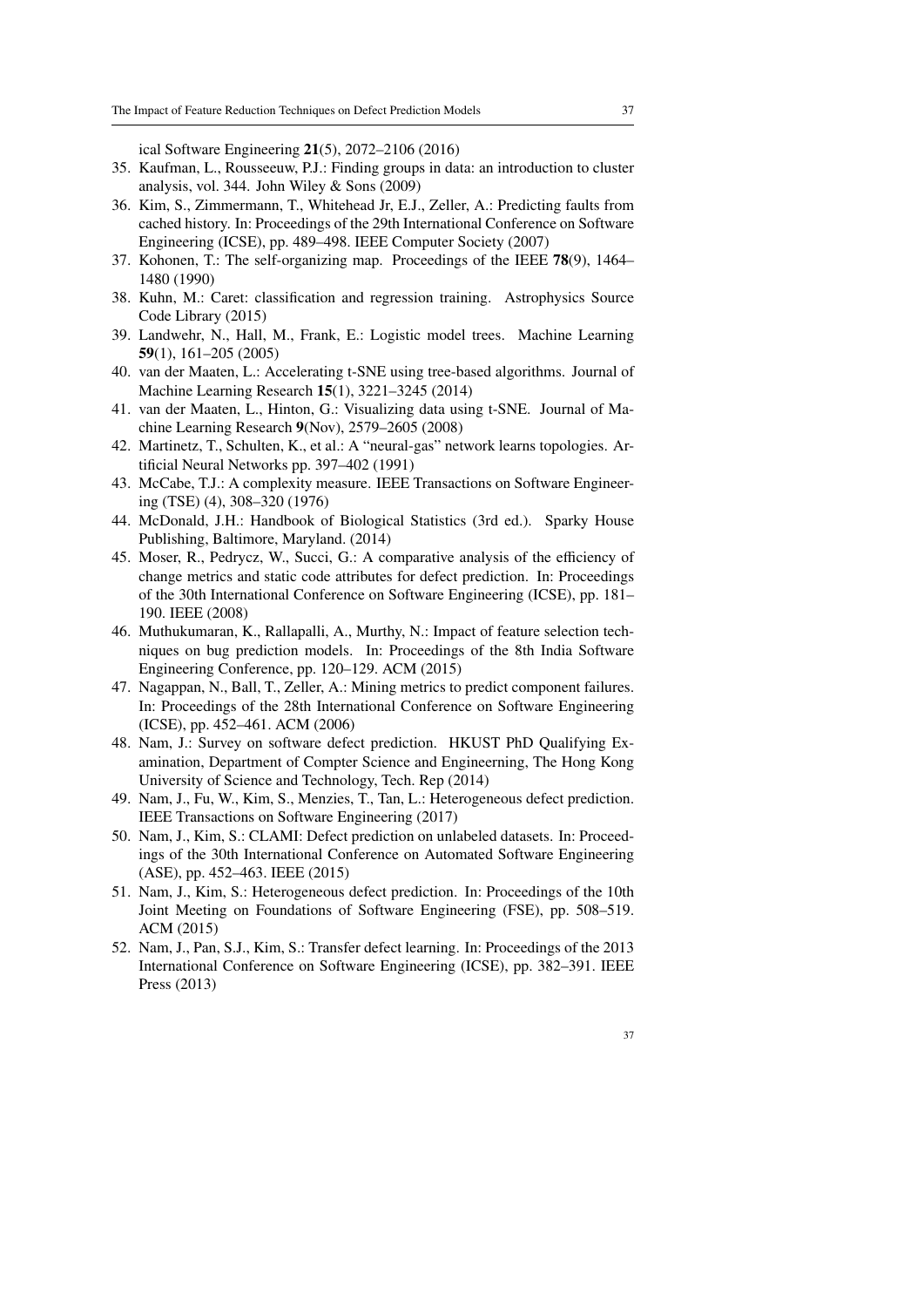ical Software Engineering 21(5), 2072–2106 (2016)

- <span id="page-37-13"></span>35. Kaufman, L., Rousseeuw, P.J.: Finding groups in data: an introduction to cluster analysis, vol. 344. John Wiley & Sons (2009)
- <span id="page-37-0"></span>36. Kim, S., Zimmermann, T., Whitehead Jr, E.J., Zeller, A.: Predicting faults from cached history. In: Proceedings of the 29th International Conference on Software Engineering (ICSE), pp. 489–498. IEEE Computer Society (2007)
- <span id="page-37-15"></span>37. Kohonen, T.: The self-organizing map. Proceedings of the IEEE 78(9), 1464– 1480 (1990)
- <span id="page-37-12"></span>38. Kuhn, M.: Caret: classification and regression training. Astrophysics Source Code Library (2015)
- <span id="page-37-11"></span>39. Landwehr, N., Hall, M., Frank, E.: Logistic model trees. Machine Learning 59(1), 161–205 (2005)
- <span id="page-37-17"></span>40. van der Maaten, L.: Accelerating t-SNE using tree-based algorithms. Journal of Machine Learning Research 15(1), 3221–3245 (2014)
- <span id="page-37-16"></span>41. van der Maaten, L., Hinton, G.: Visualizing data using t-SNE. Journal of Machine Learning Research 9(Nov), 2579–2605 (2008)
- <span id="page-37-14"></span>42. Martinetz, T., Schulten, K., et al.: A "neural-gas" network learns topologies. Artificial Neural Networks pp. 397–402 (1991)
- <span id="page-37-9"></span>43. McCabe, T.J.: A complexity measure. IEEE Transactions on Software Engineering (TSE) (4), 308–320 (1976)
- <span id="page-37-10"></span>44. McDonald, J.H.: Handbook of Biological Statistics (3rd ed.). Sparky House Publishing, Baltimore, Maryland. (2014)
- <span id="page-37-1"></span>45. Moser, R., Pedrycz, W., Succi, G.: A comparative analysis of the efficiency of change metrics and static code attributes for defect prediction. In: Proceedings of the 30th International Conference on Software Engineering (ICSE), pp. 181– 190. IEEE (2008)
- <span id="page-37-2"></span>46. Muthukumaran, K., Rallapalli, A., Murthy, N.: Impact of feature selection techniques on bug prediction models. In: Proceedings of the 8th India Software Engineering Conference, pp. 120–129. ACM (2015)
- <span id="page-37-8"></span>47. Nagappan, N., Ball, T., Zeller, A.: Mining metrics to predict component failures. In: Proceedings of the 28th International Conference on Software Engineering (ICSE), pp. 452–461. ACM (2006)
- <span id="page-37-5"></span>48. Nam, J.: Survey on software defect prediction. HKUST PhD Qualifying Examination, Department of Compter Science and Engineerning, The Hong Kong University of Science and Technology, Tech. Rep (2014)
- <span id="page-37-7"></span>49. Nam, J., Fu, W., Kim, S., Menzies, T., Tan, L.: Heterogeneous defect prediction. IEEE Transactions on Software Engineering (2017)
- <span id="page-37-3"></span>50. Nam, J., Kim, S.: CLAMI: Defect prediction on unlabeled datasets. In: Proceedings of the 30th International Conference on Automated Software Engineering (ASE), pp. 452–463. IEEE (2015)
- <span id="page-37-6"></span>51. Nam, J., Kim, S.: Heterogeneous defect prediction. In: Proceedings of the 10th Joint Meeting on Foundations of Software Engineering (FSE), pp. 508–519. ACM (2015)
- <span id="page-37-4"></span>52. Nam, J., Pan, S.J., Kim, S.: Transfer defect learning. In: Proceedings of the 2013 International Conference on Software Engineering (ICSE), pp. 382–391. IEEE Press (2013)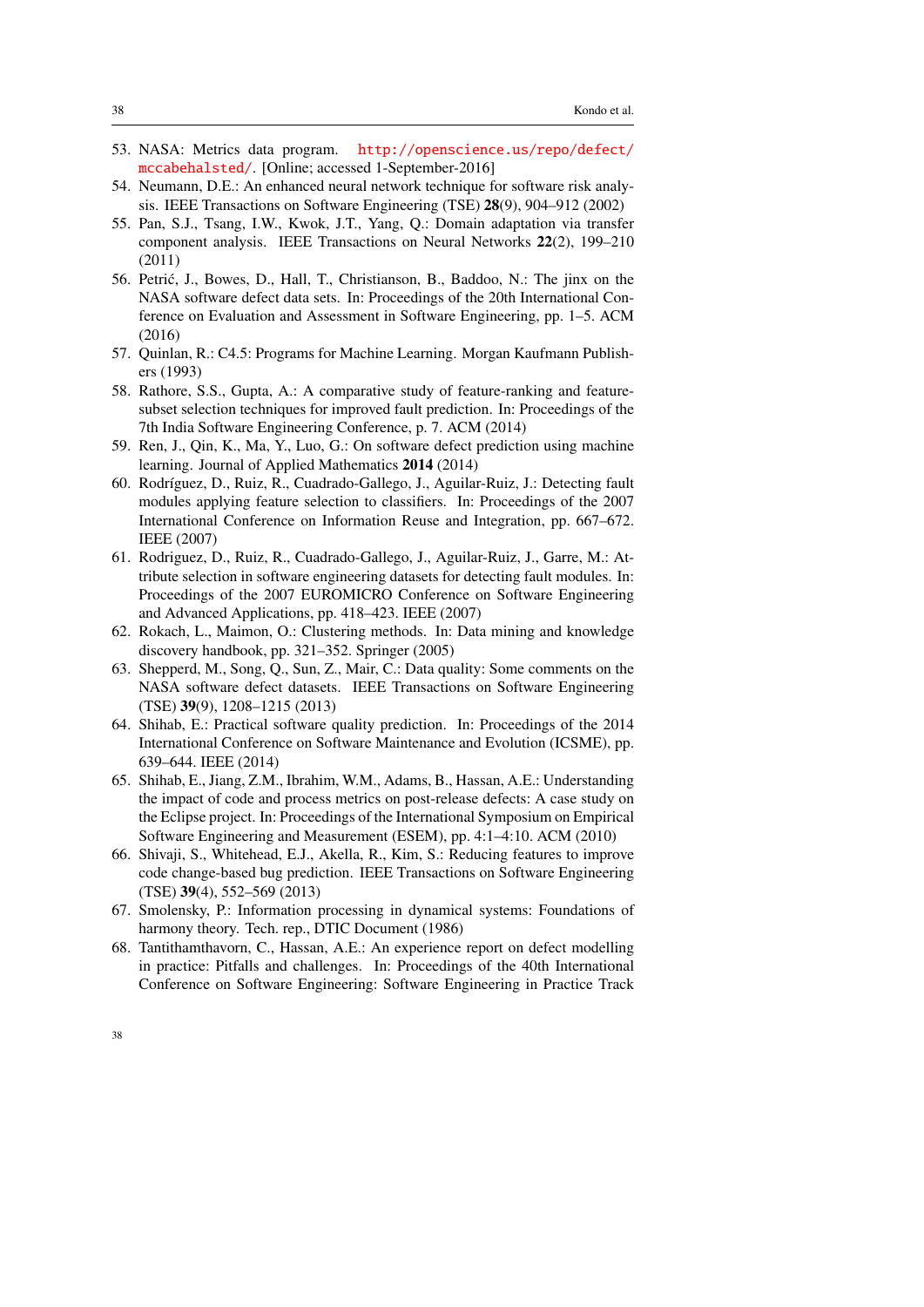- <span id="page-38-10"></span>53. NASA: Metrics data program. [http://openscience.us/repo/defect/](http://openscience.us/repo/defect/mccabehalsted/) [mccabehalsted/](http://openscience.us/repo/defect/mccabehalsted/). [Online; accessed 1-September-2016]
- <span id="page-38-8"></span>54. Neumann, D.E.: An enhanced neural network technique for software risk analysis. IEEE Transactions on Software Engineering (TSE) 28(9), 904–912 (2002)
- <span id="page-38-4"></span>55. Pan, S.J., Tsang, I.W., Kwok, J.T., Yang, Q.: Domain adaptation via transfer component analysis. IEEE Transactions on Neural Networks 22(2), 199–210 (2011)
- <span id="page-38-11"></span>56. Petric, J., Bowes, D., Hall, T., Christianson, B., Baddoo, N.: The jinx on the ´ NASA software defect data sets. In: Proceedings of the 20th International Conference on Evaluation and Assessment in Software Engineering, pp. 1–5. ACM (2016)
- <span id="page-38-12"></span>57. Quinlan, R.: C4.5: Programs for Machine Learning. Morgan Kaufmann Publishers (1993)
- <span id="page-38-0"></span>58. Rathore, S.S., Gupta, A.: A comparative study of feature-ranking and featuresubset selection techniques for improved fault prediction. In: Proceedings of the 7th India Software Engineering Conference, p. 7. ACM (2014)
- <span id="page-38-9"></span>59. Ren, J., Qin, K., Ma, Y., Luo, G.: On software defect prediction using machine learning. Journal of Applied Mathematics 2014 (2014)
- <span id="page-38-7"></span>60. Rodríguez, D., Ruiz, R., Cuadrado-Gallego, J., Aguilar-Ruiz, J.: Detecting fault modules applying feature selection to classifiers. In: Proceedings of the 2007 International Conference on Information Reuse and Integration, pp. 667–672. IEEE (2007)
- <span id="page-38-1"></span>61. Rodriguez, D., Ruiz, R., Cuadrado-Gallego, J., Aguilar-Ruiz, J., Garre, M.: Attribute selection in software engineering datasets for detecting fault modules. In: Proceedings of the 2007 EUROMICRO Conference on Software Engineering and Advanced Applications, pp. 418–423. IEEE (2007)
- <span id="page-38-3"></span>62. Rokach, L., Maimon, O.: Clustering methods. In: Data mining and knowledge discovery handbook, pp. 321–352. Springer (2005)
- <span id="page-38-6"></span>63. Shepperd, M., Song, Q., Sun, Z., Mair, C.: Data quality: Some comments on the NASA software defect datasets. IEEE Transactions on Software Engineering (TSE) 39(9), 1208–1215 (2013)
- <span id="page-38-15"></span>64. Shihab, E.: Practical software quality prediction. In: Proceedings of the 2014 International Conference on Software Maintenance and Evolution (ICSME), pp. 639–644. IEEE (2014)
- <span id="page-38-14"></span>65. Shihab, E., Jiang, Z.M., Ibrahim, W.M., Adams, B., Hassan, A.E.: Understanding the impact of code and process metrics on post-release defects: A case study on the Eclipse project. In: Proceedings of the International Symposium on Empirical Software Engineering and Measurement (ESEM), pp. 4:1–4:10. ACM (2010)
- <span id="page-38-2"></span>66. Shivaji, S., Whitehead, E.J., Akella, R., Kim, S.: Reducing features to improve code change-based bug prediction. IEEE Transactions on Software Engineering (TSE) 39(4), 552–569 (2013)
- <span id="page-38-5"></span>67. Smolensky, P.: Information processing in dynamical systems: Foundations of harmony theory. Tech. rep., DTIC Document (1986)
- <span id="page-38-13"></span>68. Tantithamthavorn, C., Hassan, A.E.: An experience report on defect modelling in practice: Pitfalls and challenges. In: Proceedings of the 40th International Conference on Software Engineering: Software Engineering in Practice Track